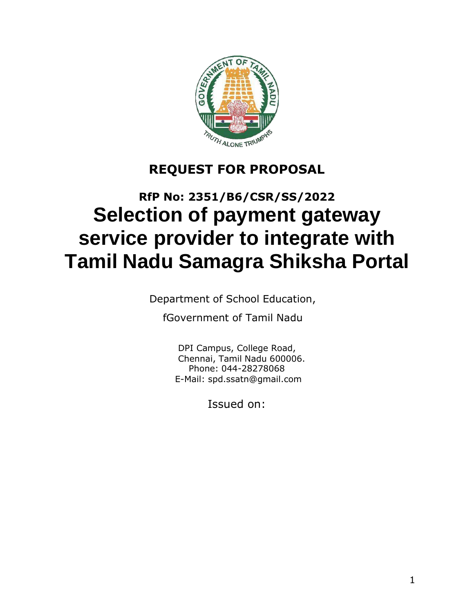

# **REQUEST FOR PROPOSAL**

# **RfP No: 2351/B6/CSR/SS/2022 Selection of payment gateway service provider to integrate with Tamil Nadu Samagra Shiksha Portal**

Department of School Education,

fGovernment of Tamil Nadu

DPI Campus, College Road, Chennai, Tamil Nadu 600006. Phone: 044-28278068 E-Mail: [spd.ssatn@gmail.com](mailto:spd.ssatn@gmail.com)

Issued on: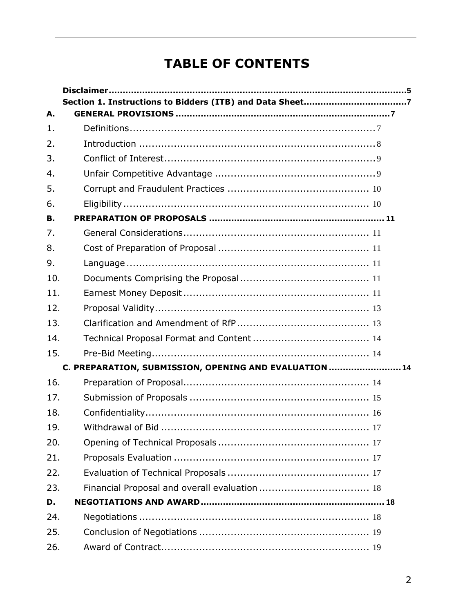# **TABLE OF CONTENTS**

| А.  |                                                        |
|-----|--------------------------------------------------------|
| 1.  |                                                        |
| 2.  |                                                        |
| 3.  |                                                        |
| 4.  |                                                        |
| 5.  |                                                        |
| 6.  |                                                        |
| В.  |                                                        |
| 7.  |                                                        |
| 8.  |                                                        |
| 9.  |                                                        |
| 10. |                                                        |
| 11. |                                                        |
| 12. |                                                        |
| 13. |                                                        |
| 14. |                                                        |
| 15. |                                                        |
|     | C. PREPARATION, SUBMISSION, OPENING AND EVALUATION  14 |
| 16. |                                                        |
| 17. |                                                        |
| 18. |                                                        |
| 19. |                                                        |
| 20. |                                                        |
| 21. |                                                        |
| 22. |                                                        |
| 23. |                                                        |
| D.  |                                                        |
| 24. |                                                        |
| 25. |                                                        |
| 26. |                                                        |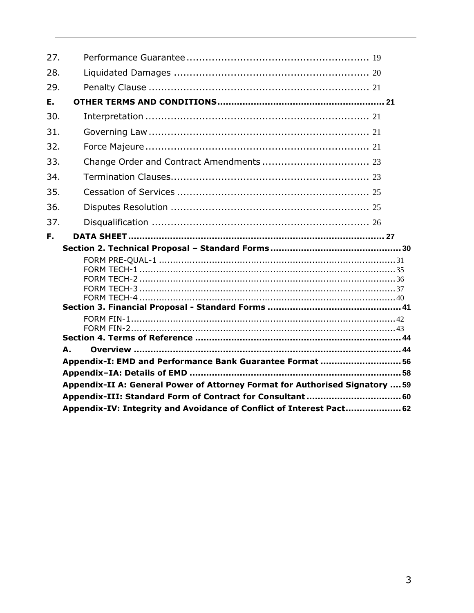| 27. |                                                                              |  |
|-----|------------------------------------------------------------------------------|--|
| 28. |                                                                              |  |
| 29. |                                                                              |  |
| Ε.  |                                                                              |  |
| 30. |                                                                              |  |
| 31. |                                                                              |  |
| 32. |                                                                              |  |
| 33. |                                                                              |  |
| 34. |                                                                              |  |
| 35. |                                                                              |  |
| 36. |                                                                              |  |
| 37. |                                                                              |  |
| F.  |                                                                              |  |
|     |                                                                              |  |
|     |                                                                              |  |
|     |                                                                              |  |
|     |                                                                              |  |
|     |                                                                              |  |
|     |                                                                              |  |
|     |                                                                              |  |
|     |                                                                              |  |
|     |                                                                              |  |
|     |                                                                              |  |
|     |                                                                              |  |
|     | А.                                                                           |  |
|     | Appendix-I: EMD and Performance Bank Guarantee Format  56                    |  |
|     |                                                                              |  |
|     | Appendix-II A: General Power of Attorney Format for Authorised Signatory  59 |  |
|     | Appendix-III: Standard Form of Contract for Consultant  60                   |  |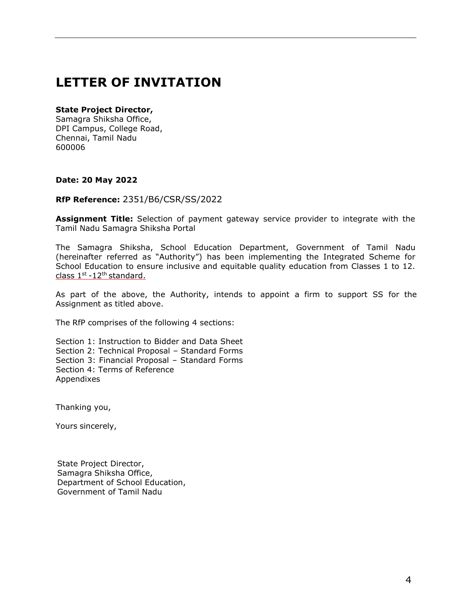# **LETTER OF INVITATION**

#### **State Project Director,**

Samagra Shiksha Office, DPI Campus, College Road, Chennai, Tamil Nadu 600006

#### **Date: 20 May 2022**

#### **RfP Reference:** 2351/B6/CSR/SS/2022

**Assignment Title:** Selection of payment gateway service provider to integrate with the Tamil Nadu Samagra Shiksha Portal

The Samagra Shiksha, School Education Department, Government of Tamil Nadu (hereinafter referred as "Authority") has been implementing the Integrated Scheme for School Education to ensure inclusive and equitable quality education from Classes 1 to 12. class 1<sup>st</sup> -12<sup>th</sup> standard.

As part of the above, the Authority, intends to appoint a firm to support SS for the Assignment as titled above.

The RfP comprises of the following 4 sections:

Section 1: Instruction to Bidder and Data Sheet Section 2: Technical Proposal – Standard Forms Section 3: Financial Proposal – Standard Forms Section 4: Terms of Reference Appendixes

Thanking you,

Yours sincerely,

State Project Director, Samagra Shiksha Office, Department of School Education, Government of Tamil Nadu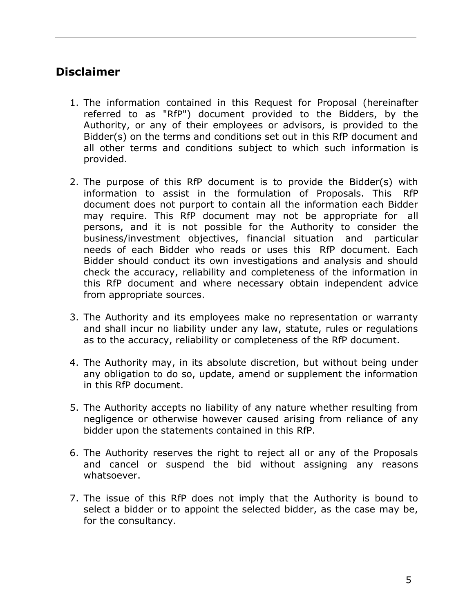# <span id="page-4-0"></span>**Disclaimer**

- 1. The information contained in this Request for Proposal (hereinafter referred to as "RfP") document provided to the Bidders, by the Authority, or any of their employees or advisors, is provided to the Bidder(s) on the terms and conditions set out in this RfP document and all other terms and conditions subject to which such information is provided.
- 2. The purpose of this RfP document is to provide the Bidder(s) with information to assist in the formulation of Proposals. This RfP document does not purport to contain all the information each Bidder may require. This RfP document may not be appropriate for all persons, and it is not possible for the Authority to consider the business/investment objectives, financial situation and particular needs of each Bidder who reads or uses this RfP document. Each Bidder should conduct its own investigations and analysis and should check the accuracy, reliability and completeness of the information in this RfP document and where necessary obtain independent advice from appropriate sources.
- 3. The Authority and its employees make no representation or warranty and shall incur no liability under any law, statute, rules or regulations as to the accuracy, reliability or completeness of the RfP document.
- 4. The Authority may, in its absolute discretion, but without being under any obligation to do so, update, amend or supplement the information in this RfP document.
- 5. The Authority accepts no liability of any nature whether resulting from negligence or otherwise however caused arising from reliance of any bidder upon the statements contained in this RfP.
- 6. The Authority reserves the right to reject all or any of the Proposals and cancel or suspend the bid without assigning any reasons whatsoever.
- 7. The issue of this RfP does not imply that the Authority is bound to select a bidder or to appoint the selected bidder, as the case may be, for the consultancy.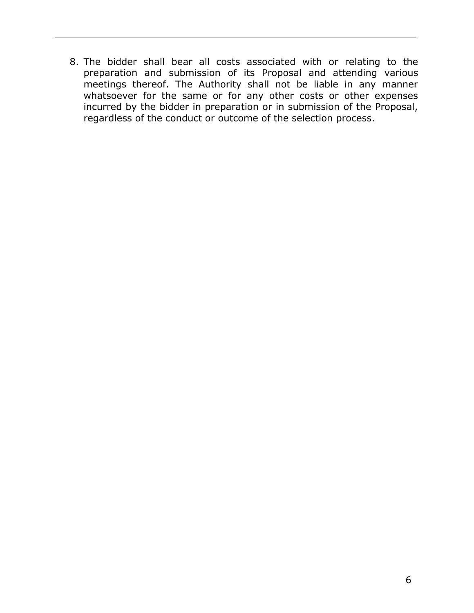8. The bidder shall bear all costs associated with or relating to the preparation and submission of its Proposal and attending various meetings thereof. The Authority shall not be liable in any manner whatsoever for the same or for any other costs or other expenses incurred by the bidder in preparation or in submission of the Proposal, regardless of the conduct or outcome of the selection process.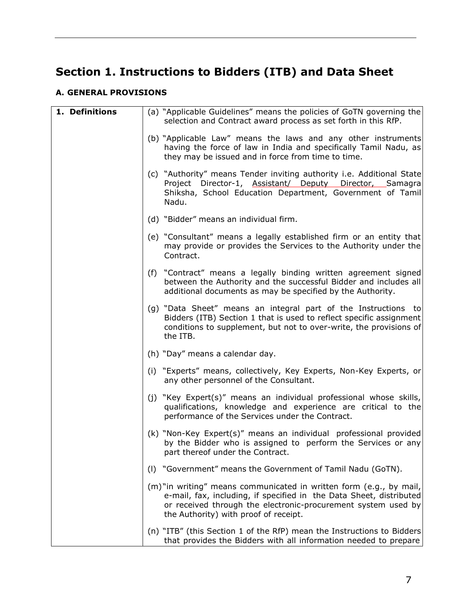# <span id="page-6-0"></span>**Section 1. Instructions to Bidders (ITB) and Data Sheet**

#### <span id="page-6-1"></span>**A. GENERAL PROVISIONS**

<span id="page-6-2"></span>

| 1. Definitions | (a) "Applicable Guidelines" means the policies of GoTN governing the<br>selection and Contract award process as set forth in this RfP.                                                                                                              |
|----------------|-----------------------------------------------------------------------------------------------------------------------------------------------------------------------------------------------------------------------------------------------------|
|                | (b) "Applicable Law" means the laws and any other instruments<br>having the force of law in India and specifically Tamil Nadu, as<br>they may be issued and in force from time to time.                                                             |
|                | (c) "Authority" means Tender inviting authority i.e. Additional State<br>Project Director-1, Assistant/ Deputy Director, Samagra<br>Shiksha, School Education Department, Government of Tamil<br>Nadu.                                              |
|                | (d) "Bidder" means an individual firm.                                                                                                                                                                                                              |
|                | (e) "Consultant" means a legally established firm or an entity that<br>may provide or provides the Services to the Authority under the<br>Contract.                                                                                                 |
|                | (f) "Contract" means a legally binding written agreement signed<br>between the Authority and the successful Bidder and includes all<br>additional documents as may be specified by the Authority.                                                   |
|                | (g) "Data Sheet" means an integral part of the Instructions to<br>Bidders (ITB) Section 1 that is used to reflect specific assignment<br>conditions to supplement, but not to over-write, the provisions of<br>the ITB.                             |
|                | (h) "Day" means a calendar day.                                                                                                                                                                                                                     |
|                | (i) "Experts" means, collectively, Key Experts, Non-Key Experts, or<br>any other personnel of the Consultant.                                                                                                                                       |
|                | (j) "Key Expert(s)" means an individual professional whose skills,<br>qualifications, knowledge and experience are critical to the<br>performance of the Services under the Contract.                                                               |
|                | (k) "Non-Key Expert(s)" means an individual professional provided<br>by the Bidder who is assigned to perform the Services or any<br>part thereof under the Contract.                                                                               |
|                | "Government" means the Government of Tamil Nadu (GoTN).<br>(1)                                                                                                                                                                                      |
|                | (m)"in writing" means communicated in written form (e.g., by mail,<br>e-mail, fax, including, if specified in the Data Sheet, distributed<br>or received through the electronic-procurement system used by<br>the Authority) with proof of receipt. |
|                | (n) "ITB" (this Section 1 of the RfP) mean the Instructions to Bidders<br>that provides the Bidders with all information needed to prepare                                                                                                          |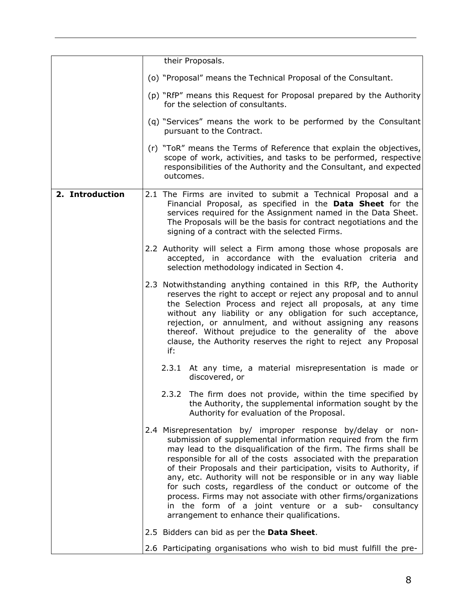<span id="page-7-0"></span>

|                 |  |                                                                                                                                                                                                                                                                                                                                                                                                                                                                    | their Proposals.                                                                                                                                                                                                                                                                                                                                                                                                                                                                                                                                                                                                                                           |
|-----------------|--|--------------------------------------------------------------------------------------------------------------------------------------------------------------------------------------------------------------------------------------------------------------------------------------------------------------------------------------------------------------------------------------------------------------------------------------------------------------------|------------------------------------------------------------------------------------------------------------------------------------------------------------------------------------------------------------------------------------------------------------------------------------------------------------------------------------------------------------------------------------------------------------------------------------------------------------------------------------------------------------------------------------------------------------------------------------------------------------------------------------------------------------|
|                 |  |                                                                                                                                                                                                                                                                                                                                                                                                                                                                    | (o) "Proposal" means the Technical Proposal of the Consultant.                                                                                                                                                                                                                                                                                                                                                                                                                                                                                                                                                                                             |
|                 |  |                                                                                                                                                                                                                                                                                                                                                                                                                                                                    | (p) "RfP" means this Request for Proposal prepared by the Authority<br>for the selection of consultants.                                                                                                                                                                                                                                                                                                                                                                                                                                                                                                                                                   |
|                 |  |                                                                                                                                                                                                                                                                                                                                                                                                                                                                    | (q) "Services" means the work to be performed by the Consultant<br>pursuant to the Contract.                                                                                                                                                                                                                                                                                                                                                                                                                                                                                                                                                               |
|                 |  | outcomes.                                                                                                                                                                                                                                                                                                                                                                                                                                                          | (r) "ToR" means the Terms of Reference that explain the objectives,<br>scope of work, activities, and tasks to be performed, respective<br>responsibilities of the Authority and the Consultant, and expected                                                                                                                                                                                                                                                                                                                                                                                                                                              |
| 2. Introduction |  |                                                                                                                                                                                                                                                                                                                                                                                                                                                                    | 2.1 The Firms are invited to submit a Technical Proposal and a<br>Financial Proposal, as specified in the Data Sheet for the<br>services required for the Assignment named in the Data Sheet.<br>The Proposals will be the basis for contract negotiations and the<br>signing of a contract with the selected Firms.                                                                                                                                                                                                                                                                                                                                       |
|                 |  |                                                                                                                                                                                                                                                                                                                                                                                                                                                                    | 2.2 Authority will select a Firm among those whose proposals are<br>accepted, in accordance with the evaluation criteria and<br>selection methodology indicated in Section 4.                                                                                                                                                                                                                                                                                                                                                                                                                                                                              |
|                 |  | 2.3 Notwithstanding anything contained in this RfP, the Authority<br>reserves the right to accept or reject any proposal and to annul<br>the Selection Process and reject all proposals, at any time<br>without any liability or any obligation for such acceptance,<br>rejection, or annulment, and without assigning any reasons<br>thereof. Without prejudice to the generality of the above<br>clause, the Authority reserves the right to reject any Proposal |                                                                                                                                                                                                                                                                                                                                                                                                                                                                                                                                                                                                                                                            |
|                 |  |                                                                                                                                                                                                                                                                                                                                                                                                                                                                    | 2.3.1 At any time, a material misrepresentation is made or<br>discovered, or                                                                                                                                                                                                                                                                                                                                                                                                                                                                                                                                                                               |
|                 |  |                                                                                                                                                                                                                                                                                                                                                                                                                                                                    | 2.3.2 The firm does not provide, within the time specified by<br>the Authority, the supplemental information sought by the<br>Authority for evaluation of the Proposal.                                                                                                                                                                                                                                                                                                                                                                                                                                                                                    |
|                 |  |                                                                                                                                                                                                                                                                                                                                                                                                                                                                    | 2.4 Misrepresentation by/ improper response by/delay or non-<br>submission of supplemental information required from the firm<br>may lead to the disqualification of the firm. The firms shall be<br>responsible for all of the costs associated with the preparation<br>of their Proposals and their participation, visits to Authority, if<br>any, etc. Authority will not be responsible or in any way liable<br>for such costs, regardless of the conduct or outcome of the<br>process. Firms may not associate with other firms/organizations<br>in the form of a joint venture or a sub- consultancy<br>arrangement to enhance their qualifications. |
|                 |  |                                                                                                                                                                                                                                                                                                                                                                                                                                                                    | 2.5 Bidders can bid as per the Data Sheet.                                                                                                                                                                                                                                                                                                                                                                                                                                                                                                                                                                                                                 |
|                 |  |                                                                                                                                                                                                                                                                                                                                                                                                                                                                    | 2.6 Participating organisations who wish to bid must fulfill the pre-                                                                                                                                                                                                                                                                                                                                                                                                                                                                                                                                                                                      |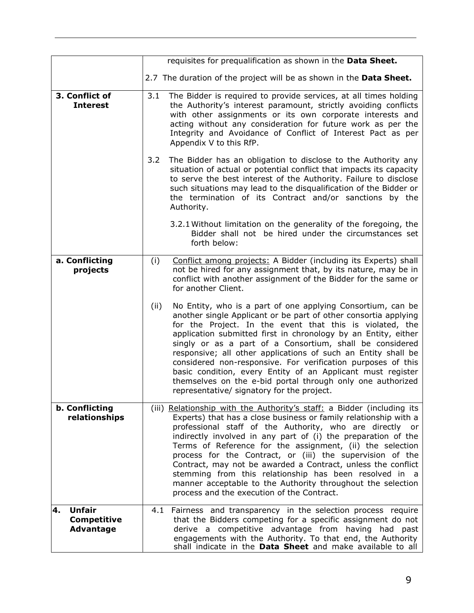<span id="page-8-1"></span><span id="page-8-0"></span>

|                                                               |      | requisites for prequalification as shown in the Data Sheet.                                                                                                                                                                                                                                                                                                                                                                                                                                                                                                                                                                              |
|---------------------------------------------------------------|------|------------------------------------------------------------------------------------------------------------------------------------------------------------------------------------------------------------------------------------------------------------------------------------------------------------------------------------------------------------------------------------------------------------------------------------------------------------------------------------------------------------------------------------------------------------------------------------------------------------------------------------------|
|                                                               |      | 2.7 The duration of the project will be as shown in the Data Sheet.                                                                                                                                                                                                                                                                                                                                                                                                                                                                                                                                                                      |
| 3. Conflict of<br><b>Interest</b>                             | 3.1  | The Bidder is required to provide services, at all times holding<br>the Authority's interest paramount, strictly avoiding conflicts<br>with other assignments or its own corporate interests and<br>acting without any consideration for future work as per the<br>Integrity and Avoidance of Conflict of Interest Pact as per<br>Appendix V to this RfP.                                                                                                                                                                                                                                                                                |
|                                                               | 3.2  | The Bidder has an obligation to disclose to the Authority any<br>situation of actual or potential conflict that impacts its capacity<br>to serve the best interest of the Authority. Failure to disclose<br>such situations may lead to the disqualification of the Bidder or<br>the termination of its Contract and/or sanctions by the<br>Authority.                                                                                                                                                                                                                                                                                   |
|                                                               |      | 3.2.1 Without limitation on the generality of the foregoing, the<br>Bidder shall not be hired under the circumstances set<br>forth below:                                                                                                                                                                                                                                                                                                                                                                                                                                                                                                |
| a. Conflicting<br>projects                                    | (i)  | Conflict among projects: A Bidder (including its Experts) shall<br>not be hired for any assignment that, by its nature, may be in<br>conflict with another assignment of the Bidder for the same or<br>for another Client.                                                                                                                                                                                                                                                                                                                                                                                                               |
|                                                               | (ii) | No Entity, who is a part of one applying Consortium, can be<br>another single Applicant or be part of other consortia applying<br>for the Project. In the event that this is violated, the<br>application submitted first in chronology by an Entity, either<br>singly or as a part of a Consortium, shall be considered<br>responsive; all other applications of such an Entity shall be<br>considered non-responsive. For verification purposes of this<br>basic condition, every Entity of an Applicant must register<br>themselves on the e-bid portal through only one authorized<br>representative/ signatory for the project.     |
| b. Conflicting<br>relationships                               |      | (iii) Relationship with the Authority's staff: a Bidder (including its<br>Experts) that has a close business or family relationship with a<br>professional staff of the Authority, who are directly or<br>indirectly involved in any part of (i) the preparation of the<br>Terms of Reference for the assignment, (ii) the selection<br>process for the Contract, or (iii) the supervision of the<br>Contract, may not be awarded a Contract, unless the conflict<br>stemming from this relationship has been resolved in a<br>manner acceptable to the Authority throughout the selection<br>process and the execution of the Contract. |
| 4.<br><b>Unfair</b><br><b>Competitive</b><br><b>Advantage</b> | 4.1  | Fairness and transparency in the selection process require<br>that the Bidders competing for a specific assignment do not<br>derive a competitive advantage from having had past<br>engagements with the Authority. To that end, the Authority<br>shall indicate in the Data Sheet and make available to all                                                                                                                                                                                                                                                                                                                             |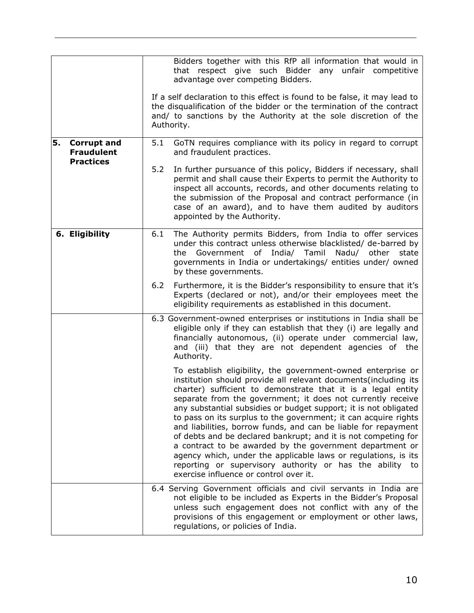<span id="page-9-1"></span><span id="page-9-0"></span>

|    |                                         |     | Bidders together with this RfP all information that would in<br>that respect give such Bidder<br>any<br>unfair competitive<br>advantage over competing Bidders.                                                                                                                                                                                                                                                                                                                                                                                                                                                                                                                                                                                                                |
|----|-----------------------------------------|-----|--------------------------------------------------------------------------------------------------------------------------------------------------------------------------------------------------------------------------------------------------------------------------------------------------------------------------------------------------------------------------------------------------------------------------------------------------------------------------------------------------------------------------------------------------------------------------------------------------------------------------------------------------------------------------------------------------------------------------------------------------------------------------------|
|    |                                         |     | If a self declaration to this effect is found to be false, it may lead to<br>the disqualification of the bidder or the termination of the contract<br>and/ to sanctions by the Authority at the sole discretion of the<br>Authority.                                                                                                                                                                                                                                                                                                                                                                                                                                                                                                                                           |
| 5. | <b>Corrupt and</b><br><b>Fraudulent</b> | 5.1 | GoTN requires compliance with its policy in regard to corrupt<br>and fraudulent practices.                                                                                                                                                                                                                                                                                                                                                                                                                                                                                                                                                                                                                                                                                     |
|    | <b>Practices</b>                        | 5.2 | In further pursuance of this policy, Bidders if necessary, shall<br>permit and shall cause their Experts to permit the Authority to<br>inspect all accounts, records, and other documents relating to<br>the submission of the Proposal and contract performance (in<br>case of an award), and to have them audited by auditors<br>appointed by the Authority.                                                                                                                                                                                                                                                                                                                                                                                                                 |
|    | 6. Eligibility                          | 6.1 | The Authority permits Bidders, from India to offer services<br>under this contract unless otherwise blacklisted/ de-barred by<br>Government of India/ Tamil<br>Nadu/ other<br>the<br>state<br>governments in India or undertakings/ entities under/ owned<br>by these governments.                                                                                                                                                                                                                                                                                                                                                                                                                                                                                             |
|    |                                         | 6.2 | Furthermore, it is the Bidder's responsibility to ensure that it's<br>Experts (declared or not), and/or their employees meet the<br>eligibility requirements as established in this document.                                                                                                                                                                                                                                                                                                                                                                                                                                                                                                                                                                                  |
|    |                                         |     | 6.3 Government-owned enterprises or institutions in India shall be<br>eligible only if they can establish that they (i) are legally and<br>financially autonomous, (ii) operate under commercial law,<br>and (iii) that they are not dependent agencies of the<br>Authority.                                                                                                                                                                                                                                                                                                                                                                                                                                                                                                   |
|    |                                         |     | To establish eligibility, the government-owned enterprise or<br>institution should provide all relevant documents (including its<br>charter) sufficient to demonstrate that it is a legal entity<br>separate from the government; it does not currently receive<br>any substantial subsidies or budget support; it is not obligated<br>to pass on its surplus to the government; it can acquire rights<br>and liabilities, borrow funds, and can be liable for repayment<br>of debts and be declared bankrupt; and it is not competing for<br>a contract to be awarded by the government department or<br>agency which, under the applicable laws or regulations, is its<br>reporting or supervisory authority or has the ability to<br>exercise influence or control over it. |
|    |                                         |     | 6.4 Serving Government officials and civil servants in India are<br>not eligible to be included as Experts in the Bidder's Proposal<br>unless such engagement does not conflict with any of the<br>provisions of this engagement or employment or other laws,<br>regulations, or policies of India.                                                                                                                                                                                                                                                                                                                                                                                                                                                                            |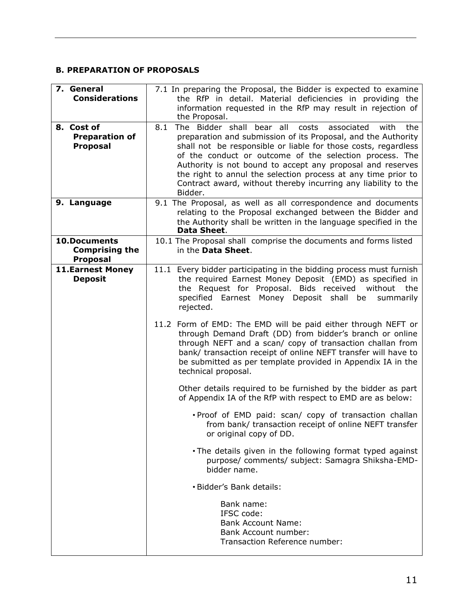#### <span id="page-10-0"></span>**B. PREPARATION OF PROPOSALS**

<span id="page-10-5"></span><span id="page-10-4"></span><span id="page-10-3"></span><span id="page-10-2"></span><span id="page-10-1"></span>

| 7. General<br><b>Considerations</b><br>8. Cost of<br><b>Preparation of</b><br><b>Proposal</b> | 7.1 In preparing the Proposal, the Bidder is expected to examine<br>the RfP in detail. Material deficiencies in providing the<br>information requested in the RfP may result in rejection of<br>the Proposal.<br>The Bidder shall bear all<br>8.1<br>costs<br>associated<br>with<br>the<br>preparation and submission of its Proposal, and the Authority<br>shall not be responsible or liable for those costs, regardless<br>of the conduct or outcome of the selection process. The<br>Authority is not bound to accept any proposal and reserves<br>the right to annul the selection process at any time prior to<br>Contract award, without thereby incurring any liability to the<br>Bidder. |
|-----------------------------------------------------------------------------------------------|---------------------------------------------------------------------------------------------------------------------------------------------------------------------------------------------------------------------------------------------------------------------------------------------------------------------------------------------------------------------------------------------------------------------------------------------------------------------------------------------------------------------------------------------------------------------------------------------------------------------------------------------------------------------------------------------------|
| 9. Language                                                                                   | 9.1 The Proposal, as well as all correspondence and documents<br>relating to the Proposal exchanged between the Bidder and<br>the Authority shall be written in the language specified in the<br>Data Sheet.                                                                                                                                                                                                                                                                                                                                                                                                                                                                                      |
| <b>10.Documents</b><br><b>Comprising the</b><br><b>Proposal</b>                               | 10.1 The Proposal shall comprise the documents and forms listed<br>in the Data Sheet.                                                                                                                                                                                                                                                                                                                                                                                                                                                                                                                                                                                                             |
| <b>11.Earnest Money</b><br><b>Deposit</b>                                                     | 11.1 Every bidder participating in the bidding process must furnish<br>the required Earnest Money Deposit (EMD) as specified in<br>the Request for Proposal. Bids received<br>without the<br>specified Earnest Money Deposit shall<br>be<br>summarily<br>rejected.<br>11.2 Form of EMD: The EMD will be paid either through NEFT or<br>through Demand Draft (DD) from bidder's branch or online<br>through NEFT and a scan/ copy of transaction challan from<br>bank/ transaction receipt of online NEFT transfer will have to<br>be submitted as per template provided in Appendix IA in the<br>technical proposal.                                                                              |
|                                                                                               | Other details required to be furnished by the bidder as part<br>of Appendix IA of the RfP with respect to EMD are as below:                                                                                                                                                                                                                                                                                                                                                                                                                                                                                                                                                                       |
|                                                                                               | . Proof of EMD paid: scan/ copy of transaction challan<br>from bank/ transaction receipt of online NEFT transfer<br>or original copy of DD.                                                                                                                                                                                                                                                                                                                                                                                                                                                                                                                                                       |
|                                                                                               | . The details given in the following format typed against<br>purpose/ comments/ subject: Samagra Shiksha-EMD-<br>bidder name.                                                                                                                                                                                                                                                                                                                                                                                                                                                                                                                                                                     |
|                                                                                               | • Bidder's Bank details:                                                                                                                                                                                                                                                                                                                                                                                                                                                                                                                                                                                                                                                                          |
|                                                                                               | Bank name:<br>IFSC code:<br><b>Bank Account Name:</b><br><b>Bank Account number:</b><br>Transaction Reference number:                                                                                                                                                                                                                                                                                                                                                                                                                                                                                                                                                                             |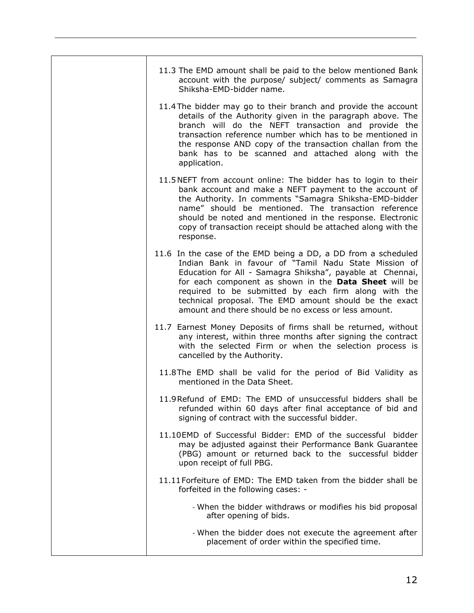| 11.3 The EMD amount shall be paid to the below mentioned Bank<br>account with the purpose/ subject/ comments as Samagra<br>Shiksha-EMD-bidder name.                                                                                                                                                                                                                                                                    |
|------------------------------------------------------------------------------------------------------------------------------------------------------------------------------------------------------------------------------------------------------------------------------------------------------------------------------------------------------------------------------------------------------------------------|
| 11.4 The bidder may go to their branch and provide the account<br>details of the Authority given in the paragraph above. The<br>branch will do the NEFT transaction and provide the<br>transaction reference number which has to be mentioned in<br>the response AND copy of the transaction challan from the<br>bank has to be scanned and attached along with the<br>application.                                    |
| 11.5 NEFT from account online: The bidder has to login to their<br>bank account and make a NEFT payment to the account of<br>the Authority. In comments "Samagra Shiksha-EMD-bidder<br>name" should be mentioned. The transaction reference<br>should be noted and mentioned in the response. Electronic<br>copy of transaction receipt should be attached along with the<br>response.                                 |
| 11.6 In the case of the EMD being a DD, a DD from a scheduled<br>Indian Bank in favour of "Tamil Nadu State Mission of<br>Education for All - Samagra Shiksha", payable at Chennai,<br>for each component as shown in the Data Sheet will be<br>required to be submitted by each firm along with the<br>technical proposal. The EMD amount should be the exact<br>amount and there should be no excess or less amount. |
| 11.7 Earnest Money Deposits of firms shall be returned, without<br>any interest, within three months after signing the contract<br>with the selected Firm or when the selection process is<br>cancelled by the Authority.                                                                                                                                                                                              |
| 11.8The EMD shall be valid for the period of Bid Validity as<br>mentioned in the Data Sheet.                                                                                                                                                                                                                                                                                                                           |
| 11.9 Refund of EMD: The EMD of unsuccessful bidders shall be<br>refunded within 60 days after final acceptance of bid and<br>signing of contract with the successful bidder.                                                                                                                                                                                                                                           |
| 11.10EMD of Successful Bidder: EMD of the successful bidder<br>may be adjusted against their Performance Bank Guarantee<br>(PBG) amount or returned back to the successful bidder<br>upon receipt of full PBG.                                                                                                                                                                                                         |
| 11.11 Forfeiture of EMD: The EMD taken from the bidder shall be<br>forfeited in the following cases: -                                                                                                                                                                                                                                                                                                                 |
| - When the bidder withdraws or modifies his bid proposal<br>after opening of bids.                                                                                                                                                                                                                                                                                                                                     |
| - When the bidder does not execute the agreement after<br>placement of order within the specified time.                                                                                                                                                                                                                                                                                                                |
|                                                                                                                                                                                                                                                                                                                                                                                                                        |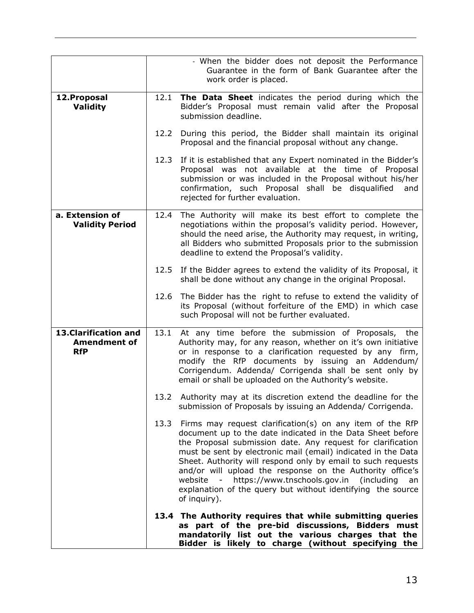<span id="page-12-1"></span><span id="page-12-0"></span>

|                                                            |      | - When the bidder does not deposit the Performance<br>Guarantee in the form of Bank Guarantee after the<br>work order is placed.                                                                                                                                                                                                                                                                                                                                                                                                    |
|------------------------------------------------------------|------|-------------------------------------------------------------------------------------------------------------------------------------------------------------------------------------------------------------------------------------------------------------------------------------------------------------------------------------------------------------------------------------------------------------------------------------------------------------------------------------------------------------------------------------|
| 12. Proposal<br><b>Validity</b>                            | 12.1 | The Data Sheet indicates the period during which the<br>Bidder's Proposal must remain valid after the Proposal<br>submission deadline.                                                                                                                                                                                                                                                                                                                                                                                              |
|                                                            | 12.2 | During this period, the Bidder shall maintain its original<br>Proposal and the financial proposal without any change.                                                                                                                                                                                                                                                                                                                                                                                                               |
|                                                            | 12.3 | If it is established that any Expert nominated in the Bidder's<br>Proposal was not available at the time of Proposal<br>submission or was included in the Proposal without his/her<br>confirmation, such Proposal shall be disqualified<br>and<br>rejected for further evaluation.                                                                                                                                                                                                                                                  |
| a. Extension of<br><b>Validity Period</b>                  | 12.4 | The Authority will make its best effort to complete the<br>negotiations within the proposal's validity period. However,<br>should the need arise, the Authority may request, in writing,<br>all Bidders who submitted Proposals prior to the submission<br>deadline to extend the Proposal's validity.                                                                                                                                                                                                                              |
|                                                            | 12.5 | If the Bidder agrees to extend the validity of its Proposal, it<br>shall be done without any change in the original Proposal.                                                                                                                                                                                                                                                                                                                                                                                                       |
|                                                            | 12.6 | The Bidder has the right to refuse to extend the validity of<br>its Proposal (without forfeiture of the EMD) in which case<br>such Proposal will not be further evaluated.                                                                                                                                                                                                                                                                                                                                                          |
| 13. Clarification and<br><b>Amendment of</b><br><b>RfP</b> | 13.1 | At any time before the submission of Proposals, the<br>Authority may, for any reason, whether on it's own initiative<br>or in response to a clarification requested by any firm,<br>modify the RfP documents by issuing an Addendum/<br>Corrigendum. Addenda/ Corrigenda shall be sent only by<br>email or shall be uploaded on the Authority's website.                                                                                                                                                                            |
|                                                            |      | 13.2 Authority may at its discretion extend the deadline for the<br>submission of Proposals by issuing an Addenda/ Corrigenda.                                                                                                                                                                                                                                                                                                                                                                                                      |
|                                                            |      | 13.3 Firms may request clarification(s) on any item of the RfP<br>document up to the date indicated in the Data Sheet before<br>the Proposal submission date. Any request for clarification<br>must be sent by electronic mail (email) indicated in the Data<br>Sheet. Authority will respond only by email to such requests<br>and/or will upload the response on the Authority office's<br>website - https://www.tnschools.gov.in (including<br>an<br>explanation of the query but without identifying the source<br>of inquiry). |
|                                                            |      | 13.4 The Authority requires that while submitting queries<br>as part of the pre-bid discussions, Bidders must<br>mandatorily list out the various charges that the<br>Bidder is likely to charge (without specifying the                                                                                                                                                                                                                                                                                                            |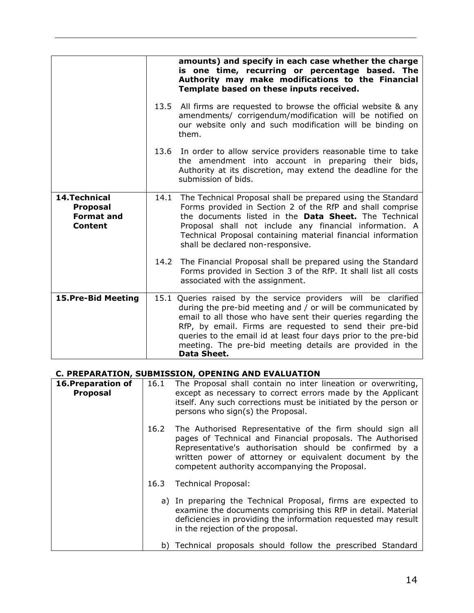<span id="page-13-0"></span>

|                                                                                |      | amounts) and specify in each case whether the charge<br>is one time, recurring or percentage based. The<br>Authority may make modifications to the Financial<br>Template based on these inputs received.                                                                                                                                                                                                |
|--------------------------------------------------------------------------------|------|---------------------------------------------------------------------------------------------------------------------------------------------------------------------------------------------------------------------------------------------------------------------------------------------------------------------------------------------------------------------------------------------------------|
|                                                                                |      | 13.5 All firms are requested to browse the official website & any<br>amendments/ corrigendum/modification will be notified on<br>our website only and such modification will be binding on<br>them.                                                                                                                                                                                                     |
|                                                                                |      | 13.6 In order to allow service providers reasonable time to take<br>the amendment into account in preparing their bids,<br>Authority at its discretion, may extend the deadline for the<br>submission of bids.                                                                                                                                                                                          |
| <b>14. Technical</b><br><b>Proposal</b><br><b>Format and</b><br><b>Content</b> | 14.1 | The Technical Proposal shall be prepared using the Standard<br>Forms provided in Section 2 of the RfP and shall comprise<br>the documents listed in the Data Sheet. The Technical<br>Proposal shall not include any financial information. A<br>Technical Proposal containing material financial information<br>shall be declared non-responsive.                                                       |
|                                                                                | 14.2 | The Financial Proposal shall be prepared using the Standard<br>Forms provided in Section 3 of the RfP. It shall list all costs<br>associated with the assignment.                                                                                                                                                                                                                                       |
| 15. Pre-Bid Meeting                                                            |      | 15.1 Queries raised by the service providers will be clarified<br>during the pre-bid meeting and / or will be communicated by<br>email to all those who have sent their queries regarding the<br>RfP, by email. Firms are requested to send their pre-bid<br>queries to the email id at least four days prior to the pre-bid<br>meeting. The pre-bid meeting details are provided in the<br>Data Sheet. |

#### <span id="page-13-2"></span><span id="page-13-1"></span>**C. PREPARATION, SUBMISSION, OPENING AND EVALUATION**

<span id="page-13-3"></span>

| 16. Preparation of<br><b>Proposal</b> | 16.1 | The Proposal shall contain no inter lineation or overwriting,<br>except as necessary to correct errors made by the Applicant<br>itself. Any such corrections must be initiated by the person or<br>persons who sign(s) the Proposal.                                                            |
|---------------------------------------|------|-------------------------------------------------------------------------------------------------------------------------------------------------------------------------------------------------------------------------------------------------------------------------------------------------|
|                                       | 16.2 | The Authorised Representative of the firm should sign all<br>pages of Technical and Financial proposals. The Authorised<br>Representative's authorisation should be confirmed by a<br>written power of attorney or equivalent document by the<br>competent authority accompanying the Proposal. |
|                                       | 16.3 | <b>Technical Proposal:</b>                                                                                                                                                                                                                                                                      |
|                                       |      | a) In preparing the Technical Proposal, firms are expected to<br>examine the documents comprising this RfP in detail. Material<br>deficiencies in providing the information requested may result<br>in the rejection of the proposal.                                                           |
|                                       |      | b) Technical proposals should follow the prescribed Standard                                                                                                                                                                                                                                    |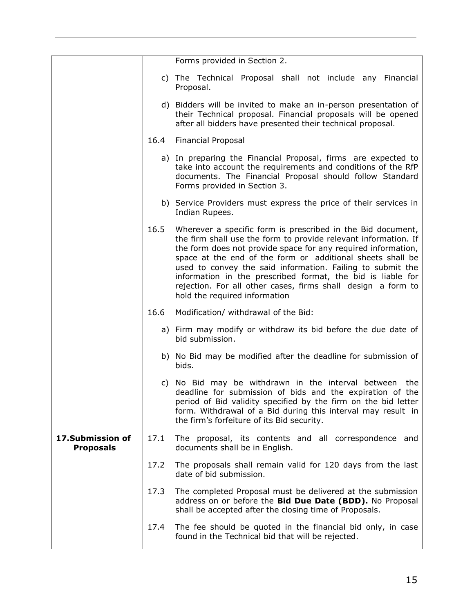<span id="page-14-0"></span>

|                                      |      | Forms provided in Section 2.                                                                                                                                                                                                                                                                                                                                                                                                                                                                |
|--------------------------------------|------|---------------------------------------------------------------------------------------------------------------------------------------------------------------------------------------------------------------------------------------------------------------------------------------------------------------------------------------------------------------------------------------------------------------------------------------------------------------------------------------------|
|                                      |      | c) The Technical Proposal shall not include any Financial<br>Proposal.                                                                                                                                                                                                                                                                                                                                                                                                                      |
|                                      |      | d) Bidders will be invited to make an in-person presentation of<br>their Technical proposal. Financial proposals will be opened<br>after all bidders have presented their technical proposal.                                                                                                                                                                                                                                                                                               |
|                                      | 16.4 | <b>Financial Proposal</b>                                                                                                                                                                                                                                                                                                                                                                                                                                                                   |
|                                      |      | a) In preparing the Financial Proposal, firms are expected to<br>take into account the requirements and conditions of the RfP<br>documents. The Financial Proposal should follow Standard<br>Forms provided in Section 3.                                                                                                                                                                                                                                                                   |
|                                      |      | b) Service Providers must express the price of their services in<br>Indian Rupees.                                                                                                                                                                                                                                                                                                                                                                                                          |
|                                      | 16.5 | Wherever a specific form is prescribed in the Bid document,<br>the firm shall use the form to provide relevant information. If<br>the form does not provide space for any required information,<br>space at the end of the form or additional sheets shall be<br>used to convey the said information. Failing to submit the<br>information in the prescribed format, the bid is liable for<br>rejection. For all other cases, firms shall design a form to<br>hold the required information |
|                                      | 16.6 | Modification/ withdrawal of the Bid:                                                                                                                                                                                                                                                                                                                                                                                                                                                        |
|                                      |      | a) Firm may modify or withdraw its bid before the due date of<br>bid submission.                                                                                                                                                                                                                                                                                                                                                                                                            |
|                                      |      | b) No Bid may be modified after the deadline for submission of<br>bids.                                                                                                                                                                                                                                                                                                                                                                                                                     |
|                                      |      | c) No Bid may be withdrawn in the interval between the<br>deadline for submission of bids and the expiration of the<br>period of Bid validity specified by the firm on the bid letter<br>form. Withdrawal of a Bid during this interval may result in<br>the firm's forfeiture of its Bid security.                                                                                                                                                                                         |
| 17.Submission of<br><b>Proposals</b> | 17.1 | The proposal, its contents and all correspondence and<br>documents shall be in English.                                                                                                                                                                                                                                                                                                                                                                                                     |
|                                      | 17.2 | The proposals shall remain valid for 120 days from the last<br>date of bid submission.                                                                                                                                                                                                                                                                                                                                                                                                      |
|                                      | 17.3 | The completed Proposal must be delivered at the submission<br>address on or before the Bid Due Date (BDD). No Proposal<br>shall be accepted after the closing time of Proposals.                                                                                                                                                                                                                                                                                                            |
|                                      | 17.4 | The fee should be quoted in the financial bid only, in case<br>found in the Technical bid that will be rejected.                                                                                                                                                                                                                                                                                                                                                                            |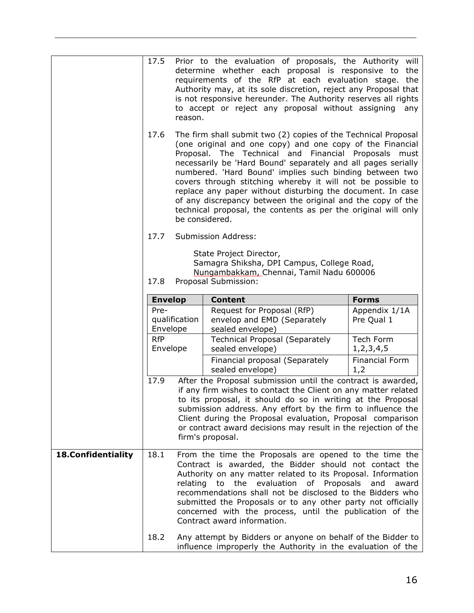<span id="page-15-0"></span>

|                           | 17.5                                                        | reason.                                                                                                                                                                                                                                                                                                                                                                                                                                                                                                                                                                                            | Prior to the evaluation of proposals, the Authority will<br>determine whether each proposal is responsive to<br>requirements of the RfP at each evaluation stage.<br>Authority may, at its sole discretion, reject any Proposal that<br>is not responsive hereunder. The Authority reserves all rights<br>to accept or reject any proposal without assigning                                                                                           | the<br>the<br>any            |
|---------------------------|-------------------------------------------------------------|----------------------------------------------------------------------------------------------------------------------------------------------------------------------------------------------------------------------------------------------------------------------------------------------------------------------------------------------------------------------------------------------------------------------------------------------------------------------------------------------------------------------------------------------------------------------------------------------------|--------------------------------------------------------------------------------------------------------------------------------------------------------------------------------------------------------------------------------------------------------------------------------------------------------------------------------------------------------------------------------------------------------------------------------------------------------|------------------------------|
|                           | 17.6                                                        | The firm shall submit two (2) copies of the Technical Proposal<br>(one original and one copy) and one copy of the Financial<br>Proposal. The Technical and Financial Proposals<br>must<br>necessarily be 'Hard Bound' separately and all pages serially<br>numbered. 'Hard Bound' implies such binding between two<br>covers through stitching whereby it will not be possible to<br>replace any paper without disturbing the document. In case<br>of any discrepancy between the original and the copy of the<br>technical proposal, the contents as per the original will only<br>be considered. |                                                                                                                                                                                                                                                                                                                                                                                                                                                        |                              |
|                           | 17.7                                                        |                                                                                                                                                                                                                                                                                                                                                                                                                                                                                                                                                                                                    | Submission Address:                                                                                                                                                                                                                                                                                                                                                                                                                                    |                              |
|                           | 17.8                                                        |                                                                                                                                                                                                                                                                                                                                                                                                                                                                                                                                                                                                    | State Project Director,<br>Samagra Shiksha, DPI Campus, College Road,<br>Nungambakkam, Chennai, Tamil Nadu 600006<br>Proposal Submission:                                                                                                                                                                                                                                                                                                              |                              |
|                           | <b>Envelop</b>                                              |                                                                                                                                                                                                                                                                                                                                                                                                                                                                                                                                                                                                    | <b>Content</b>                                                                                                                                                                                                                                                                                                                                                                                                                                         | <b>Forms</b>                 |
|                           | Pre-<br>qualification<br>Envelope<br><b>RfP</b><br>Envelope |                                                                                                                                                                                                                                                                                                                                                                                                                                                                                                                                                                                                    | Request for Proposal (RfP)<br>envelop and EMD (Separately<br>sealed envelope)                                                                                                                                                                                                                                                                                                                                                                          | Appendix 1/1A<br>Pre Qual 1  |
|                           |                                                             |                                                                                                                                                                                                                                                                                                                                                                                                                                                                                                                                                                                                    | <b>Technical Proposal (Separately</b><br>sealed envelope)                                                                                                                                                                                                                                                                                                                                                                                              | Tech Form<br>1, 2, 3, 4, 5   |
|                           |                                                             |                                                                                                                                                                                                                                                                                                                                                                                                                                                                                                                                                                                                    | Financial proposal (Separately<br>sealed envelope)                                                                                                                                                                                                                                                                                                                                                                                                     | <b>Financial Form</b><br>1,2 |
|                           | 17.9                                                        |                                                                                                                                                                                                                                                                                                                                                                                                                                                                                                                                                                                                    | After the Proposal submission until the contract is awarded,<br>if any firm wishes to contact the Client on any matter related<br>to its proposal, it should do so in writing at the Proposal<br>submission address. Any effort by the firm to influence the<br>Client during the Proposal evaluation, Proposal comparison<br>or contract award decisions may result in the rejection of the<br>firm's proposal.                                       |                              |
| <b>18.Confidentiality</b> | 18.1                                                        |                                                                                                                                                                                                                                                                                                                                                                                                                                                                                                                                                                                                    | From the time the Proposals are opened to the time the<br>Contract is awarded, the Bidder should not contact the<br>Authority on any matter related to its Proposal. Information<br>the evaluation of Proposals<br>relating to<br>recommendations shall not be disclosed to the Bidders who<br>submitted the Proposals or to any other party not officially<br>concerned with the process, until the publication of the<br>Contract award information. | and<br>award                 |
|                           | 18.2                                                        |                                                                                                                                                                                                                                                                                                                                                                                                                                                                                                                                                                                                    | Any attempt by Bidders or anyone on behalf of the Bidder to<br>influence improperly the Authority in the evaluation of the                                                                                                                                                                                                                                                                                                                             |                              |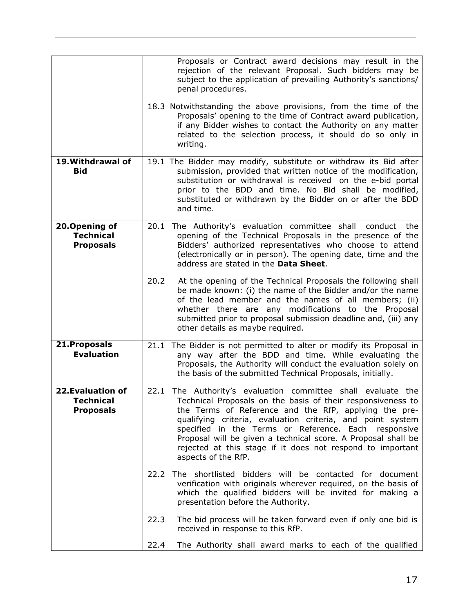<span id="page-16-3"></span><span id="page-16-2"></span><span id="page-16-1"></span><span id="page-16-0"></span>

|                                                          |      | Proposals or Contract award decisions may result in the<br>rejection of the relevant Proposal. Such bidders may be<br>subject to the application of prevailing Authority's sanctions/<br>penal procedures.<br>18.3 Notwithstanding the above provisions, from the time of the<br>Proposals' opening to the time of Contract award publication,<br>if any Bidder wishes to contact the Authority on any matter<br>related to the selection process, it should do so only in<br>writing. |
|----------------------------------------------------------|------|----------------------------------------------------------------------------------------------------------------------------------------------------------------------------------------------------------------------------------------------------------------------------------------------------------------------------------------------------------------------------------------------------------------------------------------------------------------------------------------|
| 19. Withdrawal of<br><b>Bid</b>                          |      | 19.1 The Bidder may modify, substitute or withdraw its Bid after<br>submission, provided that written notice of the modification,<br>substitution or withdrawal is received on the e-bid portal<br>prior to the BDD and time. No Bid shall be modified,<br>substituted or withdrawn by the Bidder on or after the BDD<br>and time.                                                                                                                                                     |
| 20.Opening of<br><b>Technical</b><br><b>Proposals</b>    |      | 20.1 The Authority's evaluation committee shall<br>conduct the<br>opening of the Technical Proposals in the presence of the<br>Bidders' authorized representatives who choose to attend<br>(electronically or in person). The opening date, time and the<br>address are stated in the Data Sheet.                                                                                                                                                                                      |
|                                                          | 20.2 | At the opening of the Technical Proposals the following shall<br>be made known: (i) the name of the Bidder and/or the name<br>of the lead member and the names of all members; (ii)<br>whether there are any modifications to the Proposal<br>submitted prior to proposal submission deadline and, (iii) any<br>other details as maybe required.                                                                                                                                       |
| 21. Proposals<br><b>Evaluation</b>                       |      | 21.1 The Bidder is not permitted to alter or modify its Proposal in<br>any way after the BDD and time. While evaluating the<br>Proposals, the Authority will conduct the evaluation solely on<br>the basis of the submitted Technical Proposals, initially.                                                                                                                                                                                                                            |
| <b>22.Evaluation of</b><br>Technical<br><b>Proposals</b> | 22.1 | The Authority's evaluation committee shall evaluate the<br>Technical Proposals on the basis of their responsiveness to<br>the Terms of Reference and the RfP, applying the pre-<br>qualifying criteria, evaluation criteria, and point system<br>specified in the Terms or Reference. Each<br>responsive<br>Proposal will be given a technical score. A Proposal shall be<br>rejected at this stage if it does not respond to important<br>aspects of the RfP.                         |
|                                                          |      | 22.2 The shortlisted bidders will be contacted for document<br>verification with originals wherever required, on the basis of<br>which the qualified bidders will be invited for making a<br>presentation before the Authority.                                                                                                                                                                                                                                                        |
|                                                          | 22.3 | The bid process will be taken forward even if only one bid is<br>received in response to this RfP.                                                                                                                                                                                                                                                                                                                                                                                     |
|                                                          | 22.4 | The Authority shall award marks to each of the qualified                                                                                                                                                                                                                                                                                                                                                                                                                               |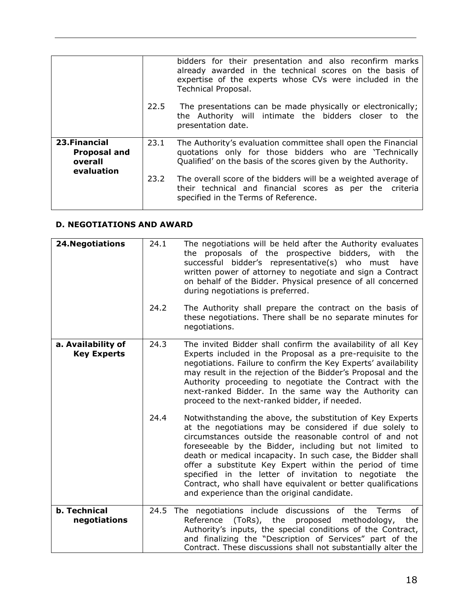|                                                               |      | bidders for their presentation and also reconfirm marks<br>already awarded in the technical scores on the basis of<br>expertise of the experts whose CVs were included in the<br>Technical Proposal. |
|---------------------------------------------------------------|------|------------------------------------------------------------------------------------------------------------------------------------------------------------------------------------------------------|
|                                                               | 22.5 | The presentations can be made physically or electronically;<br>the Authority will intimate the bidders closer to the<br>presentation date.                                                           |
| 23. Financial<br><b>Proposal and</b><br>overall<br>evaluation | 23.1 | The Authority's evaluation committee shall open the Financial<br>quotations only for those bidders who are 'Technically<br>Qualified' on the basis of the scores given by the Authority.             |
|                                                               | 23.2 | The overall score of the bidders will be a weighted average of<br>their technical and financial scores as per the criteria<br>specified in the Terms of Reference.                                   |

#### <span id="page-17-1"></span><span id="page-17-0"></span>**D. NEGOTIATIONS AND AWARD**

<span id="page-17-2"></span>

| <b>24. Negotiations</b>                  | 24.1 | The negotiations will be held after the Authority evaluates<br>the proposals of the prospective bidders, with<br>the<br>successful bidder's representative(s) who must<br>have<br>written power of attorney to negotiate and sign a Contract<br>on behalf of the Bidder. Physical presence of all concerned<br>during negotiations is preferred.                                                                                                                                                                                              |
|------------------------------------------|------|-----------------------------------------------------------------------------------------------------------------------------------------------------------------------------------------------------------------------------------------------------------------------------------------------------------------------------------------------------------------------------------------------------------------------------------------------------------------------------------------------------------------------------------------------|
|                                          | 24.2 | The Authority shall prepare the contract on the basis of<br>these negotiations. There shall be no separate minutes for<br>negotiations.                                                                                                                                                                                                                                                                                                                                                                                                       |
| a. Availability of<br><b>Key Experts</b> | 24.3 | The invited Bidder shall confirm the availability of all Key<br>Experts included in the Proposal as a pre-requisite to the<br>negotiations. Failure to confirm the Key Experts' availability<br>may result in the rejection of the Bidder's Proposal and the<br>Authority proceeding to negotiate the Contract with the<br>next-ranked Bidder. In the same way the Authority can<br>proceed to the next-ranked bidder, if needed.                                                                                                             |
|                                          | 24.4 | Notwithstanding the above, the substitution of Key Experts<br>at the negotiations may be considered if due solely to<br>circumstances outside the reasonable control of and not<br>foreseeable by the Bidder, including but not limited to<br>death or medical incapacity. In such case, the Bidder shall<br>offer a substitute Key Expert within the period of time<br>specified in the letter of invitation to negotiate the<br>Contract, who shall have equivalent or better qualifications<br>and experience than the original candidate. |
| <b>b.</b> Technical<br>negotiations      |      | 24.5 The negotiations include discussions of the Terms<br>of<br>(ToRs), the proposed<br>Reference<br>methodology,<br>the<br>Authority's inputs, the special conditions of the Contract,<br>and finalizing the "Description of Services" part of the<br>Contract. These discussions shall not substantially alter the                                                                                                                                                                                                                          |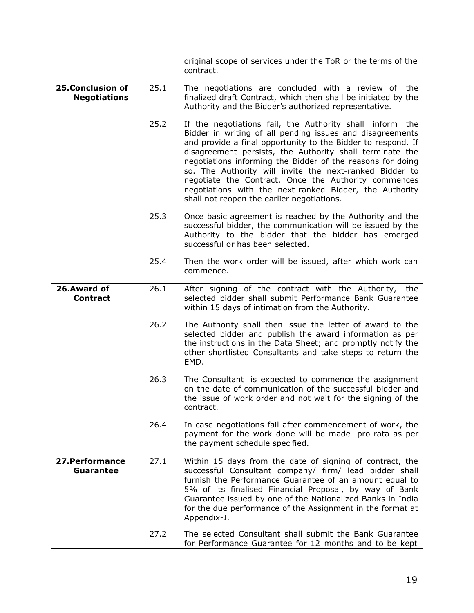<span id="page-18-2"></span><span id="page-18-1"></span><span id="page-18-0"></span>

|                                                |      | original scope of services under the ToR or the terms of the<br>contract.                                                                                                                                                                                                                                                                                                                                                                                                                                                                   |
|------------------------------------------------|------|---------------------------------------------------------------------------------------------------------------------------------------------------------------------------------------------------------------------------------------------------------------------------------------------------------------------------------------------------------------------------------------------------------------------------------------------------------------------------------------------------------------------------------------------|
| <b>25.Conclusion of</b><br><b>Negotiations</b> | 25.1 | The negotiations are concluded with a review of the<br>finalized draft Contract, which then shall be initiated by the<br>Authority and the Bidder's authorized representative.                                                                                                                                                                                                                                                                                                                                                              |
|                                                | 25.2 | If the negotiations fail, the Authority shall inform the<br>Bidder in writing of all pending issues and disagreements<br>and provide a final opportunity to the Bidder to respond. If<br>disagreement persists, the Authority shall terminate the<br>negotiations informing the Bidder of the reasons for doing<br>so. The Authority will invite the next-ranked Bidder to<br>negotiate the Contract. Once the Authority commences<br>negotiations with the next-ranked Bidder, the Authority<br>shall not reopen the earlier negotiations. |
|                                                | 25.3 | Once basic agreement is reached by the Authority and the<br>successful bidder, the communication will be issued by the<br>Authority to the bidder that the bidder has emerged<br>successful or has been selected.                                                                                                                                                                                                                                                                                                                           |
|                                                | 25.4 | Then the work order will be issued, after which work can<br>commence.                                                                                                                                                                                                                                                                                                                                                                                                                                                                       |
| 26.Award of<br><b>Contract</b>                 | 26.1 | After signing of the contract with the Authority, the<br>selected bidder shall submit Performance Bank Guarantee<br>within 15 days of intimation from the Authority.                                                                                                                                                                                                                                                                                                                                                                        |
|                                                | 26.2 | The Authority shall then issue the letter of award to the<br>selected bidder and publish the award information as per<br>the instructions in the Data Sheet; and promptly notify the<br>other shortlisted Consultants and take steps to return the<br>EMD.                                                                                                                                                                                                                                                                                  |
|                                                | 26.3 | The Consultant is expected to commence the assignment<br>on the date of communication of the successful bidder and<br>the issue of work order and not wait for the signing of the<br>contract.                                                                                                                                                                                                                                                                                                                                              |
|                                                | 26.4 | In case negotiations fail after commencement of work, the<br>payment for the work done will be made pro-rata as per<br>the payment schedule specified.                                                                                                                                                                                                                                                                                                                                                                                      |
| 27. Performance<br><b>Guarantee</b>            | 27.1 | Within 15 days from the date of signing of contract, the<br>successful Consultant company/ firm/ lead bidder shall<br>furnish the Performance Guarantee of an amount equal to<br>5% of its finalised Financial Proposal, by way of Bank<br>Guarantee issued by one of the Nationalized Banks in India<br>for the due performance of the Assignment in the format at<br>Appendix-I.                                                                                                                                                          |
|                                                | 27.2 | The selected Consultant shall submit the Bank Guarantee<br>for Performance Guarantee for 12 months and to be kept                                                                                                                                                                                                                                                                                                                                                                                                                           |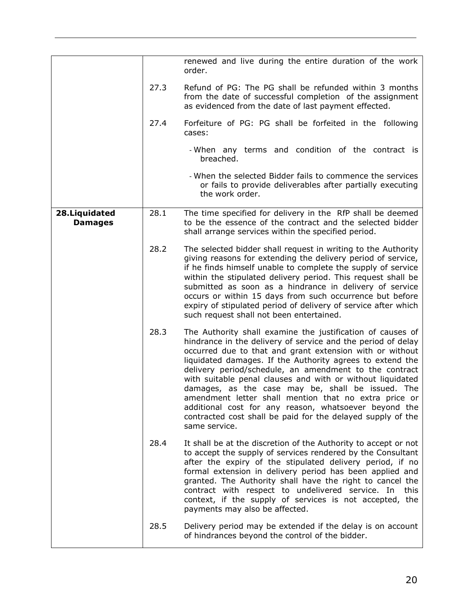<span id="page-19-0"></span>

|                                  |      | renewed and live during the entire duration of the work<br>order.                                                                                                                                                                                                                                                                                                                                                                                                                                                                                                                                                                  |
|----------------------------------|------|------------------------------------------------------------------------------------------------------------------------------------------------------------------------------------------------------------------------------------------------------------------------------------------------------------------------------------------------------------------------------------------------------------------------------------------------------------------------------------------------------------------------------------------------------------------------------------------------------------------------------------|
|                                  | 27.3 | Refund of PG: The PG shall be refunded within 3 months<br>from the date of successful completion of the assignment<br>as evidenced from the date of last payment effected.                                                                                                                                                                                                                                                                                                                                                                                                                                                         |
|                                  | 27.4 | Forfeiture of PG: PG shall be forfeited in the following<br>cases:                                                                                                                                                                                                                                                                                                                                                                                                                                                                                                                                                                 |
|                                  |      | - When any terms and condition of the contract is<br>breached.                                                                                                                                                                                                                                                                                                                                                                                                                                                                                                                                                                     |
|                                  |      | - When the selected Bidder fails to commence the services<br>or fails to provide deliverables after partially executing<br>the work order.                                                                                                                                                                                                                                                                                                                                                                                                                                                                                         |
| 28. Liquidated<br><b>Damages</b> | 28.1 | The time specified for delivery in the RfP shall be deemed<br>to be the essence of the contract and the selected bidder<br>shall arrange services within the specified period.                                                                                                                                                                                                                                                                                                                                                                                                                                                     |
|                                  | 28.2 | The selected bidder shall request in writing to the Authority<br>giving reasons for extending the delivery period of service,<br>if he finds himself unable to complete the supply of service<br>within the stipulated delivery period. This request shall be<br>submitted as soon as a hindrance in delivery of service<br>occurs or within 15 days from such occurrence but before<br>expiry of stipulated period of delivery of service after which<br>such request shall not been entertained.                                                                                                                                 |
|                                  | 28.3 | The Authority shall examine the justification of causes of<br>hindrance in the delivery of service and the period of delay<br>occurred due to that and grant extension with or without<br>liquidated damages. If the Authority agrees to extend the<br>delivery period/schedule, an amendment to the contract<br>with suitable penal clauses and with or without liquidated<br>damages, as the case may be, shall be issued. The<br>amendment letter shall mention that no extra price or<br>additional cost for any reason, whatsoever beyond the<br>contracted cost shall be paid for the delayed supply of the<br>same service. |
|                                  | 28.4 | It shall be at the discretion of the Authority to accept or not<br>to accept the supply of services rendered by the Consultant<br>after the expiry of the stipulated delivery period, if no<br>formal extension in delivery period has been applied and<br>granted. The Authority shall have the right to cancel the<br>contract with respect to undelivered service. In<br>this<br>context, if the supply of services is not accepted, the<br>payments may also be affected.                                                                                                                                                      |
|                                  | 28.5 | Delivery period may be extended if the delay is on account<br>of hindrances beyond the control of the bidder.                                                                                                                                                                                                                                                                                                                                                                                                                                                                                                                      |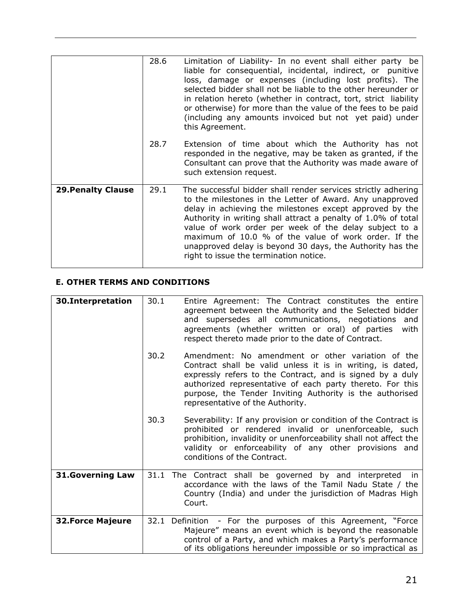|                           | 28.6<br>28.7 | Limitation of Liability- In no event shall either party be<br>liable for consequential, incidental, indirect, or punitive<br>loss, damage or expenses (including lost profits). The<br>selected bidder shall not be liable to the other hereunder or<br>in relation hereto (whether in contract, tort, strict liability<br>or otherwise) for more than the value of the fees to be paid<br>(including any amounts invoiced but not yet paid) under<br>this Agreement.<br>Extension of time about which the Authority has not<br>responded in the negative, may be taken as granted, if the |
|---------------------------|--------------|--------------------------------------------------------------------------------------------------------------------------------------------------------------------------------------------------------------------------------------------------------------------------------------------------------------------------------------------------------------------------------------------------------------------------------------------------------------------------------------------------------------------------------------------------------------------------------------------|
|                           |              | Consultant can prove that the Authority was made aware of<br>such extension request.                                                                                                                                                                                                                                                                                                                                                                                                                                                                                                       |
| <b>29. Penalty Clause</b> | 29.1         | The successful bidder shall render services strictly adhering<br>to the milestones in the Letter of Award. Any unapproved<br>delay in achieving the milestones except approved by the<br>Authority in writing shall attract a penalty of 1.0% of total<br>value of work order per week of the delay subject to a<br>maximum of 10.0 % of the value of work order. If the<br>unapproved delay is beyond 30 days, the Authority has the<br>right to issue the termination notice.                                                                                                            |

### <span id="page-20-1"></span><span id="page-20-0"></span>**E. OTHER TERMS AND CONDITIONS**

<span id="page-20-4"></span><span id="page-20-3"></span><span id="page-20-2"></span>

| 30.Interpretation        | 30.1 | Entire Agreement: The Contract constitutes the entire<br>agreement between the Authority and the Selected bidder<br>and supersedes all communications, negotiations<br>and<br>agreements (whether written or oral) of parties<br>with<br>respect thereto made prior to the date of Contract.                                              |
|--------------------------|------|-------------------------------------------------------------------------------------------------------------------------------------------------------------------------------------------------------------------------------------------------------------------------------------------------------------------------------------------|
|                          | 30.2 | Amendment: No amendment or other variation of the<br>Contract shall be valid unless it is in writing, is dated,<br>expressly refers to the Contract, and is signed by a duly<br>authorized representative of each party thereto. For this<br>purpose, the Tender Inviting Authority is the authorised<br>representative of the Authority. |
|                          | 30.3 | Severability: If any provision or condition of the Contract is<br>prohibited or rendered invalid or unenforceable, such<br>prohibition, invalidity or unenforceability shall not affect the<br>validity or enforceability of any other provisions and<br>conditions of the Contract.                                                      |
| <b>31.Governing Law</b>  |      | 31.1 The Contract shall be governed by and interpreted<br>in<br>accordance with the laws of the Tamil Nadu State / the<br>Country (India) and under the jurisdiction of Madras High<br>Court.                                                                                                                                             |
| <b>32. Force Majeure</b> | 32.1 | Definition - For the purposes of this Agreement, "Force<br>Majeure" means an event which is beyond the reasonable<br>control of a Party, and which makes a Party's performance<br>of its obligations hereunder impossible or so impractical as                                                                                            |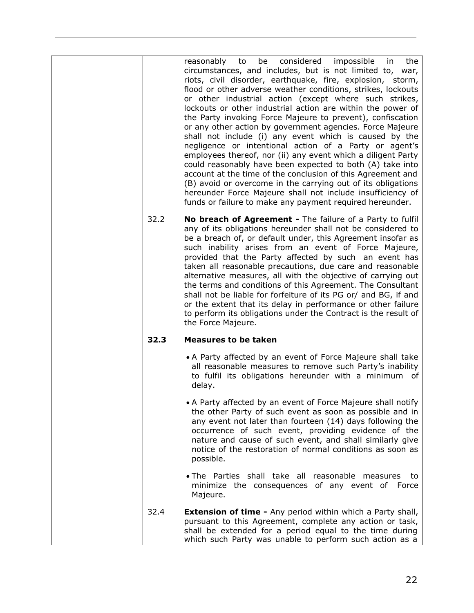| 32.2 | be considered impossible in<br>reasonably to<br>the<br>circumstances, and includes, but is not limited to, war,<br>riots, civil disorder, earthquake, fire, explosion, storm,<br>flood or other adverse weather conditions, strikes, lockouts<br>or other industrial action (except where such strikes,<br>lockouts or other industrial action are within the power of<br>the Party invoking Force Majeure to prevent), confiscation<br>or any other action by government agencies. Force Majeure<br>shall not include (i) any event which is caused by the<br>negligence or intentional action of a Party or agent's<br>employees thereof, nor (ii) any event which a diligent Party<br>could reasonably have been expected to both (A) take into<br>account at the time of the conclusion of this Agreement and<br>(B) avoid or overcome in the carrying out of its obligations<br>hereunder Force Majeure shall not include insufficiency of<br>funds or failure to make any payment required hereunder.<br>No breach of Agreement - The failure of a Party to fulfil<br>any of its obligations hereunder shall not be considered to<br>be a breach of, or default under, this Agreement insofar as<br>such inability arises from an event of Force Majeure,<br>provided that the Party affected by such an event has<br>taken all reasonable precautions, due care and reasonable<br>alternative measures, all with the objective of carrying out<br>the terms and conditions of this Agreement. The Consultant<br>shall not be liable for forfeiture of its PG or/ and BG, if and |
|------|----------------------------------------------------------------------------------------------------------------------------------------------------------------------------------------------------------------------------------------------------------------------------------------------------------------------------------------------------------------------------------------------------------------------------------------------------------------------------------------------------------------------------------------------------------------------------------------------------------------------------------------------------------------------------------------------------------------------------------------------------------------------------------------------------------------------------------------------------------------------------------------------------------------------------------------------------------------------------------------------------------------------------------------------------------------------------------------------------------------------------------------------------------------------------------------------------------------------------------------------------------------------------------------------------------------------------------------------------------------------------------------------------------------------------------------------------------------------------------------------------------------------------------------------------------------------------------------|
| 32.3 | or the extent that its delay in performance or other failure<br>to perform its obligations under the Contract is the result of<br>the Force Majeure.<br><b>Measures to be taken</b>                                                                                                                                                                                                                                                                                                                                                                                                                                                                                                                                                                                                                                                                                                                                                                                                                                                                                                                                                                                                                                                                                                                                                                                                                                                                                                                                                                                                    |
|      |                                                                                                                                                                                                                                                                                                                                                                                                                                                                                                                                                                                                                                                                                                                                                                                                                                                                                                                                                                                                                                                                                                                                                                                                                                                                                                                                                                                                                                                                                                                                                                                        |
|      | • A Party affected by an event of Force Majeure shall take<br>all reasonable measures to remove such Party's inability<br>to fulfil its obligations hereunder with a minimum of<br>delay.                                                                                                                                                                                                                                                                                                                                                                                                                                                                                                                                                                                                                                                                                                                                                                                                                                                                                                                                                                                                                                                                                                                                                                                                                                                                                                                                                                                              |
|      | • A Party affected by an event of Force Majeure shall notify<br>the other Party of such event as soon as possible and in<br>any event not later than fourteen (14) days following the<br>occurrence of such event, providing evidence of the<br>nature and cause of such event, and shall similarly give<br>notice of the restoration of normal conditions as soon as<br>possible.                                                                                                                                                                                                                                                                                                                                                                                                                                                                                                                                                                                                                                                                                                                                                                                                                                                                                                                                                                                                                                                                                                                                                                                                     |
|      | . The Parties shall take all reasonable measures to<br>minimize the consequences of any event of Force<br>Majeure.                                                                                                                                                                                                                                                                                                                                                                                                                                                                                                                                                                                                                                                                                                                                                                                                                                                                                                                                                                                                                                                                                                                                                                                                                                                                                                                                                                                                                                                                     |
| 32.4 | <b>Extension of time - Any period within which a Party shall,</b><br>pursuant to this Agreement, complete any action or task,<br>shall be extended for a period equal to the time during<br>which such Party was unable to perform such action as a                                                                                                                                                                                                                                                                                                                                                                                                                                                                                                                                                                                                                                                                                                                                                                                                                                                                                                                                                                                                                                                                                                                                                                                                                                                                                                                                    |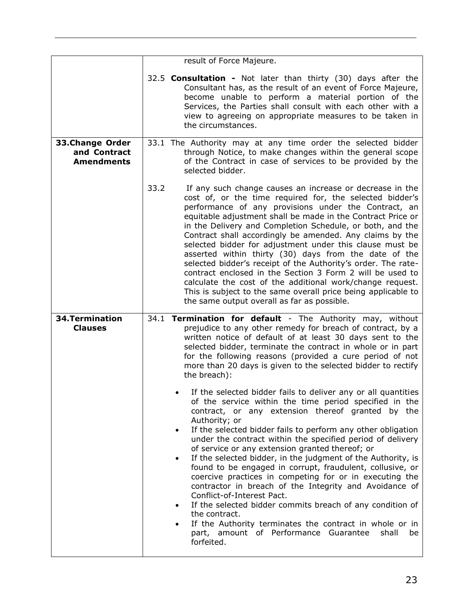<span id="page-22-1"></span><span id="page-22-0"></span>

|                                                      | result of Force Majeure.                                                                                                                                                                                                                                                                                                                                                                                                                                                                                                                                                                                                                                                                                                                                                                                                                                                                                |
|------------------------------------------------------|---------------------------------------------------------------------------------------------------------------------------------------------------------------------------------------------------------------------------------------------------------------------------------------------------------------------------------------------------------------------------------------------------------------------------------------------------------------------------------------------------------------------------------------------------------------------------------------------------------------------------------------------------------------------------------------------------------------------------------------------------------------------------------------------------------------------------------------------------------------------------------------------------------|
|                                                      | 32.5 <b>Consultation -</b> Not later than thirty (30) days after the<br>Consultant has, as the result of an event of Force Majeure,<br>become unable to perform a material portion of the<br>Services, the Parties shall consult with each other with a<br>view to agreeing on appropriate measures to be taken in<br>the circumstances.                                                                                                                                                                                                                                                                                                                                                                                                                                                                                                                                                                |
| 33.Change Order<br>and Contract<br><b>Amendments</b> | 33.1 The Authority may at any time order the selected bidder<br>through Notice, to make changes within the general scope<br>of the Contract in case of services to be provided by the<br>selected bidder.                                                                                                                                                                                                                                                                                                                                                                                                                                                                                                                                                                                                                                                                                               |
|                                                      | 33.2<br>If any such change causes an increase or decrease in the<br>cost of, or the time required for, the selected bidder's<br>performance of any provisions under the Contract, an<br>equitable adjustment shall be made in the Contract Price or<br>in the Delivery and Completion Schedule, or both, and the<br>Contract shall accordingly be amended. Any claims by the<br>selected bidder for adjustment under this clause must be<br>asserted within thirty (30) days from the date of the<br>selected bidder's receipt of the Authority's order. The rate-<br>contract enclosed in the Section 3 Form 2 will be used to<br>calculate the cost of the additional work/change request.<br>This is subject to the same overall price being applicable to<br>the same output overall as far as possible.                                                                                            |
| <b>34. Termination</b><br><b>Clauses</b>             | 34.1 Termination for default - The Authority may, without<br>prejudice to any other remedy for breach of contract, by a<br>written notice of default of at least 30 days sent to the<br>selected bidder, terminate the contract in whole or in part<br>for the following reasons (provided a cure period of not<br>more than 20 days is given to the selected bidder to rectify<br>the breach):                                                                                                                                                                                                                                                                                                                                                                                                                                                                                                         |
|                                                      | If the selected bidder fails to deliver any or all quantities<br>of the service within the time period specified in the<br>contract, or any extension thereof granted by the<br>Authority; or<br>If the selected bidder fails to perform any other obligation<br>$\bullet$<br>under the contract within the specified period of delivery<br>of service or any extension granted thereof; or<br>If the selected bidder, in the judgment of the Authority, is<br>$\bullet$<br>found to be engaged in corrupt, fraudulent, collusive, or<br>coercive practices in competing for or in executing the<br>contractor in breach of the Integrity and Avoidance of<br>Conflict-of-Interest Pact.<br>If the selected bidder commits breach of any condition of<br>the contract.<br>If the Authority terminates the contract in whole or in<br>part, amount of Performance Guarantee<br>shall<br>be<br>forfeited. |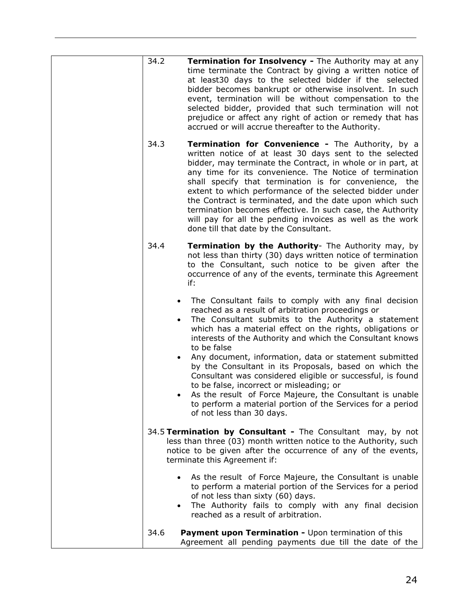| 34.2                                | Termination for Insolvency - The Authority may at any<br>time terminate the Contract by giving a written notice of<br>at least30 days to the selected bidder if the selected<br>bidder becomes bankrupt or otherwise insolvent. In such<br>event, termination will be without compensation to the<br>selected bidder, provided that such termination will not<br>prejudice or affect any right of action or remedy that has<br>accrued or will accrue thereafter to the Authority.                                                                                                                                                                                                               |
|-------------------------------------|--------------------------------------------------------------------------------------------------------------------------------------------------------------------------------------------------------------------------------------------------------------------------------------------------------------------------------------------------------------------------------------------------------------------------------------------------------------------------------------------------------------------------------------------------------------------------------------------------------------------------------------------------------------------------------------------------|
| 34.3                                | <b>Termination for Convenience - The Authority, by a</b><br>written notice of at least 30 days sent to the selected<br>bidder, may terminate the Contract, in whole or in part, at<br>any time for its convenience. The Notice of termination<br>shall specify that termination is for convenience, the<br>extent to which performance of the selected bidder under<br>the Contract is terminated, and the date upon which such<br>termination becomes effective. In such case, the Authority<br>will pay for all the pending invoices as well as the work<br>done till that date by the Consultant.                                                                                             |
| 34.4                                | Termination by the Authority- The Authority may, by<br>not less than thirty (30) days written notice of termination<br>to the Consultant, such notice to be given after the<br>occurrence of any of the events, terminate this Agreement<br>if:                                                                                                                                                                                                                                                                                                                                                                                                                                                  |
| $\bullet$<br>$\bullet$<br>$\bullet$ | The Consultant fails to comply with any final decision<br>reached as a result of arbitration proceedings or<br>The Consultant submits to the Authority a statement<br>which has a material effect on the rights, obligations or<br>interests of the Authority and which the Consultant knows<br>to be false<br>Any document, information, data or statement submitted<br>by the Consultant in its Proposals, based on which the<br>Consultant was considered eligible or successful, is found<br>to be false, incorrect or misleading; or<br>As the result of Force Majeure, the Consultant is unable<br>to perform a material portion of the Services for a period<br>of not less than 30 days. |
|                                     | 34.5 Termination by Consultant - The Consultant may, by not<br>less than three (03) month written notice to the Authority, such<br>notice to be given after the occurrence of any of the events,<br>terminate this Agreement if:                                                                                                                                                                                                                                                                                                                                                                                                                                                                 |
| $\bullet$<br>$\bullet$              | As the result of Force Majeure, the Consultant is unable<br>to perform a material portion of the Services for a period<br>of not less than sixty (60) days.<br>The Authority fails to comply with any final decision<br>reached as a result of arbitration.                                                                                                                                                                                                                                                                                                                                                                                                                                      |
| 34.6                                | Payment upon Termination - Upon termination of this<br>Agreement all pending payments due till the date of the                                                                                                                                                                                                                                                                                                                                                                                                                                                                                                                                                                                   |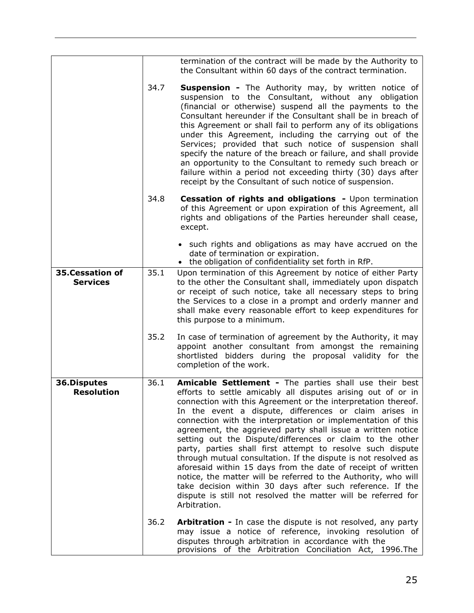<span id="page-24-1"></span><span id="page-24-0"></span>

|                                    |      | termination of the contract will be made by the Authority to<br>the Consultant within 60 days of the contract termination.                                                                                                                                                                                                                                                                                                                                                                                                                                                                                                                                                                                                                                                                                                                                    |
|------------------------------------|------|---------------------------------------------------------------------------------------------------------------------------------------------------------------------------------------------------------------------------------------------------------------------------------------------------------------------------------------------------------------------------------------------------------------------------------------------------------------------------------------------------------------------------------------------------------------------------------------------------------------------------------------------------------------------------------------------------------------------------------------------------------------------------------------------------------------------------------------------------------------|
|                                    | 34.7 | <b>Suspension -</b> The Authority may, by written notice of<br>suspension to the Consultant, without any obligation<br>(financial or otherwise) suspend all the payments to the<br>Consultant hereunder if the Consultant shall be in breach of<br>this Agreement or shall fail to perform any of its obligations<br>under this Agreement, including the carrying out of the<br>Services; provided that such notice of suspension shall<br>specify the nature of the breach or failure, and shall provide<br>an opportunity to the Consultant to remedy such breach or<br>failure within a period not exceeding thirty (30) days after<br>receipt by the Consultant of such notice of suspension.                                                                                                                                                             |
|                                    | 34.8 | Cessation of rights and obligations - Upon termination<br>of this Agreement or upon expiration of this Agreement, all<br>rights and obligations of the Parties hereunder shall cease,<br>except.                                                                                                                                                                                                                                                                                                                                                                                                                                                                                                                                                                                                                                                              |
|                                    |      | • such rights and obligations as may have accrued on the<br>date of termination or expiration.<br>• the obligation of confidentiality set forth in RfP.                                                                                                                                                                                                                                                                                                                                                                                                                                                                                                                                                                                                                                                                                                       |
| 35.Cessation of<br><b>Services</b> | 35.1 | Upon termination of this Agreement by notice of either Party<br>to the other the Consultant shall, immediately upon dispatch<br>or receipt of such notice, take all necessary steps to bring<br>the Services to a close in a prompt and orderly manner and<br>shall make every reasonable effort to keep expenditures for<br>this purpose to a minimum.                                                                                                                                                                                                                                                                                                                                                                                                                                                                                                       |
|                                    | 35.2 | In case of termination of agreement by the Authority, it may<br>appoint another consultant from amongst the remaining<br>shortlisted bidders during the proposal validity for the<br>completion of the work.                                                                                                                                                                                                                                                                                                                                                                                                                                                                                                                                                                                                                                                  |
| 36.Disputes<br><b>Resolution</b>   | 36.1 | Amicable Settlement - The parties shall use their best<br>efforts to settle amicably all disputes arising out of or in<br>connection with this Agreement or the interpretation thereof.<br>In the event a dispute, differences or claim arises in<br>connection with the interpretation or implementation of this<br>agreement, the aggrieved party shall issue a written notice<br>setting out the Dispute/differences or claim to the other<br>party, parties shall first attempt to resolve such dispute<br>through mutual consultation. If the dispute is not resolved as<br>aforesaid within 15 days from the date of receipt of written<br>notice, the matter will be referred to the Authority, who will<br>take decision within 30 days after such reference. If the<br>dispute is still not resolved the matter will be referred for<br>Arbitration. |
|                                    | 36.2 | Arbitration - In case the dispute is not resolved, any party<br>may issue a notice of reference, invoking resolution of<br>disputes through arbitration in accordance with the<br>provisions of the Arbitration Conciliation Act, 1996. The                                                                                                                                                                                                                                                                                                                                                                                                                                                                                                                                                                                                                   |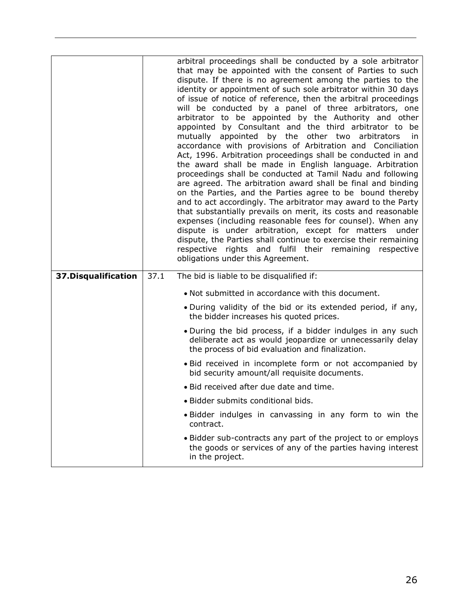<span id="page-25-0"></span>

|                      | arbitral proceedings shall be conducted by a sole arbitrator<br>that may be appointed with the consent of Parties to such<br>dispute. If there is no agreement among the parties to the<br>identity or appointment of such sole arbitrator within 30 days<br>of issue of notice of reference, then the arbitral proceedings<br>will be conducted by a panel of three arbitrators, one<br>arbitrator to be appointed by the Authority and other<br>appointed by Consultant and the third arbitrator to be<br>mutually appointed by the other two arbitrators<br>in.<br>accordance with provisions of Arbitration and Conciliation<br>Act, 1996. Arbitration proceedings shall be conducted in and<br>the award shall be made in English language. Arbitration<br>proceedings shall be conducted at Tamil Nadu and following<br>are agreed. The arbitration award shall be final and binding<br>on the Parties, and the Parties agree to be bound thereby<br>and to act accordingly. The arbitrator may award to the Party<br>that substantially prevails on merit, its costs and reasonable<br>expenses (including reasonable fees for counsel). When any<br>dispute is under arbitration, except for matters<br>under<br>dispute, the Parties shall continue to exercise their remaining<br>respective rights and fulfil their remaining respective<br>obligations under this Agreement. |  |  |  |  |
|----------------------|------------------------------------------------------------------------------------------------------------------------------------------------------------------------------------------------------------------------------------------------------------------------------------------------------------------------------------------------------------------------------------------------------------------------------------------------------------------------------------------------------------------------------------------------------------------------------------------------------------------------------------------------------------------------------------------------------------------------------------------------------------------------------------------------------------------------------------------------------------------------------------------------------------------------------------------------------------------------------------------------------------------------------------------------------------------------------------------------------------------------------------------------------------------------------------------------------------------------------------------------------------------------------------------------------------------------------------------------------------------------------------------|--|--|--|--|
| 37. Disqualification | 37.1<br>The bid is liable to be disqualified if:                                                                                                                                                                                                                                                                                                                                                                                                                                                                                                                                                                                                                                                                                                                                                                                                                                                                                                                                                                                                                                                                                                                                                                                                                                                                                                                                         |  |  |  |  |
|                      | • Not submitted in accordance with this document.                                                                                                                                                                                                                                                                                                                                                                                                                                                                                                                                                                                                                                                                                                                                                                                                                                                                                                                                                                                                                                                                                                                                                                                                                                                                                                                                        |  |  |  |  |
|                      | . During validity of the bid or its extended period, if any,<br>the bidder increases his quoted prices.                                                                                                                                                                                                                                                                                                                                                                                                                                                                                                                                                                                                                                                                                                                                                                                                                                                                                                                                                                                                                                                                                                                                                                                                                                                                                  |  |  |  |  |
|                      | • During the bid process, if a bidder indulges in any such<br>deliberate act as would jeopardize or unnecessarily delay<br>the process of bid evaluation and finalization.                                                                                                                                                                                                                                                                                                                                                                                                                                                                                                                                                                                                                                                                                                                                                                                                                                                                                                                                                                                                                                                                                                                                                                                                               |  |  |  |  |
|                      | . Bid received in incomplete form or not accompanied by<br>bid security amount/all requisite documents.                                                                                                                                                                                                                                                                                                                                                                                                                                                                                                                                                                                                                                                                                                                                                                                                                                                                                                                                                                                                                                                                                                                                                                                                                                                                                  |  |  |  |  |
|                      | • Bid received after due date and time.                                                                                                                                                                                                                                                                                                                                                                                                                                                                                                                                                                                                                                                                                                                                                                                                                                                                                                                                                                                                                                                                                                                                                                                                                                                                                                                                                  |  |  |  |  |
|                      | · Bidder submits conditional bids.                                                                                                                                                                                                                                                                                                                                                                                                                                                                                                                                                                                                                                                                                                                                                                                                                                                                                                                                                                                                                                                                                                                                                                                                                                                                                                                                                       |  |  |  |  |
|                      | . Bidder indulges in canvassing in any form to win the<br>contract.                                                                                                                                                                                                                                                                                                                                                                                                                                                                                                                                                                                                                                                                                                                                                                                                                                                                                                                                                                                                                                                                                                                                                                                                                                                                                                                      |  |  |  |  |
|                      | • Bidder sub-contracts any part of the project to or employs<br>the goods or services of any of the parties having interest                                                                                                                                                                                                                                                                                                                                                                                                                                                                                                                                                                                                                                                                                                                                                                                                                                                                                                                                                                                                                                                                                                                                                                                                                                                              |  |  |  |  |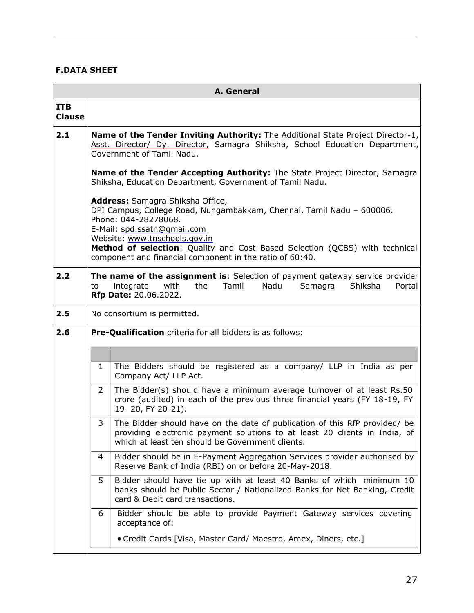#### <span id="page-26-0"></span>**F.DATA SHEET**

|                             | A. General                                                                                                                                                                                                                                                                                                                                                                                                                                                                                                                                                   |                                                                                                                                                                                       |  |  |  |  |  |  |  |  |
|-----------------------------|--------------------------------------------------------------------------------------------------------------------------------------------------------------------------------------------------------------------------------------------------------------------------------------------------------------------------------------------------------------------------------------------------------------------------------------------------------------------------------------------------------------------------------------------------------------|---------------------------------------------------------------------------------------------------------------------------------------------------------------------------------------|--|--|--|--|--|--|--|--|
| <b>ITB</b><br><b>Clause</b> |                                                                                                                                                                                                                                                                                                                                                                                                                                                                                                                                                              |                                                                                                                                                                                       |  |  |  |  |  |  |  |  |
| 2.1                         | Name of the Tender Inviting Authority: The Additional State Project Director-1,<br>Asst. Director/ Dy. Director, Samagra Shiksha, School Education Department,<br>Government of Tamil Nadu.                                                                                                                                                                                                                                                                                                                                                                  |                                                                                                                                                                                       |  |  |  |  |  |  |  |  |
|                             | Name of the Tender Accepting Authority: The State Project Director, Samagra<br>Shiksha, Education Department, Government of Tamil Nadu.                                                                                                                                                                                                                                                                                                                                                                                                                      |                                                                                                                                                                                       |  |  |  |  |  |  |  |  |
|                             | Address: Samagra Shiksha Office,<br>DPI Campus, College Road, Nungambakkam, Chennai, Tamil Nadu - 600006.<br>Phone: 044-28278068.<br>E-Mail: spd.ssatn@gmail.com<br>Website: www.tnschools.gov.in<br>Method of selection: Quality and Cost Based Selection (QCBS) with technical                                                                                                                                                                                                                                                                             |                                                                                                                                                                                       |  |  |  |  |  |  |  |  |
|                             |                                                                                                                                                                                                                                                                                                                                                                                                                                                                                                                                                              | component and financial component in the ratio of 60:40.                                                                                                                              |  |  |  |  |  |  |  |  |
| 2.2                         | The name of the assignment is: Selection of payment gateway service provider<br>with<br>the<br>Tamil<br>Nadu<br>Samagra<br>Shiksha<br>Portal<br>integrate<br>to<br>Rfp Date: 20.06.2022.                                                                                                                                                                                                                                                                                                                                                                     |                                                                                                                                                                                       |  |  |  |  |  |  |  |  |
| 2.5                         | No consortium is permitted.                                                                                                                                                                                                                                                                                                                                                                                                                                                                                                                                  |                                                                                                                                                                                       |  |  |  |  |  |  |  |  |
| 2.6                         |                                                                                                                                                                                                                                                                                                                                                                                                                                                                                                                                                              | Pre-Qualification criteria for all bidders is as follows:                                                                                                                             |  |  |  |  |  |  |  |  |
|                             |                                                                                                                                                                                                                                                                                                                                                                                                                                                                                                                                                              |                                                                                                                                                                                       |  |  |  |  |  |  |  |  |
|                             | $\mathbf{1}$                                                                                                                                                                                                                                                                                                                                                                                                                                                                                                                                                 | The Bidders should be registered as a company/ LLP in India as per<br>Company Act/ LLP Act.                                                                                           |  |  |  |  |  |  |  |  |
|                             | The Bidder(s) should have a minimum average turnover of at least Rs.50<br>$\overline{2}$<br>crore (audited) in each of the previous three financial years (FY 18-19, FY<br>19-20, FY 20-21).<br>3<br>The Bidder should have on the date of publication of this RfP provided/ be<br>providing electronic payment solutions to at least 20 clients in India, of<br>which at least ten should be Government clients.<br>Bidder should be in E-Payment Aggregation Services provider authorised by<br>4<br>Reserve Bank of India (RBI) on or before 20-May-2018. |                                                                                                                                                                                       |  |  |  |  |  |  |  |  |
|                             |                                                                                                                                                                                                                                                                                                                                                                                                                                                                                                                                                              |                                                                                                                                                                                       |  |  |  |  |  |  |  |  |
|                             |                                                                                                                                                                                                                                                                                                                                                                                                                                                                                                                                                              |                                                                                                                                                                                       |  |  |  |  |  |  |  |  |
|                             | 5                                                                                                                                                                                                                                                                                                                                                                                                                                                                                                                                                            | Bidder should have tie up with at least 40 Banks of which minimum 10<br>banks should be Public Sector / Nationalized Banks for Net Banking, Credit<br>card & Debit card transactions. |  |  |  |  |  |  |  |  |
|                             | 6                                                                                                                                                                                                                                                                                                                                                                                                                                                                                                                                                            | Bidder should be able to provide Payment Gateway services covering<br>acceptance of:                                                                                                  |  |  |  |  |  |  |  |  |
|                             |                                                                                                                                                                                                                                                                                                                                                                                                                                                                                                                                                              | • Credit Cards [Visa, Master Card/ Maestro, Amex, Diners, etc.]                                                                                                                       |  |  |  |  |  |  |  |  |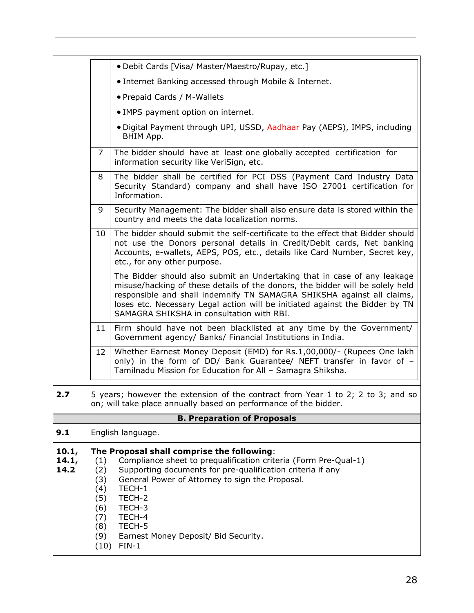|                        |                                                                                                                                                                                                                                                                                                                                                                                                            | • Debit Cards [Visa/ Master/Maestro/Rupay, etc.]                                                                                                                                                                                                                                                                                                                 |  |  |  |  |
|------------------------|------------------------------------------------------------------------------------------------------------------------------------------------------------------------------------------------------------------------------------------------------------------------------------------------------------------------------------------------------------------------------------------------------------|------------------------------------------------------------------------------------------------------------------------------------------------------------------------------------------------------------------------------------------------------------------------------------------------------------------------------------------------------------------|--|--|--|--|
|                        |                                                                                                                                                                                                                                                                                                                                                                                                            | • Internet Banking accessed through Mobile & Internet.                                                                                                                                                                                                                                                                                                           |  |  |  |  |
|                        |                                                                                                                                                                                                                                                                                                                                                                                                            | • Prepaid Cards / M-Wallets                                                                                                                                                                                                                                                                                                                                      |  |  |  |  |
|                        | • IMPS payment option on internet.                                                                                                                                                                                                                                                                                                                                                                         |                                                                                                                                                                                                                                                                                                                                                                  |  |  |  |  |
|                        | · Digital Payment through UPI, USSD, Aadhaar Pay (AEPS), IMPS, including<br>BHIM App.                                                                                                                                                                                                                                                                                                                      |                                                                                                                                                                                                                                                                                                                                                                  |  |  |  |  |
|                        | $\overline{7}$                                                                                                                                                                                                                                                                                                                                                                                             | The bidder should have at least one globally accepted certification for<br>information security like VeriSign, etc.                                                                                                                                                                                                                                              |  |  |  |  |
|                        | 8                                                                                                                                                                                                                                                                                                                                                                                                          | The bidder shall be certified for PCI DSS (Payment Card Industry Data<br>Security Standard) company and shall have ISO 27001 certification for<br>Information.                                                                                                                                                                                                   |  |  |  |  |
|                        | 9                                                                                                                                                                                                                                                                                                                                                                                                          | Security Management: The bidder shall also ensure data is stored within the<br>country and meets the data localization norms.                                                                                                                                                                                                                                    |  |  |  |  |
|                        | 10                                                                                                                                                                                                                                                                                                                                                                                                         | The bidder should submit the self-certificate to the effect that Bidder should<br>not use the Donors personal details in Credit/Debit cards, Net banking<br>Accounts, e-wallets, AEPS, POS, etc., details like Card Number, Secret key,<br>etc., for any other purpose.                                                                                          |  |  |  |  |
|                        |                                                                                                                                                                                                                                                                                                                                                                                                            | The Bidder should also submit an Undertaking that in case of any leakage<br>misuse/hacking of these details of the donors, the bidder will be solely held<br>responsible and shall indemnify TN SAMAGRA SHIKSHA against all claims,<br>loses etc. Necessary Legal action will be initiated against the Bidder by TN<br>SAMAGRA SHIKSHA in consultation with RBI. |  |  |  |  |
|                        | 11                                                                                                                                                                                                                                                                                                                                                                                                         | Firm should have not been blacklisted at any time by the Government/<br>Government agency/ Banks/ Financial Institutions in India.                                                                                                                                                                                                                               |  |  |  |  |
|                        | 12                                                                                                                                                                                                                                                                                                                                                                                                         | Whether Earnest Money Deposit (EMD) for Rs.1,00,000/- (Rupees One lakh<br>only) in the form of DD/ Bank Guarantee/ NEFT transfer in favor of -<br>Tamilnadu Mission for Education for All - Samagra Shiksha.                                                                                                                                                     |  |  |  |  |
| 2.7                    |                                                                                                                                                                                                                                                                                                                                                                                                            | 5 years; however the extension of the contract from Year 1 to 2; 2 to 3; and so<br>on; will take place annually based on performance of the bidder.                                                                                                                                                                                                              |  |  |  |  |
|                        |                                                                                                                                                                                                                                                                                                                                                                                                            | <b>B. Preparation of Proposals</b>                                                                                                                                                                                                                                                                                                                               |  |  |  |  |
| 9.1                    |                                                                                                                                                                                                                                                                                                                                                                                                            | English language.                                                                                                                                                                                                                                                                                                                                                |  |  |  |  |
| 10.1,<br>14.1,<br>14.2 | The Proposal shall comprise the following:<br>(1)<br>Compliance sheet to prequalification criteria (Form Pre-Qual-1)<br>Supporting documents for pre-qualification criteria if any<br>(2)<br>General Power of Attorney to sign the Proposal.<br>(3)<br>TECH-1<br>(4)<br>TECH-2<br>(5)<br>(6)<br>TECH-3<br>TECH-4<br>(7)<br>TECH-5<br>(8)<br>(9)<br>Earnest Money Deposit/ Bid Security.<br>$FIN-1$<br>(10) |                                                                                                                                                                                                                                                                                                                                                                  |  |  |  |  |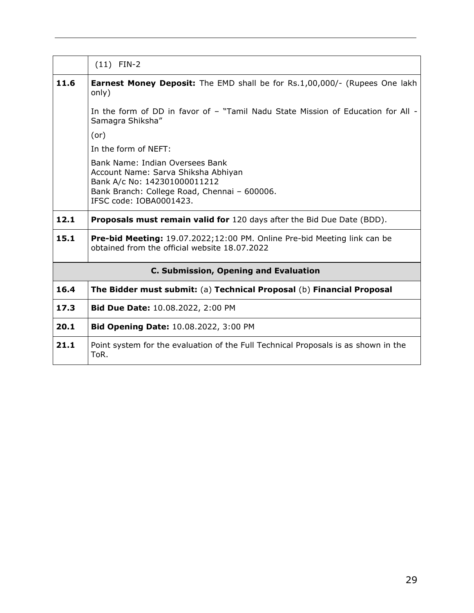|      | $(11)$ FIN-2                                                                                                                                                                      |  |  |  |  |  |  |  |
|------|-----------------------------------------------------------------------------------------------------------------------------------------------------------------------------------|--|--|--|--|--|--|--|
| 11.6 | <b>Earnest Money Deposit:</b> The EMD shall be for Rs.1,00,000/- (Rupees One lakh<br>only)                                                                                        |  |  |  |  |  |  |  |
|      | In the form of DD in favor of - "Tamil Nadu State Mission of Education for All -<br>Samagra Shiksha"                                                                              |  |  |  |  |  |  |  |
|      | (or)                                                                                                                                                                              |  |  |  |  |  |  |  |
|      | In the form of NEFT:                                                                                                                                                              |  |  |  |  |  |  |  |
|      | Bank Name: Indian Oversees Bank<br>Account Name: Sarva Shiksha Abhiyan<br>Bank A/c No: 142301000011212<br>Bank Branch: College Road, Chennai - 600006.<br>IFSC code: IOBA0001423. |  |  |  |  |  |  |  |
| 12.1 | <b>Proposals must remain valid for</b> 120 days after the Bid Due Date (BDD).                                                                                                     |  |  |  |  |  |  |  |
| 15.1 | <b>Pre-bid Meeting:</b> 19.07.2022;12:00 PM. Online Pre-bid Meeting link can be<br>obtained from the official website 18.07.2022                                                  |  |  |  |  |  |  |  |
|      | <b>C. Submission, Opening and Evaluation</b>                                                                                                                                      |  |  |  |  |  |  |  |
| 16.4 | The Bidder must submit: (a) Technical Proposal (b) Financial Proposal                                                                                                             |  |  |  |  |  |  |  |
| 17.3 | <b>Bid Due Date: 10.08.2022, 2:00 PM</b>                                                                                                                                          |  |  |  |  |  |  |  |
| 20.1 | Bid Opening Date: 10.08.2022, 3:00 PM                                                                                                                                             |  |  |  |  |  |  |  |
| 21.1 | Point system for the evaluation of the Full Technical Proposals is as shown in the<br>ToR.                                                                                        |  |  |  |  |  |  |  |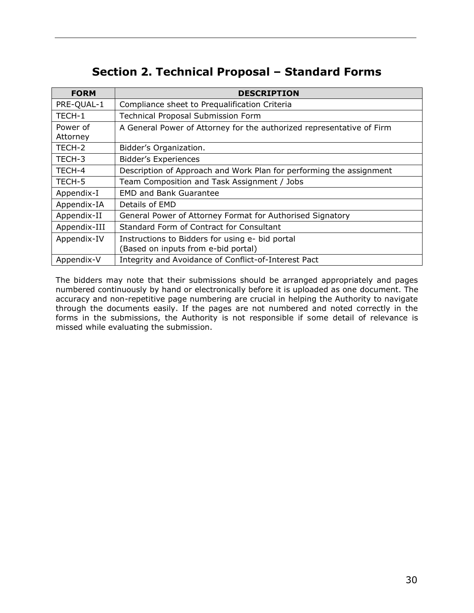# **Section 2. Technical Proposal – Standard Forms**

<span id="page-29-0"></span>

| <b>FORM</b>          | <b>DESCRIPTION</b>                                                    |
|----------------------|-----------------------------------------------------------------------|
| PRE-QUAL-1           | Compliance sheet to Prequalification Criteria                         |
| TECH-1               | <b>Technical Proposal Submission Form</b>                             |
| Power of<br>Attorney | A General Power of Attorney for the authorized representative of Firm |
| TECH-2               | Bidder's Organization.                                                |
| TECH-3               | <b>Bidder's Experiences</b>                                           |
| TECH-4               | Description of Approach and Work Plan for performing the assignment   |
| TECH-5               | Team Composition and Task Assignment / Jobs                           |
| Appendix-I           | <b>EMD and Bank Guarantee</b>                                         |
| Appendix-IA          | Details of EMD                                                        |
| Appendix-II          | General Power of Attorney Format for Authorised Signatory             |
| Appendix-III         | Standard Form of Contract for Consultant                              |
| Appendix-IV          | Instructions to Bidders for using e- bid portal                       |
|                      | (Based on inputs from e-bid portal)                                   |
| Appendix-V           | Integrity and Avoidance of Conflict-of-Interest Pact                  |

The bidders may note that their submissions should be arranged appropriately and pages numbered continuously by hand or electronically before it is uploaded as one document. The accuracy and non-repetitive page numbering are crucial in helping the Authority to navigate through the documents easily. If the pages are not numbered and noted correctly in the forms in the submissions, the Authority is not responsible if some detail of relevance is missed while evaluating the submission.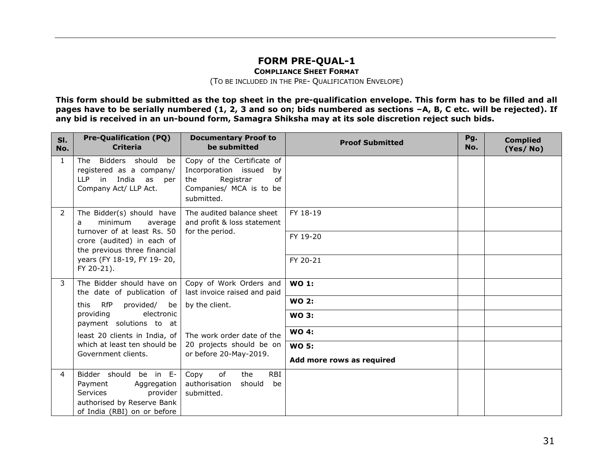#### **FORM PRE-QUAL-1**

**COMPLIANCE SHEET FORMAT**

(TO BE INCLUDED IN THE PRE- QUALIFICATION ENVELOPE)

**This form should be submitted as the top sheet in the pre-qualification envelope. This form has to be filled and all pages have to be serially numbered (1, 2, 3 and so on; bids numbered as sections –A, B, C etc. will be rejected). If** any bid is received in an un-bound form, Samagra Shiksha may at its sole discretion reject such bids.

<span id="page-30-0"></span>

| SI.<br>No.   | <b>Pre-Qualification (PQ)</b><br><b>Criteria</b>                                                                                      | <b>Documentary Proof to</b><br>be submitted                                                                                 | <b>Proof Submitted</b>    | Pg.<br>No. | <b>Complied</b><br>(Yes/No) |
|--------------|---------------------------------------------------------------------------------------------------------------------------------------|-----------------------------------------------------------------------------------------------------------------------------|---------------------------|------------|-----------------------------|
| $\mathbf{1}$ | The Bidders should<br>be<br>registered as a company/<br>LLP in India<br>as<br>per<br>Company Act/ LLP Act.                            | Copy of the Certificate of<br>Incorporation issued<br>by<br>Registrar<br>of<br>the<br>Companies/ MCA is to be<br>submitted. |                           |            |                             |
| 2            | The Bidder(s) should have<br>minimum<br>average<br>a                                                                                  | The audited balance sheet<br>and profit & loss statement                                                                    | FY 18-19                  |            |                             |
|              | turnover of at least Rs. 50<br>crore (audited) in each of<br>the previous three financial<br>years (FY 18-19, FY 19-20,<br>FY 20-21). | for the period.                                                                                                             | FY 19-20                  |            |                             |
|              |                                                                                                                                       |                                                                                                                             | FY 20-21                  |            |                             |
| 3            | The Bidder should have on<br>the date of publication of                                                                               | Copy of Work Orders and<br>last invoice raised and paid                                                                     | <b>WO 1:</b>              |            |                             |
|              | <b>RfP</b><br>provided/<br>be<br>this                                                                                                 | by the client.                                                                                                              | <b>WO 2:</b>              |            |                             |
|              | providing<br>electronic<br>payment solutions to at                                                                                    |                                                                                                                             | <b>WO 3:</b>              |            |                             |
|              | least 20 clients in India, of                                                                                                         | The work order date of the                                                                                                  | <b>WO 4:</b>              |            |                             |
|              | which at least ten should be<br>Government clients.                                                                                   | 20 projects should be on<br>or before 20-May-2019.                                                                          | <b>WO 5:</b>              |            |                             |
|              |                                                                                                                                       |                                                                                                                             | Add more rows as required |            |                             |
| 4            | Bidder should be in E-<br>Payment<br>Aggregation<br>Services<br>provider<br>authorised by Reserve Bank<br>of India (RBI) on or before | <b>RBI</b><br>Copy<br>of<br>the<br>authorisation<br>should<br>be<br>submitted.                                              |                           |            |                             |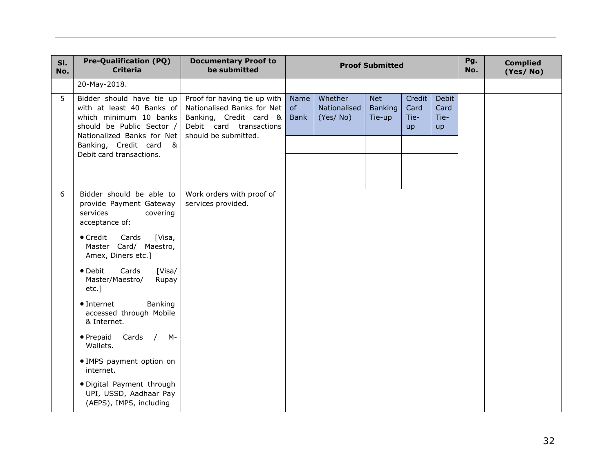| SI.<br>No. | <b>Pre-Qualification (PQ)</b><br><b>Criteria</b>                                                                                            | <b>Documentary Proof to</b><br>be submitted                                                                                             | <b>Proof Submitted</b>    |                                     |                                 |                                     | Pg.<br>No.                         | <b>Complied</b><br>(Yes/No) |  |
|------------|---------------------------------------------------------------------------------------------------------------------------------------------|-----------------------------------------------------------------------------------------------------------------------------------------|---------------------------|-------------------------------------|---------------------------------|-------------------------------------|------------------------------------|-----------------------------|--|
|            | 20-May-2018.                                                                                                                                |                                                                                                                                         |                           |                                     |                                 |                                     |                                    |                             |  |
| 5          | Bidder should have tie up<br>with at least 40 Banks of<br>which minimum 10 banks<br>should be Public Sector /<br>Nationalized Banks for Net | Proof for having tie up with<br>Nationalised Banks for Net<br>Banking, Credit card &<br>Debit card transactions<br>should be submitted. | Name<br>of<br><b>Bank</b> | Whether<br>Nationalised<br>(Yes/No) | Net<br><b>Banking</b><br>Tie-up | Credit<br>Card<br>Tie-<br><b>up</b> | <b>Debit</b><br>Card<br>Tie-<br>up |                             |  |
|            | Banking, Credit card<br>Debit card transactions.                                                                                            | &                                                                                                                                       |                           |                                     |                                 |                                     |                                    |                             |  |
| 6          | Bidder should be able to<br>provide Payment Gateway<br>services<br>covering<br>acceptance of:                                               | Work orders with proof of<br>services provided.                                                                                         |                           |                                     |                                 |                                     |                                    |                             |  |
|            | $\bullet$ Credit<br>Cards<br>[Visa,<br>Master Card/ Maestro,<br>Amex, Diners etc.]                                                          |                                                                                                                                         |                           |                                     |                                 |                                     |                                    |                             |  |
|            | • Debit<br>Cards<br>[Visa/<br>Master/Maestro/<br>Rupay<br>$etc.$ ]                                                                          |                                                                                                                                         |                           |                                     |                                 |                                     |                                    |                             |  |
|            | Banking<br>• Internet<br>accessed through Mobile<br>& Internet.                                                                             |                                                                                                                                         |                           |                                     |                                 |                                     |                                    |                             |  |
|            | • Prepaid<br>Cards / M-<br>Wallets.                                                                                                         |                                                                                                                                         |                           |                                     |                                 |                                     |                                    |                             |  |
|            | • IMPS payment option on<br>internet.                                                                                                       |                                                                                                                                         |                           |                                     |                                 |                                     |                                    |                             |  |
|            | · Digital Payment through<br>UPI, USSD, Aadhaar Pay<br>(AEPS), IMPS, including                                                              |                                                                                                                                         |                           |                                     |                                 |                                     |                                    |                             |  |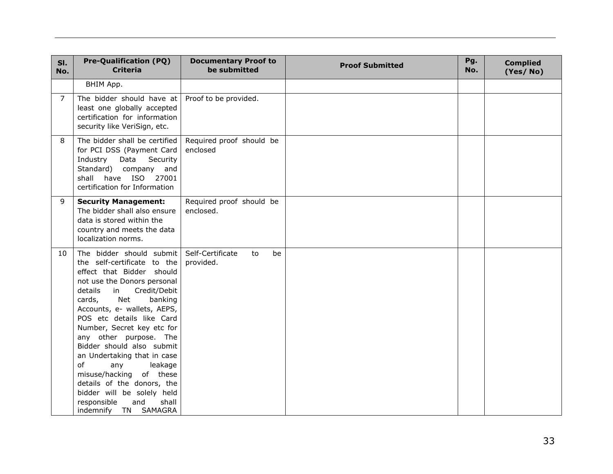| SI.<br>No.     | <b>Pre-Qualification (PQ)</b><br><b>Criteria</b>                                                                                                                                                                                                                                                                                                                                                                                                                                                                                       | <b>Documentary Proof to</b><br>be submitted | <b>Proof Submitted</b> | Pg.<br>No. | <b>Complied</b><br>(Yes/No) |
|----------------|----------------------------------------------------------------------------------------------------------------------------------------------------------------------------------------------------------------------------------------------------------------------------------------------------------------------------------------------------------------------------------------------------------------------------------------------------------------------------------------------------------------------------------------|---------------------------------------------|------------------------|------------|-----------------------------|
|                | BHIM App.                                                                                                                                                                                                                                                                                                                                                                                                                                                                                                                              |                                             |                        |            |                             |
| $\overline{7}$ | The bidder should have at<br>least one globally accepted<br>certification for information<br>security like VeriSign, etc.                                                                                                                                                                                                                                                                                                                                                                                                              | Proof to be provided.                       |                        |            |                             |
| 8              | The bidder shall be certified<br>for PCI DSS (Payment Card<br>Industry<br>Data<br>Security<br>Standard) company and<br>shall have ISO 27001<br>certification for Information                                                                                                                                                                                                                                                                                                                                                           | Required proof should be<br>enclosed        |                        |            |                             |
| 9              | <b>Security Management:</b><br>The bidder shall also ensure<br>data is stored within the<br>country and meets the data<br>localization norms.                                                                                                                                                                                                                                                                                                                                                                                          | Required proof should be<br>enclosed.       |                        |            |                             |
| 10             | The bidder should submit<br>the self-certificate to the<br>effect that Bidder should<br>not use the Donors personal<br>details<br>Credit/Debit<br>in<br>Net<br>cards,<br>banking<br>Accounts, e- wallets, AEPS,<br>POS etc details like Card<br>Number, Secret key etc for<br>any other purpose. The<br>Bidder should also submit<br>an Undertaking that in case<br>of<br>any<br>leakage<br>misuse/hacking of these<br>details of the donors, the<br>bidder will be solely held<br>responsible<br>shall<br>and<br>indemnify TN SAMAGRA | Self-Certificate<br>to<br>be<br>provided.   |                        |            |                             |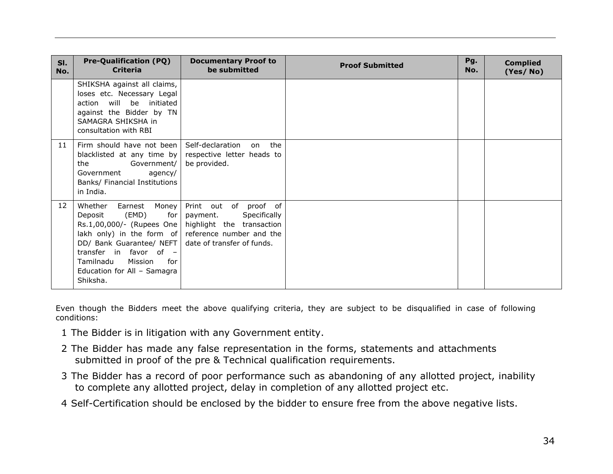| SI.<br>No. | <b>Pre-Qualification (PQ)</b><br><b>Criteria</b>                                                                                                                                                                                                                          | <b>Documentary Proof to</b><br>be submitted                                                                  | <b>Proof Submitted</b> | Pg.<br>No. | <b>Complied</b><br>(Yes/No) |
|------------|---------------------------------------------------------------------------------------------------------------------------------------------------------------------------------------------------------------------------------------------------------------------------|--------------------------------------------------------------------------------------------------------------|------------------------|------------|-----------------------------|
|            | SHIKSHA against all claims,<br>loses etc. Necessary Legal<br>action will be initiated<br>against the Bidder by TN<br>SAMAGRA SHIKSHA in<br>consultation with RBI                                                                                                          |                                                                                                              |                        |            |                             |
| 11         | Firm should have not been<br>blacklisted at any time by<br>the<br>Government/<br>Government<br>agency/<br>Banks/ Financial Institutions<br>in India.                                                                                                                      | on the<br>Self-declaration<br>respective letter heads to<br>be provided.                                     |                        |            |                             |
| 12         | Whether<br>Earnest Money<br>Deposit (EMD)<br>for $ $<br>Rs.1,00,000/- (Rupees One  <br>lakh only) in the form of reference number and the<br>DD/ Bank Guarantee/ NEFT<br>transfer in favor of -<br>Mission<br>Tamilnadu<br>for<br>Education for All - Samagra<br>Shiksha. | Print out of proof of<br>Specifically<br>payment.<br>highlight the transaction<br>date of transfer of funds. |                        |            |                             |

Even though the Bidders meet the above qualifying criteria, they are subject to be disqualified in case of following conditions:

- 1 The Bidder is in litigation with any Government entity.
- 2 The Bidder has made any false representation in the forms, statements and attachments submitted in proof of the pre & Technical qualification requirements.
- 3 The Bidder has a record of poor performance such as abandoning of any allotted project, inability to complete any allotted project, delay in completion of any allotted project etc.
- 4 Self-Certification should be enclosed by the bidder to ensure free from the above negative lists.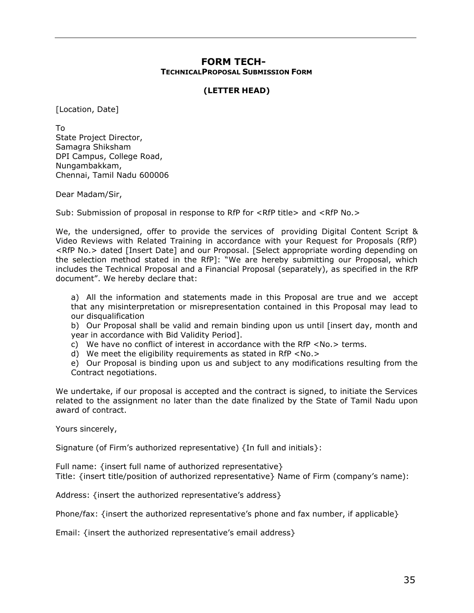#### **FORM TECH-35 TECHNICALPROPOSAL SUBMISSION FORM**

#### **(LETTER HEAD)**

<span id="page-34-0"></span>[Location, Date]

To State Project Director, Samagra Shiksham DPI Campus, College Road, Nungambakkam, Chennai, Tamil Nadu 600006

Dear Madam/Sir,

Sub: Submission of proposal in response to RfP for <RfP title> and <RfP No.>

We, the undersigned, offer to provide the services of providing Digital Content Script & Video Reviews with Related Training in accordance with your Request for Proposals (RfP) <RfP No.> dated [Insert Date] and our Proposal. [Select appropriate wording depending on the selection method stated in the RfP]: "We are hereby submitting our Proposal, which includes the Technical Proposal and a Financial Proposal (separately), as specified in the RfP document". We hereby declare that:

a) All the information and statements made in this Proposal are true and we accept that any misinterpretation or misrepresentation contained in this Proposal may lead to our disqualification

b) Our Proposal shall be valid and remain binding upon us until [insert day, month and year in accordance with Bid Validity Period].

c) We have no conflict of interest in accordance with the RfP <No.> terms.

d) We meet the eligibility requirements as stated in RfP <No.>

e) Our Proposal is binding upon us and subject to any modifications resulting from the Contract negotiations.

We undertake, if our proposal is accepted and the contract is signed, to initiate the Services related to the assignment no later than the date finalized by the State of Tamil Nadu upon award of contract.

Yours sincerely,

Signature (of Firm's authorized representative) {In full and initials}:

Full name: {insert full name of authorized representative} Title: {insert title/position of authorized representative} Name of Firm (company's name):

Address: {insert the authorized representative's address}

Phone/fax: {insert the authorized representative's phone and fax number, if applicable}

Email: {insert the authorized representative's email address}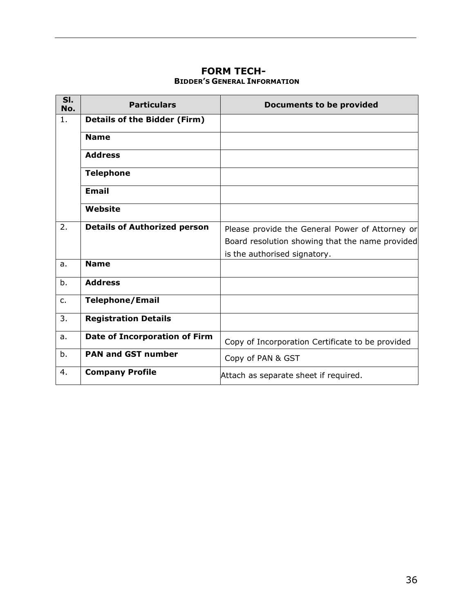### **FORM TECH-36 BIDDER'S GENERAL INFORMATION**

<span id="page-35-0"></span>

| SI.<br>No. | <b>Particulars</b>                  | <b>Documents to be provided</b>                                                                    |
|------------|-------------------------------------|----------------------------------------------------------------------------------------------------|
| 1.         | <b>Details of the Bidder (Firm)</b> |                                                                                                    |
|            | <b>Name</b>                         |                                                                                                    |
|            | <b>Address</b>                      |                                                                                                    |
|            | <b>Telephone</b>                    |                                                                                                    |
|            | <b>Email</b>                        |                                                                                                    |
|            | Website                             |                                                                                                    |
| 2.         | <b>Details of Authorized person</b> | Please provide the General Power of Attorney or<br>Board resolution showing that the name provided |
|            |                                     | is the authorised signatory.                                                                       |
| a.         | <b>Name</b>                         |                                                                                                    |
| b.         | <b>Address</b>                      |                                                                                                    |
| $C_{1}$    | <b>Telephone/Email</b>              |                                                                                                    |
| 3.         | <b>Registration Details</b>         |                                                                                                    |
| a.         | Date of Incorporation of Firm       | Copy of Incorporation Certificate to be provided                                                   |
| b.         | <b>PAN and GST number</b>           | Copy of PAN & GST                                                                                  |
| 4.         | <b>Company Profile</b>              | Attach as separate sheet if required.                                                              |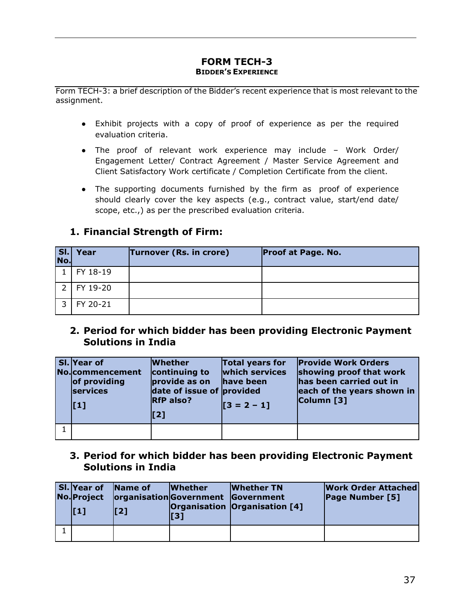#### **FORM TECH-3 BIDDER'S EXPERIENCE**

<span id="page-36-0"></span>Form TECH-3: a brief description of the Bidder's recent experience that is most relevant to the assignment.

- Exhibit projects with a copy of proof of experience as per the required evaluation criteria.
- The proof of relevant work experience may include Work Order/ Engagement Letter/ Contract Agreement / Master Service Agreement and Client Satisfactory Work certificate / Completion Certificate from the client.
- The supporting documents furnished by the firm as proof of experience should clearly cover the key aspects (e.g., contract value, start/end date/ scope, etc.,) as per the prescribed evaluation criteria.

| $\overline{\mathsf{S}}$<br>No. | Year     | Turnover (Rs. in crore) | <b>Proof at Page. No.</b> |
|--------------------------------|----------|-------------------------|---------------------------|
|                                | FY 18-19 |                         |                           |
|                                | FY 19-20 |                         |                           |
| ∍                              | FY 20-21 |                         |                           |

### **1. Financial Strength of Firm:**

### **2. Period for which bidder has been providing Electronic Payment Solutions in India**

| SI. Year of<br>No.commencement<br>of providing<br><b>services</b><br>$\vert$ [1] | <b>Whether</b><br>continuing to<br>provide as on<br>date of issue of provided<br><b>RfP</b> also?<br>$\mathbf{[}2\mathbf{]}$ | <b>Total years for</b><br><b>which services</b><br>have been<br>$\sqrt{3} = 2 - 11$ | <b>Provide Work Orders</b><br>showing proof that work<br>has been carried out in<br>each of the years shown in<br>Column [3] |
|----------------------------------------------------------------------------------|------------------------------------------------------------------------------------------------------------------------------|-------------------------------------------------------------------------------------|------------------------------------------------------------------------------------------------------------------------------|
|                                                                                  |                                                                                                                              |                                                                                     |                                                                                                                              |

### **3. Period for which bidder has been providing Electronic Payment Solutions in India**

| <b>SI.</b> Year of<br>No. Project<br>l T 1 1 | <b>Name of</b><br>[2] | <b>Whether</b><br>organisationGovernment Government<br>$\vert$ [3] | <b>Whether TN</b><br>Organisation Organisation [4] | <b>Work Order Attached</b><br>Page Number [5] |
|----------------------------------------------|-----------------------|--------------------------------------------------------------------|----------------------------------------------------|-----------------------------------------------|
|                                              |                       |                                                                    |                                                    |                                               |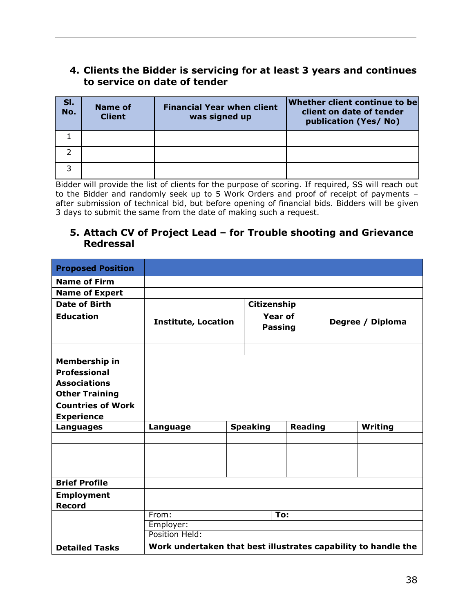### **4. Clients the Bidder is servicing for at least 3 years and continues to service on date of tender**

| SI.<br>$\overline{N}$ o. | Name of<br><b>Client</b> | <b>Financial Year when client</b><br>was signed up | Whether client continue to be<br>client on date of tender<br>publication (Yes/No) |
|--------------------------|--------------------------|----------------------------------------------------|-----------------------------------------------------------------------------------|
|                          |                          |                                                    |                                                                                   |
|                          |                          |                                                    |                                                                                   |
|                          |                          |                                                    |                                                                                   |

Bidder will provide the list of clients for the purpose of scoring. If required, SS will reach out to the Bidder and randomly seek up to 5 Work Orders and proof of receipt of payments – after submission of technical bid, but before opening of financial bids. Bidders will be given 3 days to submit the same from the date of making such a request.

### **5. Attach CV of Project Lead – for Trouble shooting and Grievance Redressal**

| <b>Proposed Position</b> |                                                                |             |                                  |                |                  |         |
|--------------------------|----------------------------------------------------------------|-------------|----------------------------------|----------------|------------------|---------|
| <b>Name of Firm</b>      |                                                                |             |                                  |                |                  |         |
| <b>Name of Expert</b>    |                                                                |             |                                  |                |                  |         |
| <b>Date of Birth</b>     |                                                                | Citizenship |                                  |                |                  |         |
| <b>Education</b>         | <b>Institute, Location</b>                                     |             | <b>Year of</b><br><b>Passing</b> |                | Degree / Diploma |         |
|                          |                                                                |             |                                  |                |                  |         |
|                          |                                                                |             |                                  |                |                  |         |
| Membership in            |                                                                |             |                                  |                |                  |         |
| <b>Professional</b>      |                                                                |             |                                  |                |                  |         |
| <b>Associations</b>      |                                                                |             |                                  |                |                  |         |
| <b>Other Training</b>    |                                                                |             |                                  |                |                  |         |
| <b>Countries of Work</b> |                                                                |             |                                  |                |                  |         |
| <b>Experience</b>        |                                                                |             |                                  |                |                  |         |
| Languages                | Language                                                       |             | <b>Speaking</b>                  | <b>Reading</b> |                  | Writing |
|                          |                                                                |             |                                  |                |                  |         |
|                          |                                                                |             |                                  |                |                  |         |
|                          |                                                                |             |                                  |                |                  |         |
|                          |                                                                |             |                                  |                |                  |         |
| <b>Brief Profile</b>     |                                                                |             |                                  |                |                  |         |
| <b>Employment</b>        |                                                                |             |                                  |                |                  |         |
| <b>Record</b>            |                                                                |             |                                  |                |                  |         |
|                          | From:                                                          |             |                                  | To:            |                  |         |
|                          | Employer:                                                      |             |                                  |                |                  |         |
|                          | Position Held:                                                 |             |                                  |                |                  |         |
| <b>Detailed Tasks</b>    | Work undertaken that best illustrates capability to handle the |             |                                  |                |                  |         |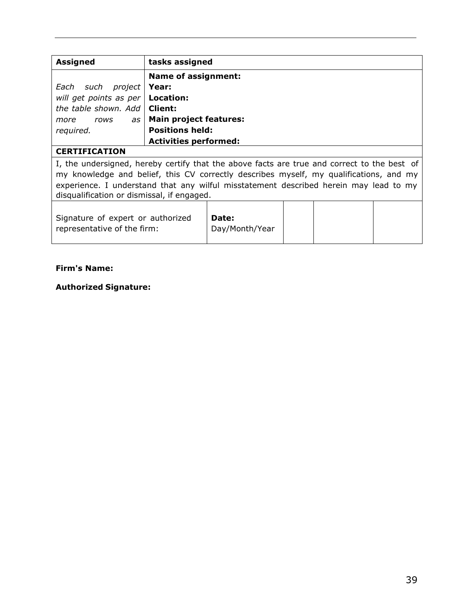| <b>Assigned</b>                                                                             | tasks assigned               |  |  |  |  |  |
|---------------------------------------------------------------------------------------------|------------------------------|--|--|--|--|--|
|                                                                                             | <b>Name of assignment:</b>   |  |  |  |  |  |
| Each<br>project  <br>such                                                                   | Year:                        |  |  |  |  |  |
| will get points as per                                                                      | Location:                    |  |  |  |  |  |
| the table shown. Add                                                                        | Client:                      |  |  |  |  |  |
| as I<br>more<br>rows                                                                        | Main project features:       |  |  |  |  |  |
| required.                                                                                   | <b>Positions held:</b>       |  |  |  |  |  |
|                                                                                             | <b>Activities performed:</b> |  |  |  |  |  |
| <b>CERTIFICATION</b>                                                                        |                              |  |  |  |  |  |
| I, the undersigned, hereby certify that the above facts are true and correct to the best of |                              |  |  |  |  |  |
| my knowledge and belief, this CV correctly describes myself, my qualifications, and my      |                              |  |  |  |  |  |
| experience. I understand that any wilful misstatement described herein may lead to my       |                              |  |  |  |  |  |
| disqualification or dismissal, if engaged.                                                  |                              |  |  |  |  |  |
|                                                                                             |                              |  |  |  |  |  |
| Signature of expert or authorized<br>Date:                                                  |                              |  |  |  |  |  |
| representative of the firm:                                                                 | Day/Month/Year               |  |  |  |  |  |
|                                                                                             |                              |  |  |  |  |  |

#### **Firm's Name:**

**Authorized Signature:**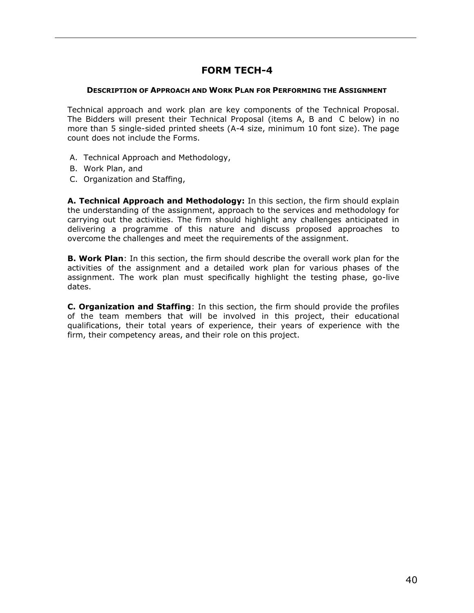### **FORM TECH-4**

#### <span id="page-39-0"></span>**DESCRIPTION OF APPROACH AND WORK PLAN FOR PERFORMING THE ASSIGNMENT**

Technical approach and work plan are key components of the Technical Proposal. The Bidders will present their Technical Proposal (items A, B and C below) in no more than 5 single-sided printed sheets (A-4 size, minimum 10 font size). The page count does not include the Forms.

- A. Technical Approach and Methodology,
- B. Work Plan, and
- C. Organization and Staffing,

**A. Technical Approach and Methodology:** In this section, the firm should explain the understanding of the assignment, approach to the services and methodology for carrying out the activities. The firm should highlight any challenges anticipated in delivering a programme of this nature and discuss proposed approaches to overcome the challenges and meet the requirements of the assignment.

**B. Work Plan**: In this section, the firm should describe the overall work plan for the activities of the assignment and a detailed work plan for various phases of the assignment. The work plan must specifically highlight the testing phase, go-live dates.

**C. Organization and Staffing**: In this section, the firm should provide the profiles of the team members that will be involved in this project, their educational qualifications, their total years of experience, their years of experience with the firm, their competency areas, and their role on this project.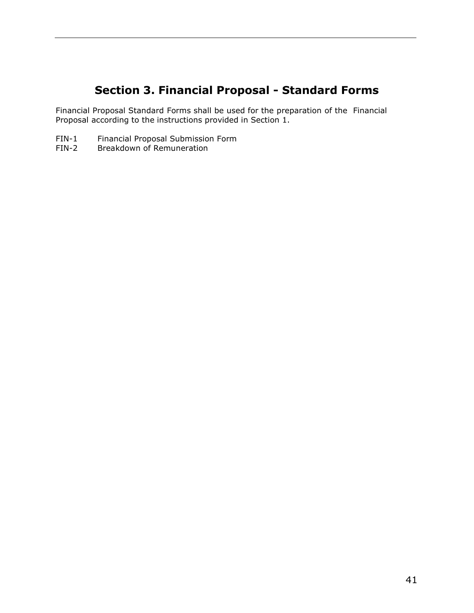# **Section 3. Financial Proposal - Standard Forms**

<span id="page-40-0"></span>Financial Proposal Standard Forms shall be used for the preparation of the Financial Proposal according to the instructions provided in Section 1.

- FIN-1 Financial Proposal Submission Form<br>FIN-2 Breakdown of Remuneration
- Breakdown of Remuneration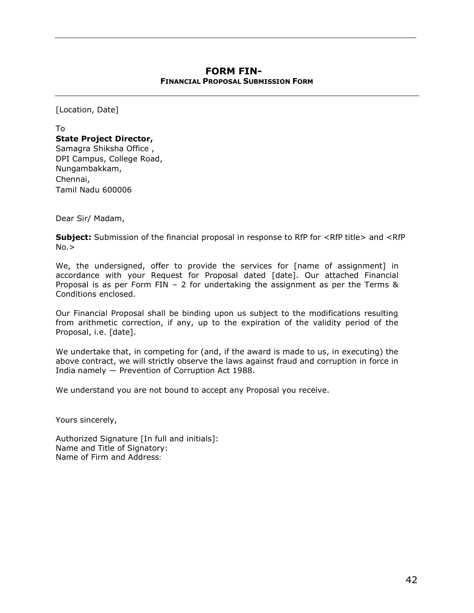#### **FORM FIN-42 FINANCIAL PROPOSAL SUBMISSION FORM**

<span id="page-41-0"></span>[Location, Date]

To **State Project Director,** Samagra Shiksha Office , DPI Campus, College Road, Nungambakkam, Chennai, Tamil Nadu 600006

Dear Sir/ Madam,

**Subject:** Submission of the financial proposal in response to RfP for <RfP title> and <RfP  $No.$ 

We, the undersigned, offer to provide the services for [name of assignment] in accordance with your Request for Proposal dated [date]. Our attached Financial Proposal is as per Form FIN – 2 for undertaking the assignment as per the Terms & Conditions enclosed.

Our Financial Proposal shall be binding upon us subject to the modifications resulting from arithmetic correction, if any, up to the expiration of the validity period of the Proposal, i.e. [date].

We undertake that, in competing for (and, if the award is made to us, in executing) the above contract, we will strictly observe the laws against fraud and corruption in force in India namely ― Prevention of Corruption Act 1988.

We understand you are not bound to accept any Proposal you receive.

Yours sincerely,

Authorized Signature [In full and initials]: Name and Title of Signatory: Name of Firm and Address: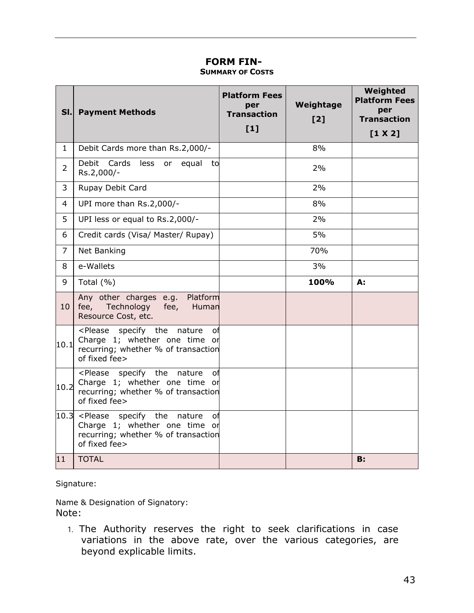### **FORM FIN-43 SUMMARY OF COSTS**

<span id="page-42-0"></span>

| SI.            | <b>Payment Methods</b>                                                                                                                                     | <b>Platform Fees</b><br>per<br><b>Transaction</b><br>$[1]$ | Weightage<br>[2] | Weighted<br><b>Platform Fees</b><br>per<br><b>Transaction</b><br>[1 X 2] |
|----------------|------------------------------------------------------------------------------------------------------------------------------------------------------------|------------------------------------------------------------|------------------|--------------------------------------------------------------------------|
| $\mathbf{1}$   | Debit Cards more than Rs.2,000/-                                                                                                                           |                                                            | 8%               |                                                                          |
| $\overline{2}$ | <b>Debit</b><br>Cards<br>less<br>or equal<br>to<br>Rs.2,000/-                                                                                              |                                                            | 2%               |                                                                          |
| 3              | Rupay Debit Card                                                                                                                                           |                                                            | 2%               |                                                                          |
| $\overline{4}$ | UPI more than Rs.2,000/-                                                                                                                                   |                                                            | 8%               |                                                                          |
| 5              | UPI less or equal to Rs.2,000/-                                                                                                                            |                                                            | 2%               |                                                                          |
| 6              | Credit cards (Visa/ Master/ Rupay)                                                                                                                         |                                                            | 5%               |                                                                          |
| $\overline{7}$ | Net Banking                                                                                                                                                |                                                            | 70%              |                                                                          |
| 8              | e-Wallets                                                                                                                                                  |                                                            | 3%               |                                                                          |
| 9              | Total $(% )$                                                                                                                                               |                                                            | 100%             | А:                                                                       |
| 10             | Any other charges e.g. Platform<br>fee, Technology<br>fee,<br>Human<br>Resource Cost, etc.                                                                 |                                                            |                  |                                                                          |
| 10.1           | <please nature<br="" specify="" the="">of<br/>Charge 1; whether one time or<br/>recurring; whether % of transaction<br/>of fixed fee&gt;</please>          |                                                            |                  |                                                                          |
| 10.2           | specify the<br><please<br>nature<br/>оf<br/>Charge 1; whether one time or<br/>recurring; whether % of transaction<br/>of fixed fee&gt;</please<br>         |                                                            |                  |                                                                          |
|                | $ 10.3 $ <please nature<br="" specify="" the="">of<br/>Charge 1; whether one time or<br/>recurring; whether % of transaction<br/>of fixed fee&gt;</please> |                                                            |                  |                                                                          |
| 11             | <b>TOTAL</b>                                                                                                                                               |                                                            |                  | <b>B</b> :                                                               |

Signature:

Name & Designation of Signatory: Note:

1. The Authority reserves the right to seek clarifications in case variations in the above rate, over the various categories, are beyond explicable limits.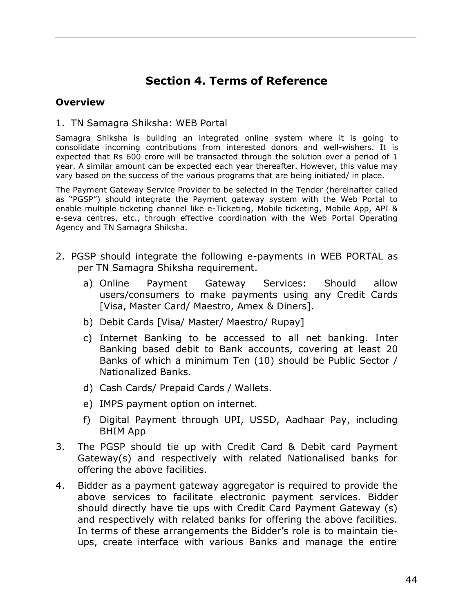# **Section 4. Terms of Reference**

#### <span id="page-43-0"></span>**Overview**

#### 1. TN Samagra Shiksha: WEB Portal

Samagra Shiksha is building an integrated online system where it is going to consolidate incoming contributions from interested donors and well-wishers. It is expected that Rs 600 crore will be transacted through the solution over a period of 1 year. A similar amount can be expected each year thereafter. However, this value may vary based on the success of the various programs that are being initiated/ in place.

The Payment Gateway Service Provider to be selected in the Tender (hereinafter called as "PGSP") should integrate the Payment gateway system with the Web Portal to enable multiple ticketing channel like e-Ticketing, Mobile ticketing, Mobile App, API & e-seva centres, etc., through effective coordination with the Web Portal Operating Agency and TN Samagra Shiksha.

- 2. PGSP should integrate the following e-payments in WEB PORTAL as per TN Samagra Shiksha requirement.
	- a) Online Payment Gateway Services: Should allow users/consumers to make payments using any Credit Cards [Visa, Master Card/ Maestro, Amex & Diners].
	- b) Debit Cards [Visa/ Master/ Maestro/ Rupay]
	- c) Internet Banking to be accessed to all net banking. Inter Banking based debit to Bank accounts, covering at least 20 Banks of which a minimum Ten (10) should be Public Sector / Nationalized Banks.
	- d) Cash Cards/ Prepaid Cards / Wallets.
	- e) IMPS payment option on internet.
	- f) Digital Payment through UPI, USSD, Aadhaar Pay, including BHIM App
- 3. The PGSP should tie up with Credit Card & Debit card Payment Gateway(s) and respectively with related Nationalised banks for offering the above facilities.
- 4. Bidder as a payment gateway aggregator is required to provide the above services to facilitate electronic payment services. Bidder should directly have tie ups with Credit Card Payment Gateway (s) and respectively with related banks for offering the above facilities. In terms of these arrangements the Bidder's role is to maintain tieups, create interface with various Banks and manage the entire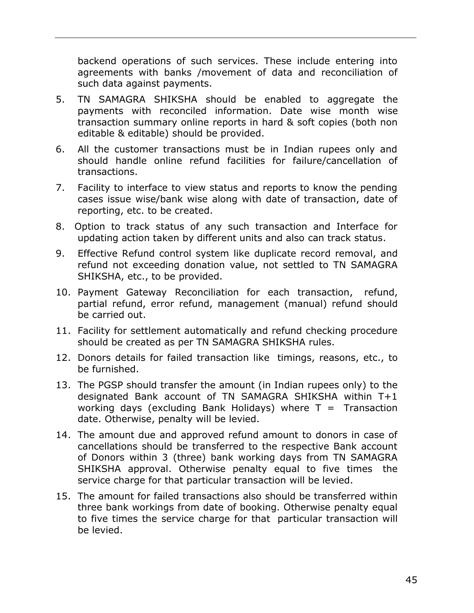backend operations of such services. These include entering into agreements with banks /movement of data and reconciliation of such data against payments.

- 5. TN SAMAGRA SHIKSHA should be enabled to aggregate the payments with reconciled information. Date wise month wise transaction summary online reports in hard & soft copies (both non editable & editable) should be provided.
- 6. All the customer transactions must be in Indian rupees only and should handle online refund facilities for failure/cancellation of transactions.
- 7. Facility to interface to view status and reports to know the pending cases issue wise/bank wise along with date of transaction, date of reporting, etc. to be created.
- 8. Option to track status of any such transaction and Interface for updating action taken by different units and also can track status.
- 9. Effective Refund control system like duplicate record removal, and refund not exceeding donation value, not settled to TN SAMAGRA SHIKSHA, etc., to be provided.
- 10. Payment Gateway Reconciliation for each transaction, refund, partial refund, error refund, management (manual) refund should be carried out.
- 11. Facility for settlement automatically and refund checking procedure should be created as per TN SAMAGRA SHIKSHA rules.
- 12. Donors details for failed transaction like timings, reasons, etc., to be furnished.
- 13. The PGSP should transfer the amount (in Indian rupees only) to the designated Bank account of TN SAMAGRA SHIKSHA within T+1 working days (excluding Bank Holidays) where  $T = T$ ransaction date. Otherwise, penalty will be levied.
- 14. The amount due and approved refund amount to donors in case of cancellations should be transferred to the respective Bank account of Donors within 3 (three) bank working days from TN SAMAGRA SHIKSHA approval. Otherwise penalty equal to five times the service charge for that particular transaction will be levied.
- 15. The amount for failed transactions also should be transferred within three bank workings from date of booking. Otherwise penalty equal to five times the service charge for that particular transaction will be levied.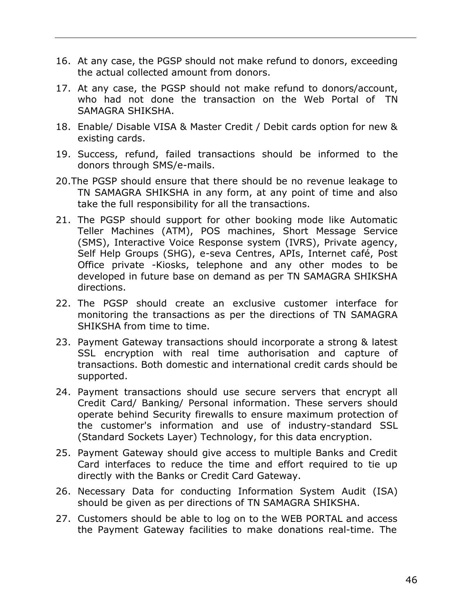- 16. At any case, the PGSP should not make refund to donors, exceeding the actual collected amount from donors.
- 17. At any case, the PGSP should not make refund to donors/account, who had not done the transaction on the Web Portal of TN SAMAGRA SHIKSHA.
- 18. Enable/ Disable VISA & Master Credit / Debit cards option for new & existing cards.
- 19. Success, refund, failed transactions should be informed to the donors through SMS/e-mails.
- 20.The PGSP should ensure that there should be no revenue leakage to TN SAMAGRA SHIKSHA in any form, at any point of time and also take the full responsibility for all the transactions.
- 21. The PGSP should support for other booking mode like Automatic Teller Machines (ATM), POS machines, Short Message Service (SMS), Interactive Voice Response system (IVRS), Private agency, Self Help Groups (SHG), e-seva Centres, APIs, Internet café, Post Office private -Kiosks, telephone and any other modes to be developed in future base on demand as per TN SAMAGRA SHIKSHA directions.
- 22. The PGSP should create an exclusive customer interface for monitoring the transactions as per the directions of TN SAMAGRA SHIKSHA from time to time.
- 23. Payment Gateway transactions should incorporate a strong & latest SSL encryption with real time authorisation and capture of transactions. Both domestic and international credit cards should be supported.
- 24. Payment transactions should use secure servers that encrypt all Credit Card/ Banking/ Personal information. These servers should operate behind Security firewalls to ensure maximum protection of the customer's information and use of industry-standard SSL (Standard Sockets Layer) Technology, for this data encryption.
- 25. Payment Gateway should give access to multiple Banks and Credit Card interfaces to reduce the time and effort required to tie up directly with the Banks or Credit Card Gateway.
- 26. Necessary Data for conducting Information System Audit (ISA) should be given as per directions of TN SAMAGRA SHIKSHA.
- 27. Customers should be able to log on to the WEB PORTAL and access the Payment Gateway facilities to make donations real-time. The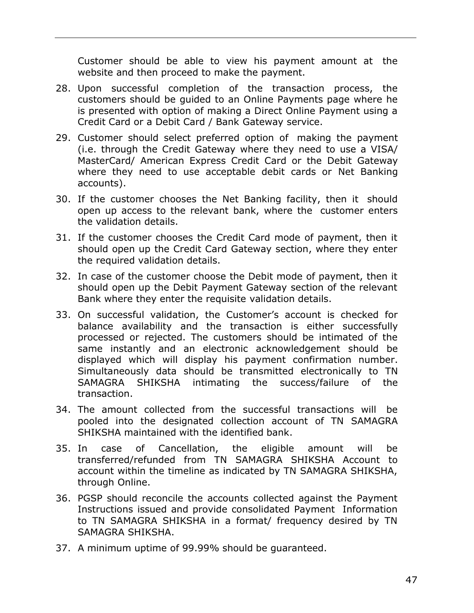Customer should be able to view his payment amount at the website and then proceed to make the payment.

- 28. Upon successful completion of the transaction process, the customers should be guided to an Online Payments page where he is presented with option of making a Direct Online Payment using a Credit Card or a Debit Card / Bank Gateway service.
- 29. Customer should select preferred option of making the payment (i.e. through the Credit Gateway where they need to use a VISA/ MasterCard/ American Express Credit Card or the Debit Gateway where they need to use acceptable debit cards or Net Banking accounts).
- 30. If the customer chooses the Net Banking facility, then it should open up access to the relevant bank, where the customer enters the validation details.
- 31. If the customer chooses the Credit Card mode of payment, then it should open up the Credit Card Gateway section, where they enter the required validation details.
- 32. In case of the customer choose the Debit mode of payment, then it should open up the Debit Payment Gateway section of the relevant Bank where they enter the requisite validation details.
- 33. On successful validation, the Customer's account is checked for balance availability and the transaction is either successfully processed or rejected. The customers should be intimated of the same instantly and an electronic acknowledgement should be displayed which will display his payment confirmation number. Simultaneously data should be transmitted electronically to TN SAMAGRA SHIKSHA intimating the success/failure of the transaction.
- 34. The amount collected from the successful transactions will be pooled into the designated collection account of TN SAMAGRA SHIKSHA maintained with the identified bank.
- 35. In case of Cancellation, the eligible amount will be transferred/refunded from TN SAMAGRA SHIKSHA Account to account within the timeline as indicated by TN SAMAGRA SHIKSHA, through Online.
- 36. PGSP should reconcile the accounts collected against the Payment Instructions issued and provide consolidated Payment Information to TN SAMAGRA SHIKSHA in a format/ frequency desired by TN SAMAGRA SHIKSHA.
- 37. A minimum uptime of 99.99% should be guaranteed.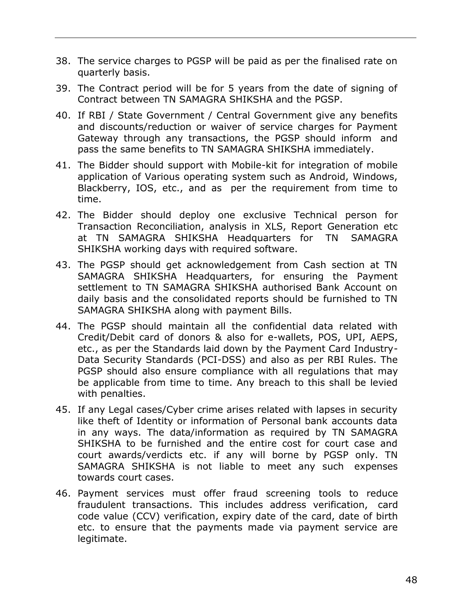- 38. The service charges to PGSP will be paid as per the finalised rate on quarterly basis.
- 39. The Contract period will be for 5 years from the date of signing of Contract between TN SAMAGRA SHIKSHA and the PGSP.
- 40. If RBI / State Government / Central Government give any benefits and discounts/reduction or waiver of service charges for Payment Gateway through any transactions, the PGSP should inform and pass the same benefits to TN SAMAGRA SHIKSHA immediately.
- 41. The Bidder should support with Mobile-kit for integration of mobile application of Various operating system such as Android, Windows, Blackberry, IOS, etc., and as per the requirement from time to time.
- 42. The Bidder should deploy one exclusive Technical person for Transaction Reconciliation, analysis in XLS, Report Generation etc at TN SAMAGRA SHIKSHA Headquarters for TN SAMAGRA SHIKSHA working days with required software.
- 43. The PGSP should get acknowledgement from Cash section at TN SAMAGRA SHIKSHA Headquarters, for ensuring the Payment settlement to TN SAMAGRA SHIKSHA authorised Bank Account on daily basis and the consolidated reports should be furnished to TN SAMAGRA SHIKSHA along with payment Bills.
- 44. The PGSP should maintain all the confidential data related with Credit/Debit card of donors & also for e-wallets, POS, UPI, AEPS, etc., as per the Standards laid down by the Payment Card Industry-Data Security Standards (PCI-DSS) and also as per RBI Rules. The PGSP should also ensure compliance with all regulations that may be applicable from time to time. Any breach to this shall be levied with penalties.
- 45. If any Legal cases/Cyber crime arises related with lapses in security like theft of Identity or information of Personal bank accounts data in any ways. The data/information as required by TN SAMAGRA SHIKSHA to be furnished and the entire cost for court case and court awards/verdicts etc. if any will borne by PGSP only. TN SAMAGRA SHIKSHA is not liable to meet any such expenses towards court cases.
- 46. Payment services must offer fraud screening tools to reduce fraudulent transactions. This includes address verification, card code value (CCV) verification, expiry date of the card, date of birth etc. to ensure that the payments made via payment service are legitimate.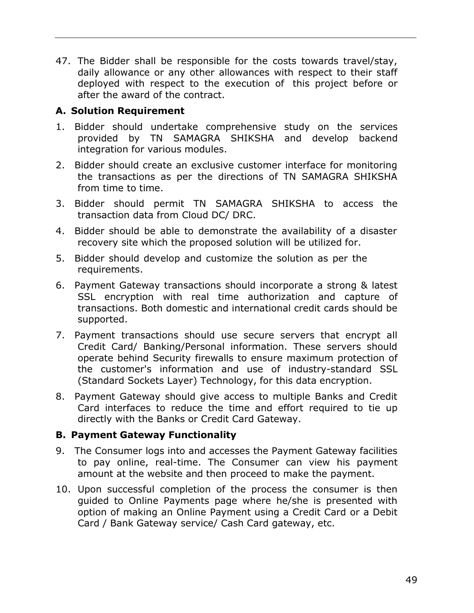47. The Bidder shall be responsible for the costs towards travel/stay, daily allowance or any other allowances with respect to their staff deployed with respect to the execution of this project before or after the award of the contract.

### **A. Solution Requirement**

- 1. Bidder should undertake comprehensive study on the services provided by TN SAMAGRA SHIKSHA and develop backend integration for various modules.
- 2. Bidder should create an exclusive customer interface for monitoring the transactions as per the directions of TN SAMAGRA SHIKSHA from time to time.
- 3. Bidder should permit TN SAMAGRA SHIKSHA to access the transaction data from Cloud DC/ DRC.
- 4. Bidder should be able to demonstrate the availability of a disaster recovery site which the proposed solution will be utilized for.
- 5. Bidder should develop and customize the solution as per the requirements.
- 6. Payment Gateway transactions should incorporate a strong & latest SSL encryption with real time authorization and capture of transactions. Both domestic and international credit cards should be supported.
- 7. Payment transactions should use secure servers that encrypt all Credit Card/ Banking/Personal information. These servers should operate behind Security firewalls to ensure maximum protection of the customer's information and use of industry-standard SSL (Standard Sockets Layer) Technology, for this data encryption.
- 8. Payment Gateway should give access to multiple Banks and Credit Card interfaces to reduce the time and effort required to tie up directly with the Banks or Credit Card Gateway.

### **B. Payment Gateway Functionality**

- 9. The Consumer logs into and accesses the Payment Gateway facilities to pay online, real-time. The Consumer can view his payment amount at the website and then proceed to make the payment.
- 10. Upon successful completion of the process the consumer is then guided to Online Payments page where he/she is presented with option of making an Online Payment using a Credit Card or a Debit Card / Bank Gateway service/ Cash Card gateway, etc.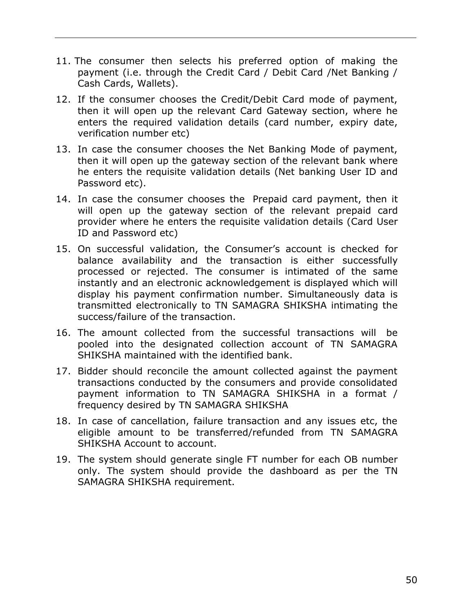- 11. The consumer then selects his preferred option of making the payment (i.e. through the Credit Card / Debit Card /Net Banking / Cash Cards, Wallets).
- 12. If the consumer chooses the Credit/Debit Card mode of payment, then it will open up the relevant Card Gateway section, where he enters the required validation details (card number, expiry date, verification number etc)
- 13. In case the consumer chooses the Net Banking Mode of payment, then it will open up the gateway section of the relevant bank where he enters the requisite validation details (Net banking User ID and Password etc).
- 14. In case the consumer chooses the Prepaid card payment, then it will open up the gateway section of the relevant prepaid card provider where he enters the requisite validation details (Card User ID and Password etc)
- 15. On successful validation, the Consumer's account is checked for balance availability and the transaction is either successfully processed or rejected. The consumer is intimated of the same instantly and an electronic acknowledgement is displayed which will display his payment confirmation number. Simultaneously data is transmitted electronically to TN SAMAGRA SHIKSHA intimating the success/failure of the transaction.
- 16. The amount collected from the successful transactions will be pooled into the designated collection account of TN SAMAGRA SHIKSHA maintained with the identified bank.
- 17. Bidder should reconcile the amount collected against the payment transactions conducted by the consumers and provide consolidated payment information to TN SAMAGRA SHIKSHA in a format / frequency desired by TN SAMAGRA SHIKSHA
- 18. In case of cancellation, failure transaction and any issues etc, the eligible amount to be transferred/refunded from TN SAMAGRA SHIKSHA Account to account.
- 19. The system should generate single FT number for each OB number only. The system should provide the dashboard as per the TN SAMAGRA SHIKSHA requirement.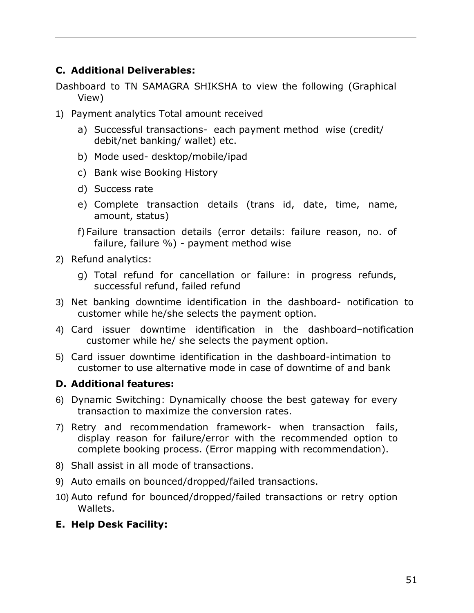### **C. Additional Deliverables:**

Dashboard to TN SAMAGRA SHIKSHA to view the following (Graphical View)

- 1) Payment analytics Total amount received
	- a) Successful transactions- each payment method wise (credit/ debit/net banking/ wallet) etc.
	- b) Mode used- desktop/mobile/ipad
	- c) Bank wise Booking History
	- d) Success rate
	- e) Complete transaction details (trans id, date, time, name, amount, status)
	- f)Failure transaction details (error details: failure reason, no. of failure, failure %) - payment method wise
- 2) Refund analytics:
	- g) Total refund for cancellation or failure: in progress refunds, successful refund, failed refund
- 3) Net banking downtime identification in the dashboard- notification to customer while he/she selects the payment option.
- 4) Card issuer downtime identification in the dashboard–notification customer while he/ she selects the payment option.
- 5) Card issuer downtime identification in the dashboard-intimation to customer to use alternative mode in case of downtime of and bank

### **D. Additional features:**

- 6) Dynamic Switching: Dynamically choose the best gateway for every transaction to maximize the conversion rates.
- 7) Retry and recommendation framework- when transaction fails, display reason for failure/error with the recommended option to complete booking process. (Error mapping with recommendation).
- 8) Shall assist in all mode of transactions.
- 9) Auto emails on bounced/dropped/failed transactions.
- 10) Auto refund for bounced/dropped/failed transactions or retry option Wallets.
- **E. Help Desk Facility:**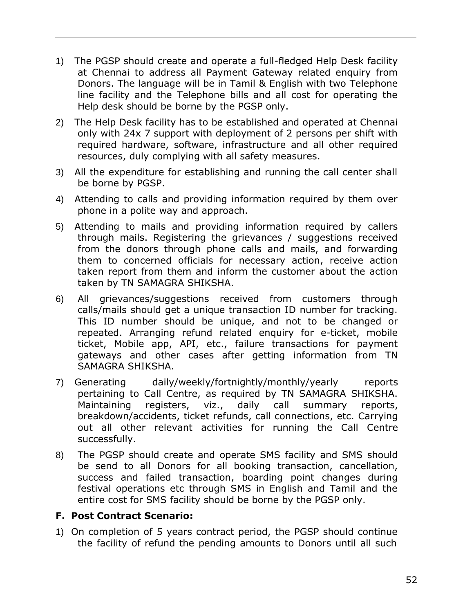- 1) The PGSP should create and operate a full-fledged Help Desk facility at Chennai to address all Payment Gateway related enquiry from Donors. The language will be in Tamil & English with two Telephone line facility and the Telephone bills and all cost for operating the Help desk should be borne by the PGSP only.
- 2) The Help Desk facility has to be established and operated at Chennai only with 24x 7 support with deployment of 2 persons per shift with required hardware, software, infrastructure and all other required resources, duly complying with all safety measures.
- 3) All the expenditure for establishing and running the call center shall be borne by PGSP.
- 4) Attending to calls and providing information required by them over phone in a polite way and approach.
- 5) Attending to mails and providing information required by callers through mails. Registering the grievances / suggestions received from the donors through phone calls and mails, and forwarding them to concerned officials for necessary action, receive action taken report from them and inform the customer about the action taken by TN SAMAGRA SHIKSHA.
- 6) All grievances/suggestions received from customers through calls/mails should get a unique transaction ID number for tracking. This ID number should be unique, and not to be changed or repeated. Arranging refund related enquiry for e-ticket, mobile ticket, Mobile app, API, etc., failure transactions for payment gateways and other cases after getting information from TN SAMAGRA SHIKSHA.
- 7) Generating daily/weekly/fortnightly/monthly/yearly reports pertaining to Call Centre, as required by TN SAMAGRA SHIKSHA. Maintaining registers, viz., daily call summary reports, breakdown/accidents, ticket refunds, call connections, etc. Carrying out all other relevant activities for running the Call Centre successfully.
- 8) The PGSP should create and operate SMS facility and SMS should be send to all Donors for all booking transaction, cancellation, success and failed transaction, boarding point changes during festival operations etc through SMS in English and Tamil and the entire cost for SMS facility should be borne by the PGSP only.

### **F. Post Contract Scenario:**

1) On completion of 5 years contract period, the PGSP should continue the facility of refund the pending amounts to Donors until all such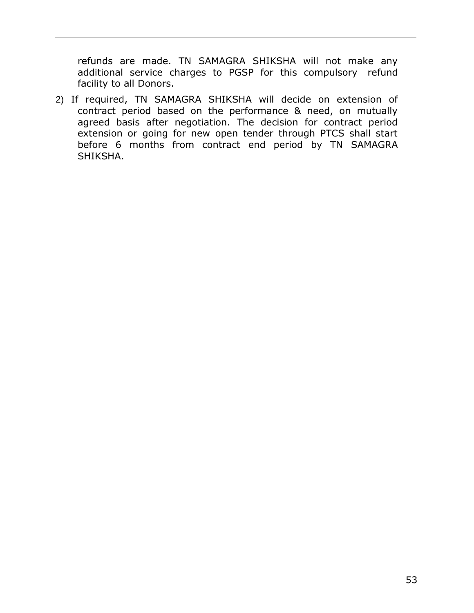refunds are made. TN SAMAGRA SHIKSHA will not make any additional service charges to PGSP for this compulsory refund facility to all Donors.

2) If required, TN SAMAGRA SHIKSHA will decide on extension of contract period based on the performance & need, on mutually agreed basis after negotiation. The decision for contract period extension or going for new open tender through PTCS shall start before 6 months from contract end period by TN SAMAGRA SHIKSHA.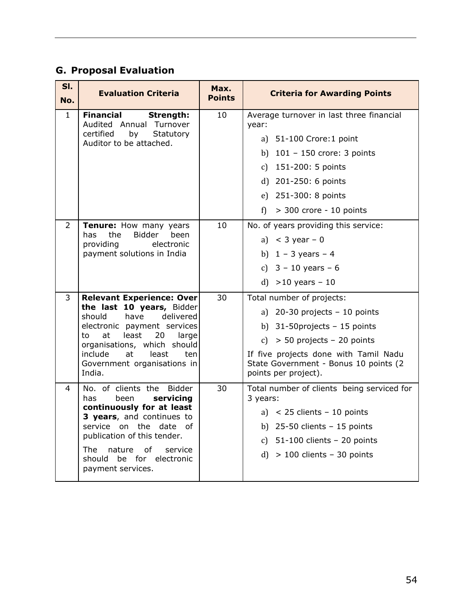# **G. Proposal Evaluation**

| SI.<br>No.   | <b>Evaluation Criteria</b>                                                                                                                                                                                                                                        | Max.<br><b>Points</b> | <b>Criteria for Awarding Points</b>                                                                                                                                                                                                         |
|--------------|-------------------------------------------------------------------------------------------------------------------------------------------------------------------------------------------------------------------------------------------------------------------|-----------------------|---------------------------------------------------------------------------------------------------------------------------------------------------------------------------------------------------------------------------------------------|
| $\mathbf{1}$ | <b>Financial</b><br>Strength:<br>Audited Annual Turnover<br>certified<br>by<br>Statutory<br>Auditor to be attached.                                                                                                                                               | 10                    | Average turnover in last three financial<br>year:<br>a) 51-100 Crore: 1 point<br>b) $101 - 150$ crore: 3 points<br>c) 151-200: 5 points<br>d) 201-250: 6 points<br>e) 251-300: 8 points<br>> 300 crore - 10 points<br>f)                    |
| 2            | Tenure: How many years<br>Bidder<br>been<br>has<br>the<br>providing<br>electronic<br>payment solutions in India                                                                                                                                                   | 10                    | No. of years providing this service:<br>a) $<$ 3 year - 0<br>b) $1 - 3$ years $- 4$<br>c) $3 - 10$ years $- 6$<br>d) $>10$ years - 10                                                                                                       |
| 3            | Relevant Experience: Over<br>the last 10 years, Bidder<br>have<br>delivered<br>should<br>electronic payment services<br>least<br>20<br>to<br>at<br>large<br>organisations, which should<br>include<br>at<br>least<br>ten<br>Government organisations in<br>India. | 30                    | Total number of projects:<br>a) $20-30$ projects - 10 points<br>b) $31-50$ projects - 15 points<br>c) $> 50$ projects - 20 points<br>If five projects done with Tamil Nadu<br>State Government - Bonus 10 points (2<br>points per project). |
| 4            | No. of clients the Bidder<br>servicing<br>has<br>been<br>continuously for at least<br>3 years, and continues to<br>service on the date of<br>publication of this tender.<br>The<br>of<br>nature<br>service<br>should be for electronic<br>payment services.       | 30                    | Total number of clients being serviced for<br>3 years:<br>a) $<$ 25 clients - 10 points<br>b) $25-50$ clients $-15$ points<br>c) $51-100$ clients - 20 points<br>$d) > 100$ clients - 30 points                                             |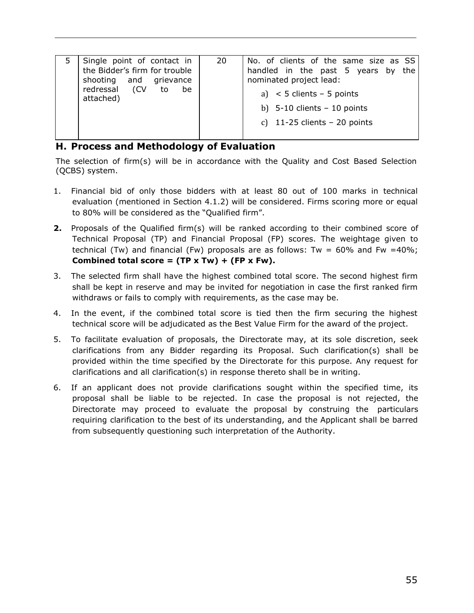### **H. Process and Methodology of Evaluation**

The selection of firm(s) will be in accordance with the Quality and Cost Based Selection (QCBS) system.

- 1. Financial bid of only those bidders with at least 80 out of 100 marks in technical evaluation (mentioned in Section 4.1.2) will be considered. Firms scoring more or equal to 80% will be considered as the "Qualified firm".
- **2.** Proposals of the Qualified firm(s) will be ranked according to their combined score of Technical Proposal (TP) and Financial Proposal (FP) scores. The weightage given to technical (Tw) and financial (Fw) proposals are as follows: Tw =  $60\%$  and Fw =  $40\%$ ; **Combined total score = (TP x Tw) + (FP x Fw).**
- 3. The selected firm shall have the highest combined total score. The second highest firm shall be kept in reserve and may be invited for negotiation in case the first ranked firm withdraws or fails to comply with requirements, as the case may be.
- 4. In the event, if the combined total score is tied then the firm securing the highest technical score will be adjudicated as the Best Value Firm for the award of the project.
- 5. To facilitate evaluation of proposals, the Directorate may, at its sole discretion, seek clarifications from any Bidder regarding its Proposal. Such clarification(s) shall be provided within the time specified by the Directorate for this purpose. Any request for clarifications and all clarification(s) in response thereto shall be in writing.
- 6. If an applicant does not provide clarifications sought within the specified time, its proposal shall be liable to be rejected. In case the proposal is not rejected, the Directorate may proceed to evaluate the proposal by construing the particulars requiring clarification to the best of its understanding, and the Applicant shall be barred from subsequently questioning such interpretation of the Authority.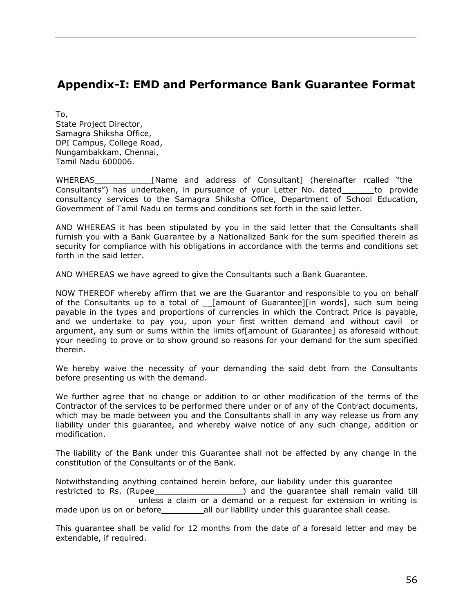# <span id="page-55-0"></span>**Appendix-I: EMD and Performance Bank Guarantee Format**

To, State Project Director, Samagra Shiksha Office, DPI Campus, College Road, Nungambakkam, Chennai, Tamil Nadu 600006.

WHEREAS [Name and address of Consultant] (hereinafter rcalled "the Consultants") has undertaken, in pursuance of your Letter No. dated \_\_\_\_\_\_ to provide consultancy services to the Samagra Shiksha Office, Department of School Education, Government of Tamil Nadu on terms and conditions set forth in the said letter.

AND WHEREAS it has been stipulated by you in the said letter that the Consultants shall furnish you with a Bank Guarantee by a Nationalized Bank for the sum specified therein as security for compliance with his obligations in accordance with the terms and conditions set forth in the said letter.

AND WHEREAS we have agreed to give the Consultants such a Bank Guarantee.

NOW THEREOF whereby affirm that we are the Guarantor and responsible to you on behalf of the Consultants up to a total of \_ [amount of Guarantee][in words], such sum being payable in the types and proportions of currencies in which the Contract Price is payable, and we undertake to pay you, upon your first written demand and without cavil or argument, any sum or sums within the limits of[amount of Guarantee] as aforesaid without your needing to prove or to show ground so reasons for your demand for the sum specified therein.

We hereby waive the necessity of your demanding the said debt from the Consultants before presenting us with the demand.

We further agree that no change or addition to or other modification of the terms of the Contractor of the services to be performed there under or of any of the Contract documents, which may be made between you and the Consultants shall in any way release us from any liability under this guarantee, and whereby waive notice of any such change, addition or modification.

The liability of the Bank under this Guarantee shall not be affected by any change in the constitution of the Consultants or of the Bank.

Notwithstanding anything contained herein before, our liability under this guarantee restricted to Rs. (Rupee\_\_\_\_\_\_\_\_\_\_\_\_\_\_\_\_\_\_\_\_\_\_) and the guarantee shall remain valid till unless a claim or a demand or a request for extension in writing is made upon us on or before\_\_\_\_\_\_\_\_\_\_\_\_\_\_\_\_\_\_\_all our liability under this guarantee shall cease.

This guarantee shall be valid for 12 months from the date of a foresaid letter and may be extendable, if required.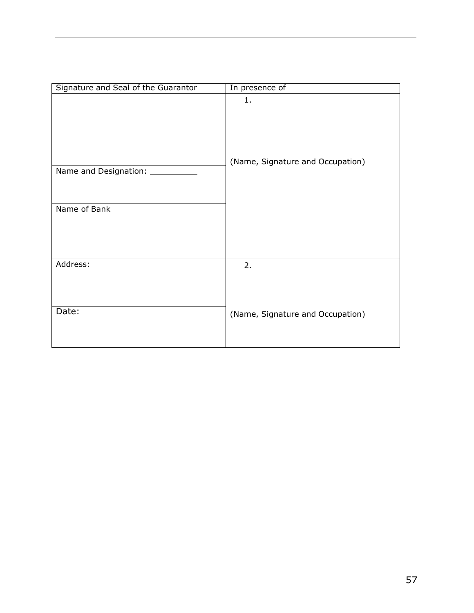| Signature and Seal of the Guarantor     | In presence of                         |
|-----------------------------------------|----------------------------------------|
| Name and Designation: _<br>Name of Bank | 1.<br>(Name, Signature and Occupation) |
| Address:                                | 2.                                     |
| Date:                                   | (Name, Signature and Occupation)       |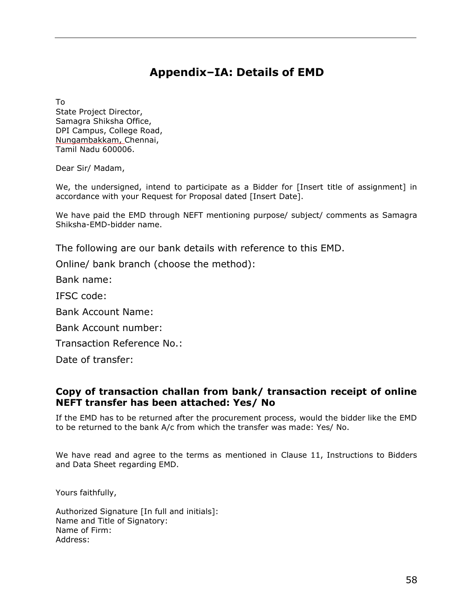# **Appendix–IA: Details of EMD**

<span id="page-57-0"></span>To

State Project Director, Samagra Shiksha Office, DPI Campus, College Road, Nungambakkam, Chennai, Tamil Nadu 600006.

Dear Sir/ Madam,

We, the undersigned, intend to participate as a Bidder for [Insert title of assignment] in accordance with your Request for Proposal dated [Insert Date].

We have paid the EMD through NEFT mentioning purpose/ subject/ comments as Samagra Shiksha-EMD-bidder name.

The following are our bank details with reference to this EMD.

Online/ bank branch (choose the method):

Bank name:

IFSC code:

Bank Account Name:

Bank Account number:

Transaction Reference No.:

Date of transfer:

### **Copy of transaction challan from bank/ transaction receipt of online NEFT transfer has been attached: Yes/ No**

If the EMD has to be returned after the procurement process, would the bidder like the EMD to be returned to the bank A/c from which the transfer was made: Yes/ No.

We have read and agree to the terms as mentioned in Clause 11, Instructions to Bidders and Data Sheet regarding EMD.

Yours faithfully,

Authorized Signature [In full and initials]: Name and Title of Signatory: Name of Firm: Address: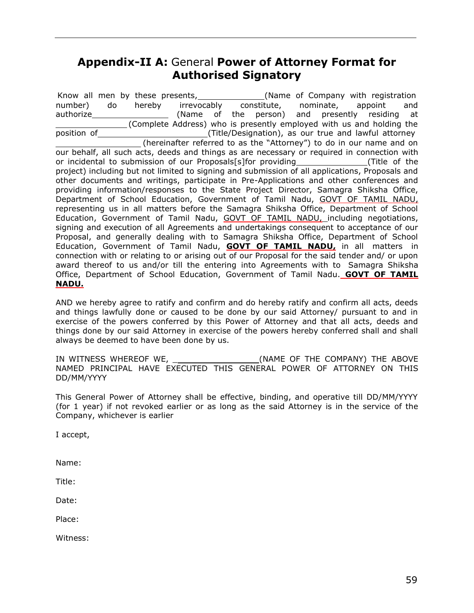## <span id="page-58-0"></span>**Appendix-II A:** General **Power of Attorney Format for Authorised Signatory**

Know all men by these presents, (Name of Company with registration number) do hereby irrevocably constitute, nominate, appoint and authorize (Name of the person) and presently residing at (Complete Address) who is presently employed with us and holding the position of (Title/Designation), as our true and lawful attorney (hereinafter referred to as the "Attorney") to do in our name and on our behalf, all such acts, deeds and things as are necessary or required in connection with or incidental to submission of our Proposals[s]for providing (Title of the project) including but not limited to signing and submission of all applications, Proposals and other documents and writings, participate in Pre-Applications and other conferences and providing information/responses to the State Project Director, Samagra Shiksha Office, Department of School Education, Government of Tamil Nadu, GOVT OF TAMIL NADU, representing us in all matters before the Samagra Shiksha Office, Department of School Education, Government of Tamil Nadu, GOVT OF TAMIL NADU, including negotiations, signing and execution of all Agreements and undertakings consequent to acceptance of our Proposal, and generally dealing with to Samagra Shiksha Office, Department of School Education, Government of Tamil Nadu, **GOVT OF TAMIL NADU,** in all matters in connection with or relating to or arising out of our Proposal for the said tender and/ or upon award thereof to us and/or till the entering into Agreements with to Samagra Shiksha Office, Department of School Education, Government of Tamil Nadu. **GOVT OF TAMIL NADU.**

AND we hereby agree to ratify and confirm and do hereby ratify and confirm all acts, deeds and things lawfully done or caused to be done by our said Attorney/ pursuant to and in exercise of the powers conferred by this Power of Attorney and that all acts, deeds and things done by our said Attorney in exercise of the powers hereby conferred shall and shall always be deemed to have been done by us.

IN WITNESS WHEREOF WE, THE GOMPANY) THE ABOVE NAMED PRINCIPAL HAVE EXECUTED THIS GENERAL POWER OF ATTORNEY ON THIS DD/MM/YYYY

This General Power of Attorney shall be effective, binding, and operative till DD/MM/YYYY (for 1 year) if not revoked earlier or as long as the said Attorney is in the service of the Company, whichever is earlier

I accept,

Name:

Title:

Date:

Place:

Witness: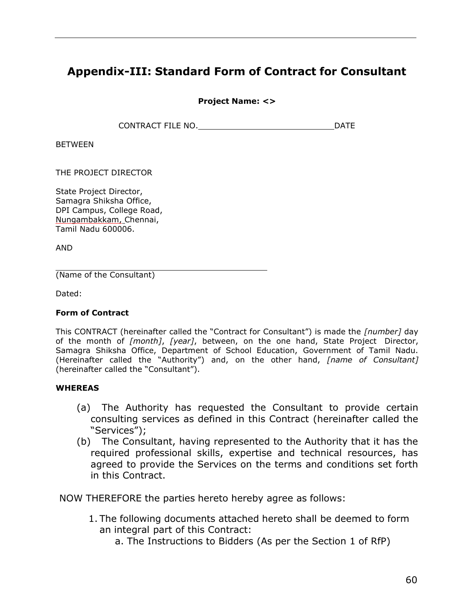# <span id="page-59-0"></span>**Appendix-III: Standard Form of Contract for Consultant**

**Project Name: <>**

CONTRACT FILE NO. **DATE** 

BETWEEN

THE PROJECT DIRECTOR

State Project Director, Samagra Shiksha Office, DPI Campus, College Road, Nungambakkam, Chennai, Tamil Nadu 600006.

AND

(Name of the Consultant)

Dated:

#### **Form of Contract**

This CONTRACT (hereinafter called the "Contract for Consultant") is made the *[number]* day of the month of *[month]*, *[year]*, between, on the one hand, State Project Director, Samagra Shiksha Office, Department of School Education, Government of Tamil Nadu. (Hereinafter called the "Authority") and, on the other hand, *[name of Consultant]* (hereinafter called the "Consultant").

#### **WHEREAS**

- (a) The Authority has requested the Consultant to provide certain consulting services as defined in this Contract (hereinafter called the "Services");
- (b) The Consultant, having represented to the Authority that it has the required professional skills, expertise and technical resources, has agreed to provide the Services on the terms and conditions set forth in this Contract.

NOW THEREFORE the parties hereto hereby agree as follows:

- 1. The following documents attached hereto shall be deemed to form an integral part of this Contract:
	- a. The Instructions to Bidders (As per the Section 1 of RfP)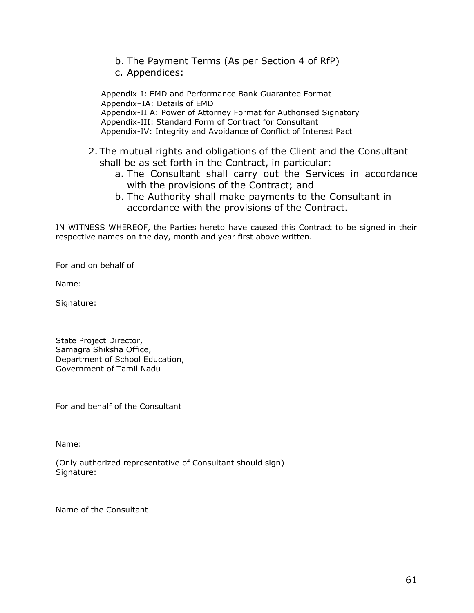- b. The Payment Terms (As per Section 4 of RfP)
- c. Appendices:

Appendix-I: EMD and Performance Bank Guarantee Format Appendix–IA: Details of EMD Appendix-II A: Power of Attorney Format for Authorised Signatory Appendix-III: Standard Form of Contract for Consultant Appendix-IV: Integrity and Avoidance of Conflict of Interest Pact

- 2. The mutual rights and obligations of the Client and the Consultant shall be as set forth in the Contract, in particular:
	- a. The Consultant shall carry out the Services in accordance with the provisions of the Contract; and
	- b. The Authority shall make payments to the Consultant in accordance with the provisions of the Contract.

IN WITNESS WHEREOF, the Parties hereto have caused this Contract to be signed in their respective names on the day, month and year first above written.

For and on behalf of

Name:

Signature:

State Project Director, Samagra Shiksha Office, Department of School Education, Government of Tamil Nadu

For and behalf of the Consultant

Name:

(Only authorized representative of Consultant should sign) Signature:

Name of the Consultant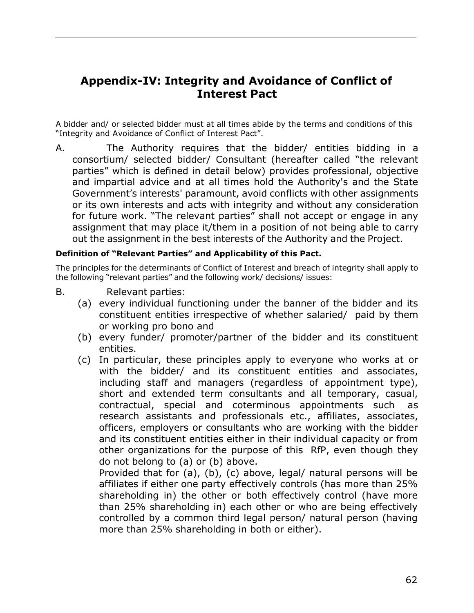# <span id="page-61-0"></span>**Appendix-IV: Integrity and Avoidance of Conflict of Interest Pact**

A bidder and/ or selected bidder must at all times abide by the terms and conditions of this "Integrity and Avoidance of Conflict of Interest Pact".

A. The Authority requires that the bidder/ entities bidding in a consortium/ selected bidder/ Consultant (hereafter called "the relevant parties" which is defined in detail below) provides professional, objective and impartial advice and at all times hold the Authority's and the State Government's interests' paramount, avoid conflicts with other assignments or its own interests and acts with integrity and without any consideration for future work. "The relevant parties" shall not accept or engage in any assignment that may place it/them in a position of not being able to carry out the assignment in the best interests of the Authority and the Project.

#### **Definition of "Relevant Parties" and Applicability of this Pact.**

The principles for the determinants of Conflict of Interest and breach of integrity shall apply to the following "relevant parties" and the following work/ decisions/ issues:

- B. Relevant parties:
	- (a) every individual functioning under the banner of the bidder and its constituent entities irrespective of whether salaried/ paid by them or working pro bono and
	- (b) every funder/ promoter/partner of the bidder and its constituent entities.
	- (c) In particular, these principles apply to everyone who works at or with the bidder/ and its constituent entities and associates, including staff and managers (regardless of appointment type), short and extended term consultants and all temporary, casual, contractual, special and coterminous appointments such as research assistants and professionals etc., affiliates, associates, officers, employers or consultants who are working with the bidder and its constituent entities either in their individual capacity or from other organizations for the purpose of this RfP, even though they do not belong to (a) or (b) above.

Provided that for (a), (b), (c) above, legal/ natural persons will be affiliates if either one party effectively controls (has more than 25% shareholding in) the other or both effectively control (have more than 25% shareholding in) each other or who are being effectively controlled by a common third legal person/ natural person (having more than 25% shareholding in both or either).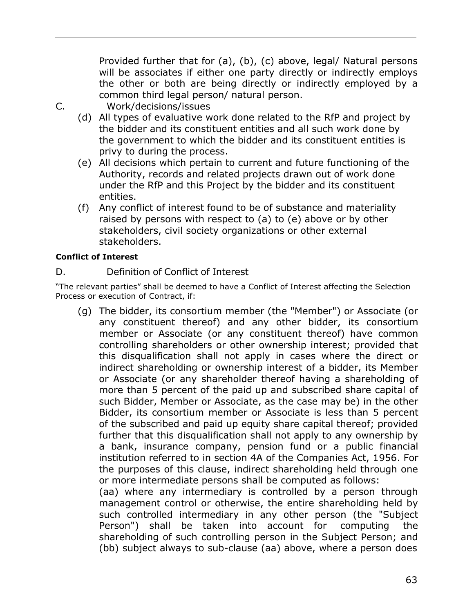Provided further that for (a), (b), (c) above, legal/ Natural persons will be associates if either one party directly or indirectly employs the other or both are being directly or indirectly employed by a common third legal person/ natural person.

C. Work/decisions/issues

- (d) All types of evaluative work done related to the RfP and project by the bidder and its constituent entities and all such work done by the government to which the bidder and its constituent entities is privy to during the process.
- (e) All decisions which pertain to current and future functioning of the Authority, records and related projects drawn out of work done under the RfP and this Project by the bidder and its constituent entities.
- (f) Any conflict of interest found to be of substance and materiality raised by persons with respect to (a) to (e) above or by other stakeholders, civil society organizations or other external stakeholders.

### **Conflict of Interest**

D. Definition of Conflict of Interest

"The relevant parties" shall be deemed to have a Conflict of Interest affecting the Selection Process or execution of Contract, if:

(g) The bidder, its consortium member (the "Member") or Associate (or any constituent thereof) and any other bidder, its consortium member or Associate (or any constituent thereof) have common controlling shareholders or other ownership interest; provided that this disqualification shall not apply in cases where the direct or indirect shareholding or ownership interest of a bidder, its Member or Associate (or any shareholder thereof having a shareholding of more than 5 percent of the paid up and subscribed share capital of such Bidder, Member or Associate, as the case may be) in the other Bidder, its consortium member or Associate is less than 5 percent of the subscribed and paid up equity share capital thereof; provided further that this disqualification shall not apply to any ownership by a bank, insurance company, pension fund or a public financial institution referred to in section 4A of the Companies Act, 1956. For the purposes of this clause, indirect shareholding held through one or more intermediate persons shall be computed as follows:

(aa) where any intermediary is controlled by a person through management control or otherwise, the entire shareholding held by such controlled intermediary in any other person (the "Subject Person") shall be taken into account for computing the shareholding of such controlling person in the Subject Person; and (bb) subject always to sub-clause (aa) above, where a person does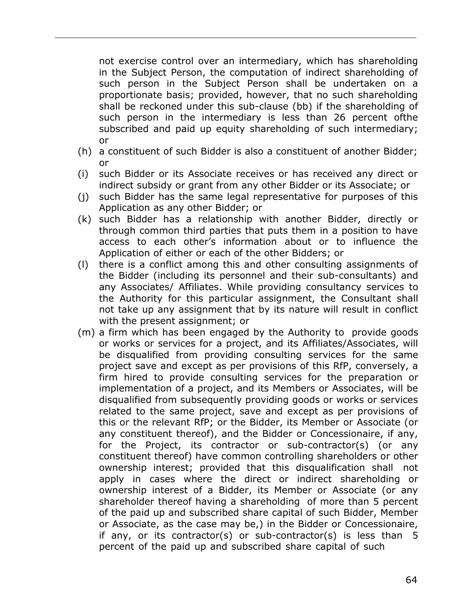not exercise control over an intermediary, which has shareholding in the Subject Person, the computation of indirect shareholding of such person in the Subject Person shall be undertaken on a proportionate basis; provided, however, that no such shareholding shall be reckoned under this sub-clause (bb) if the shareholding of such person in the intermediary is less than 26 percent ofthe subscribed and paid up equity shareholding of such intermediary; or

- (h) a constituent of such Bidder is also a constituent of another Bidder; or
- (i) such Bidder or its Associate receives or has received any direct or indirect subsidy or grant from any other Bidder or its Associate; or
- (j) such Bidder has the same legal representative for purposes of this Application as any other Bidder; or
- (k) such Bidder has a relationship with another Bidder, directly or through common third parties that puts them in a position to have access to each other's information about or to influence the Application of either or each of the other Bidders; or
- (l) there is a conflict among this and other consulting assignments of the Bidder (including its personnel and their sub-consultants) and any Associates/ Affiliates. While providing consultancy services to the Authority for this particular assignment, the Consultant shall not take up any assignment that by its nature will result in conflict with the present assignment; or
- (m) a firm which has been engaged by the Authority to provide goods or works or services for a project, and its Affiliates/Associates, will be disqualified from providing consulting services for the same project save and except as per provisions of this RfP, conversely, a firm hired to provide consulting services for the preparation or implementation of a project, and its Members or Associates, will be disqualified from subsequently providing goods or works or services related to the same project, save and except as per provisions of this or the relevant RfP; or the Bidder, its Member or Associate (or any constituent thereof), and the Bidder or Concessionaire, if any, for the Project, its contractor or sub-contractor(s) (or any constituent thereof) have common controlling shareholders or other ownership interest; provided that this disqualification shall not apply in cases where the direct or indirect shareholding or ownership interest of a Bidder, its Member or Associate (or any shareholder thereof having a shareholding of more than 5 percent of the paid up and subscribed share capital of such Bidder, Member or Associate, as the case may be,) in the Bidder or Concessionaire, if any, or its contractor(s) or sub-contractor(s) is less than 5 percent of the paid up and subscribed share capital of such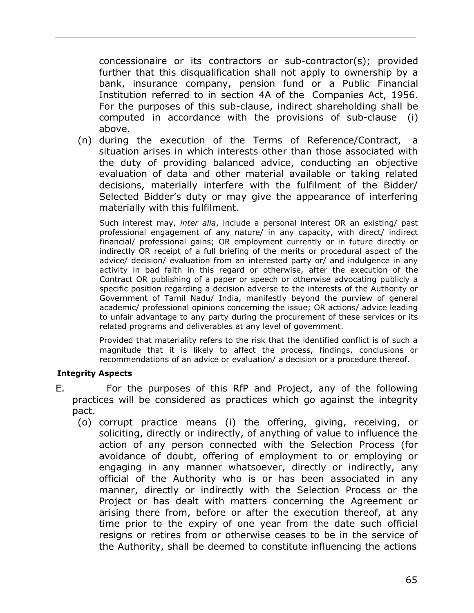concessionaire or its contractors or sub-contractor(s); provided further that this disqualification shall not apply to ownership by a bank, insurance company, pension fund or a Public Financial Institution referred to in section 4A of the Companies Act, 1956. For the purposes of this sub-clause, indirect shareholding shall be computed in accordance with the provisions of sub-clause (i) above.

(n) during the execution of the Terms of Reference/Contract, a situation arises in which interests other than those associated with the duty of providing balanced advice, conducting an objective evaluation of data and other material available or taking related decisions, materially interfere with the fulfilment of the Bidder/ Selected Bidder's duty or may give the appearance of interfering materially with this fulfilment.

Such interest may, *inter alia*, include a personal interest OR an existing/ past professional engagement of any nature/ in any capacity, with direct/ indirect financial/ professional gains; OR employment currently or in future directly or indirectly OR receipt of a full briefing of the merits or procedural aspect of the advice/ decision/ evaluation from an interested party or/ and indulgence in any activity in bad faith in this regard or otherwise, after the execution of the Contract OR publishing of a paper or speech or otherwise advocating publicly a specific position regarding a decision adverse to the interests of the Authority or Government of Tamil Nadu/ India, manifestly beyond the purview of general academic/ professional opinions concerning the issue; OR actions/ advice leading to unfair advantage to any party during the procurement of these services or its related programs and deliverables at any level of government.

Provided that materiality refers to the risk that the identified conflict is of such a magnitude that it is likely to affect the process, findings, conclusions or recommendations of an advice or evaluation/ a decision or a procedure thereof.

#### **Integrity Aspects**

- E. For the purposes of this RfP and Project, any of the following practices will be considered as practices which go against the integrity pact.
	- (o) corrupt practice means (i) the offering, giving, receiving, or soliciting, directly or indirectly, of anything of value to influence the action of any person connected with the Selection Process (for avoidance of doubt, offering of employment to or employing or engaging in any manner whatsoever, directly or indirectly, any official of the Authority who is or has been associated in any manner, directly or indirectly with the Selection Process or the Project or has dealt with matters concerning the Agreement or arising there from, before or after the execution thereof, at any time prior to the expiry of one year from the date such official resigns or retires from or otherwise ceases to be in the service of the Authority, shall be deemed to constitute influencing the actions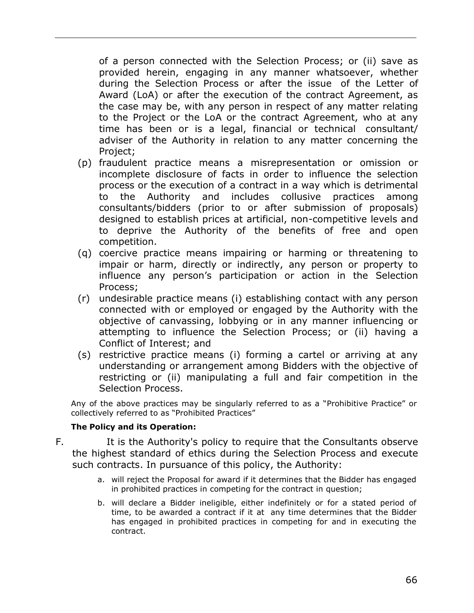of a person connected with the Selection Process; or (ii) save as provided herein, engaging in any manner whatsoever, whether during the Selection Process or after the issue of the Letter of Award (LoA) or after the execution of the contract Agreement, as the case may be, with any person in respect of any matter relating to the Project or the LoA or the contract Agreement, who at any time has been or is a legal, financial or technical consultant/ adviser of the Authority in relation to any matter concerning the Project;

- (p) fraudulent practice means a misrepresentation or omission or incomplete disclosure of facts in order to influence the selection process or the execution of a contract in a way which is detrimental to the Authority and includes collusive practices among consultants/bidders (prior to or after submission of proposals) designed to establish prices at artificial, non-competitive levels and to deprive the Authority of the benefits of free and open competition.
- (q) coercive practice means impairing or harming or threatening to impair or harm, directly or indirectly, any person or property to influence any person's participation or action in the Selection Process;
- (r) undesirable practice means (i) establishing contact with any person connected with or employed or engaged by the Authority with the objective of canvassing, lobbying or in any manner influencing or attempting to influence the Selection Process; or (ii) having a Conflict of Interest; and
- (s) restrictive practice means (i) forming a cartel or arriving at any understanding or arrangement among Bidders with the objective of restricting or (ii) manipulating a full and fair competition in the Selection Process.

Any of the above practices may be singularly referred to as a "Prohibitive Practice" or collectively referred to as "Prohibited Practices"

#### **The Policy and its Operation:**

- F. It is the Authority's policy to require that the Consultants observe the highest standard of ethics during the Selection Process and execute such contracts. In pursuance of this policy, the Authority:
	- a. will reject the Proposal for award if it determines that the Bidder has engaged in prohibited practices in competing for the contract in question;
	- b. will declare a Bidder ineligible, either indefinitely or for a stated period of time, to be awarded a contract if it at any time determines that the Bidder has engaged in prohibited practices in competing for and in executing the contract.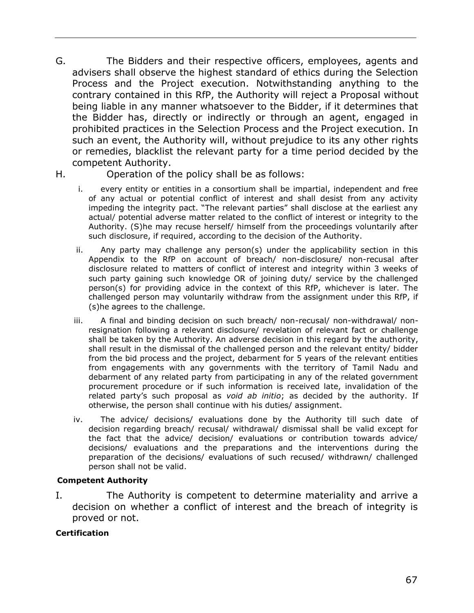- G. The Bidders and their respective officers, employees, agents and advisers shall observe the highest standard of ethics during the Selection Process and the Project execution. Notwithstanding anything to the contrary contained in this RfP, the Authority will reject a Proposal without being liable in any manner whatsoever to the Bidder, if it determines that the Bidder has, directly or indirectly or through an agent, engaged in prohibited practices in the Selection Process and the Project execution. In such an event, the Authority will, without prejudice to its any other rights or remedies, blacklist the relevant party for a time period decided by the competent Authority.
- H. Operation of the policy shall be as follows:
	- i. every entity or entities in a consortium shall be impartial, independent and free of any actual or potential conflict of interest and shall desist from any activity impeding the integrity pact. "The relevant parties" shall disclose at the earliest any actual/ potential adverse matter related to the conflict of interest or integrity to the Authority. (S)he may recuse herself/ himself from the proceedings voluntarily after such disclosure, if required, according to the decision of the Authority.
	- ii. Any party may challenge any person(s) under the applicability section in this Appendix to the RfP on account of breach/ non-disclosure/ non-recusal after disclosure related to matters of conflict of interest and integrity within 3 weeks of such party gaining such knowledge OR of joining duty/ service by the challenged person(s) for providing advice in the context of this RfP, whichever is later. The challenged person may voluntarily withdraw from the assignment under this RfP, if (s)he agrees to the challenge.
	- iii. A final and binding decision on such breach/ non-recusal/ non-withdrawal/ nonresignation following a relevant disclosure/ revelation of relevant fact or challenge shall be taken by the Authority. An adverse decision in this regard by the authority, shall result in the dismissal of the challenged person and the relevant entity/ bidder from the bid process and the project, debarment for 5 years of the relevant entities from engagements with any governments with the territory of Tamil Nadu and debarment of any related party from participating in any of the related government procurement procedure or if such information is received late, invalidation of the related party's such proposal as *void ab initio*; as decided by the authority. If otherwise, the person shall continue with his duties/ assignment.
	- iv. The advice/ decisions/ evaluations done by the Authority till such date of decision regarding breach/ recusal/ withdrawal/ dismissal shall be valid except for the fact that the advice/ decision/ evaluations or contribution towards advice/ decisions/ evaluations and the preparations and the interventions during the preparation of the decisions/ evaluations of such recused/ withdrawn/ challenged person shall not be valid.

#### **Competent Authority**

I. The Authority is competent to determine materiality and arrive a decision on whether a conflict of interest and the breach of integrity is proved or not.

#### **Certification**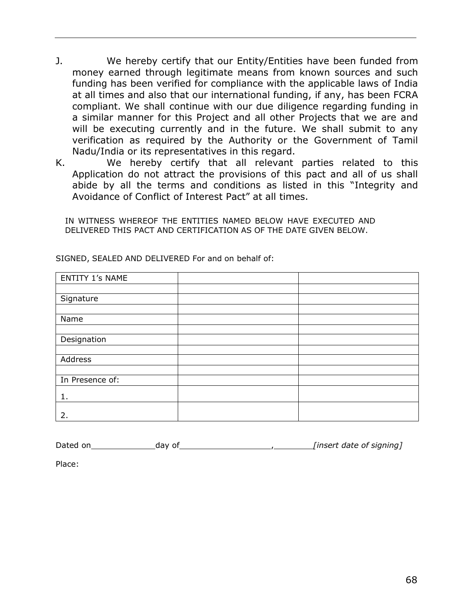- J. We hereby certify that our Entity/Entities have been funded from money earned through legitimate means from known sources and such funding has been verified for compliance with the applicable laws of India at all times and also that our international funding, if any, has been FCRA compliant. We shall continue with our due diligence regarding funding in a similar manner for this Project and all other Projects that we are and will be executing currently and in the future. We shall submit to any verification as required by the Authority or the Government of Tamil Nadu/India or its representatives in this regard.
- K. We hereby certify that all relevant parties related to this Application do not attract the provisions of this pact and all of us shall abide by all the terms and conditions as listed in this "Integrity and Avoidance of Conflict of Interest Pact" at all times.

IN WITNESS WHEREOF THE ENTITIES NAMED BELOW HAVE EXECUTED AND DELIVERED THIS PACT AND CERTIFICATION AS OF THE DATE GIVEN BELOW.

| <b>ENTITY 1's NAME</b> |  |
|------------------------|--|
|                        |  |
| Signature              |  |
|                        |  |
| Name                   |  |
|                        |  |
| Designation            |  |
|                        |  |
| Address                |  |
|                        |  |
| In Presence of:        |  |
| 1.                     |  |
|                        |  |
| 2.                     |  |
|                        |  |

SIGNED, SEALED AND DELIVERED For and on behalf of:

| Dated on | dav of | [insert date of signing] |
|----------|--------|--------------------------|
|----------|--------|--------------------------|

Place: